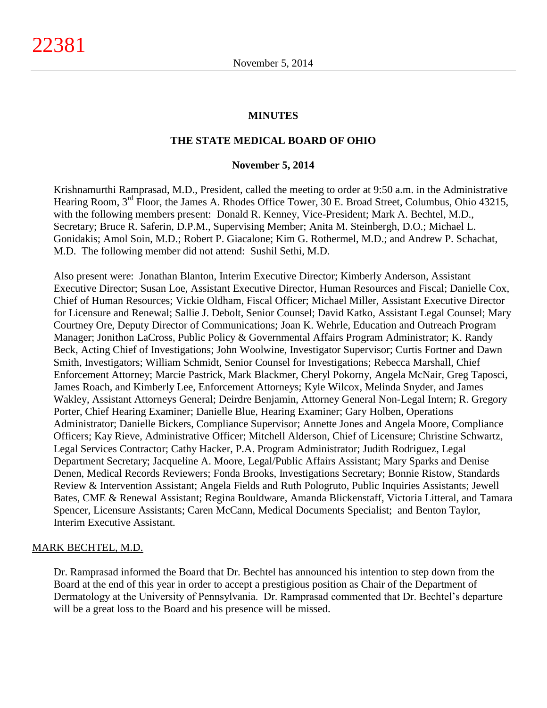#### **MINUTES**

#### **THE STATE MEDICAL BOARD OF OHIO**

#### **November 5, 2014**

Krishnamurthi Ramprasad, M.D., President, called the meeting to order at 9:50 a.m. in the Administrative Hearing Room, 3<sup>rd</sup> Floor, the James A. Rhodes Office Tower, 30 E. Broad Street, Columbus, Ohio 43215, with the following members present: Donald R. Kenney, Vice-President; Mark A. Bechtel, M.D., Secretary; Bruce R. Saferin, D.P.M., Supervising Member; Anita M. Steinbergh, D.O.; Michael L. Gonidakis; Amol Soin, M.D.; Robert P. Giacalone; Kim G. Rothermel, M.D.; and Andrew P. Schachat, M.D. The following member did not attend: Sushil Sethi, M.D.

Also present were: Jonathan Blanton, Interim Executive Director; Kimberly Anderson, Assistant Executive Director; Susan Loe, Assistant Executive Director, Human Resources and Fiscal; Danielle Cox, Chief of Human Resources; Vickie Oldham, Fiscal Officer; Michael Miller, Assistant Executive Director for Licensure and Renewal; Sallie J. Debolt, Senior Counsel; David Katko, Assistant Legal Counsel; Mary Courtney Ore, Deputy Director of Communications; Joan K. Wehrle, Education and Outreach Program Manager; Jonithon LaCross, Public Policy & Governmental Affairs Program Administrator; K. Randy Beck, Acting Chief of Investigations; John Woolwine, Investigator Supervisor; Curtis Fortner and Dawn Smith, Investigators; William Schmidt, Senior Counsel for Investigations; Rebecca Marshall, Chief Enforcement Attorney; Marcie Pastrick, Mark Blackmer, Cheryl Pokorny, Angela McNair, Greg Taposci, James Roach, and Kimberly Lee, Enforcement Attorneys; Kyle Wilcox, Melinda Snyder, and James Wakley, Assistant Attorneys General; Deirdre Benjamin, Attorney General Non-Legal Intern; R. Gregory Porter, Chief Hearing Examiner; Danielle Blue, Hearing Examiner; Gary Holben, Operations Administrator; Danielle Bickers, Compliance Supervisor; Annette Jones and Angela Moore, Compliance Officers; Kay Rieve, Administrative Officer; Mitchell Alderson, Chief of Licensure; Christine Schwartz, Legal Services Contractor; Cathy Hacker, P.A. Program Administrator; Judith Rodriguez, Legal Department Secretary; Jacqueline A. Moore, Legal/Public Affairs Assistant; Mary Sparks and Denise Denen, Medical Records Reviewers; Fonda Brooks, Investigations Secretary; Bonnie Ristow, Standards Review & Intervention Assistant; Angela Fields and Ruth Pologruto, Public Inquiries Assistants; Jewell Bates, CME & Renewal Assistant; Regina Bouldware, Amanda Blickenstaff, Victoria Litteral, and Tamara Spencer, Licensure Assistants; Caren McCann, Medical Documents Specialist; and Benton Taylor, Interim Executive Assistant.

#### MARK BECHTEL, M.D.

Dr. Ramprasad informed the Board that Dr. Bechtel has announced his intention to step down from the Board at the end of this year in order to accept a prestigious position as Chair of the Department of Dermatology at the University of Pennsylvania. Dr. Ramprasad commented that Dr. Bechtel's departure will be a great loss to the Board and his presence will be missed.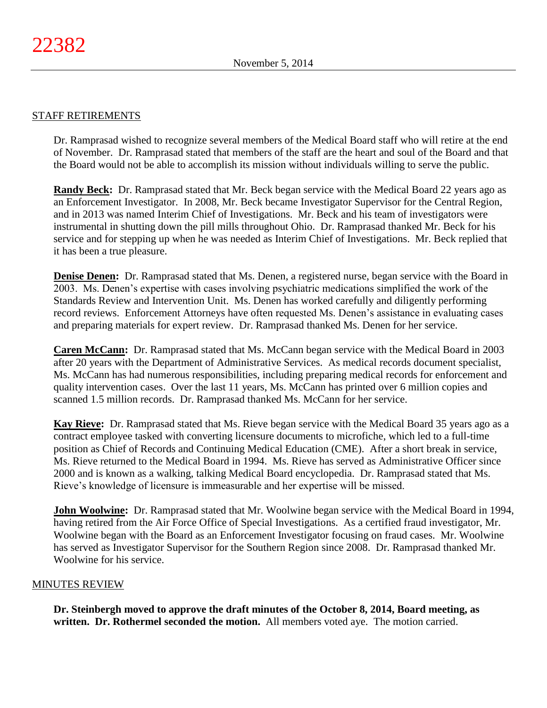#### STAFF RETIREMENTS

Dr. Ramprasad wished to recognize several members of the Medical Board staff who will retire at the end of November. Dr. Ramprasad stated that members of the staff are the heart and soul of the Board and that the Board would not be able to accomplish its mission without individuals willing to serve the public.

**Randy Beck:** Dr. Ramprasad stated that Mr. Beck began service with the Medical Board 22 years ago as an Enforcement Investigator. In 2008, Mr. Beck became Investigator Supervisor for the Central Region, and in 2013 was named Interim Chief of Investigations. Mr. Beck and his team of investigators were instrumental in shutting down the pill mills throughout Ohio. Dr. Ramprasad thanked Mr. Beck for his service and for stepping up when he was needed as Interim Chief of Investigations. Mr. Beck replied that it has been a true pleasure.

**Denise Denen:** Dr. Ramprasad stated that Ms. Denen, a registered nurse, began service with the Board in 2003. Ms. Denen's expertise with cases involving psychiatric medications simplified the work of the Standards Review and Intervention Unit. Ms. Denen has worked carefully and diligently performing record reviews. Enforcement Attorneys have often requested Ms. Denen's assistance in evaluating cases and preparing materials for expert review. Dr. Ramprasad thanked Ms. Denen for her service.

**Caren McCann:** Dr. Ramprasad stated that Ms. McCann began service with the Medical Board in 2003 after 20 years with the Department of Administrative Services. As medical records document specialist, Ms. McCann has had numerous responsibilities, including preparing medical records for enforcement and quality intervention cases. Over the last 11 years, Ms. McCann has printed over 6 million copies and scanned 1.5 million records. Dr. Ramprasad thanked Ms. McCann for her service.

**Kay Rieve:** Dr. Ramprasad stated that Ms. Rieve began service with the Medical Board 35 years ago as a contract employee tasked with converting licensure documents to microfiche, which led to a full-time position as Chief of Records and Continuing Medical Education (CME). After a short break in service, Ms. Rieve returned to the Medical Board in 1994. Ms. Rieve has served as Administrative Officer since 2000 and is known as a walking, talking Medical Board encyclopedia. Dr. Ramprasad stated that Ms. Rieve's knowledge of licensure is immeasurable and her expertise will be missed.

**John Woolwine:** Dr. Ramprasad stated that Mr. Woolwine began service with the Medical Board in 1994, having retired from the Air Force Office of Special Investigations. As a certified fraud investigator, Mr. Woolwine began with the Board as an Enforcement Investigator focusing on fraud cases. Mr. Woolwine has served as Investigator Supervisor for the Southern Region since 2008. Dr. Ramprasad thanked Mr. Woolwine for his service.

#### MINUTES REVIEW

**Dr. Steinbergh moved to approve the draft minutes of the October 8, 2014, Board meeting, as written. Dr. Rothermel seconded the motion.** All members voted aye. The motion carried.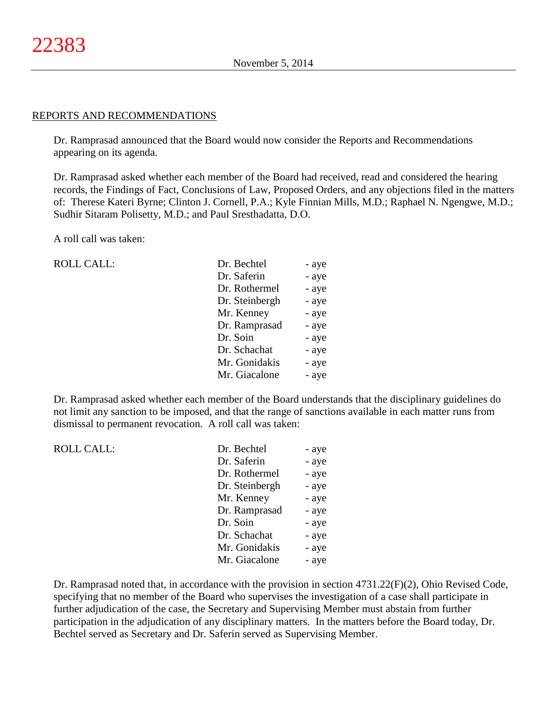#### REPORTS AND RECOMMENDATIONS

Dr. Ramprasad announced that the Board would now consider the Reports and Recommendations appearing on its agenda.

Dr. Ramprasad asked whether each member of the Board had received, read and considered the hearing records, the Findings of Fact, Conclusions of Law, Proposed Orders, and any objections filed in the matters of: Therese Kateri Byrne; Clinton J. Cornell, P.A.; Kyle Finnian Mills, M.D.; Raphael N. Ngengwe, M.D.; Sudhir Sitaram Polisetty, M.D.; and Paul Sresthadatta, D.O.

A roll call was taken:

ROLL CALL:

| Dr. Bechtel    | - aye |
|----------------|-------|
| Dr. Saferin    | - aye |
| Dr. Rothermel  | - aye |
| Dr. Steinbergh | - aye |
| Mr. Kenney     | - aye |
| Dr. Ramprasad  | - aye |
| Dr. Soin       | - aye |
| Dr. Schachat   | - aye |
| Mr. Gonidakis  | - aye |
| Mr. Giacalone  | - aye |

Dr. Ramprasad asked whether each member of the Board understands that the disciplinary guidelines do not limit any sanction to be imposed, and that the range of sanctions available in each matter runs from dismissal to permanent revocation. A roll call was taken:

| <b>ROLL CALL:</b> | Dr. Bechtel    | - aye |
|-------------------|----------------|-------|
|                   | Dr. Saferin    | - aye |
|                   | Dr. Rothermel  | - aye |
|                   | Dr. Steinbergh | - aye |
|                   | Mr. Kenney     | - aye |
|                   | Dr. Ramprasad  | - aye |
|                   | Dr. Soin       | - aye |
|                   | Dr. Schachat   | - aye |
|                   | Mr. Gonidakis  | - aye |
|                   | Mr. Giacalone  | - aye |
|                   |                |       |

Dr. Ramprasad noted that, in accordance with the provision in section 4731.22(F)(2), Ohio Revised Code, specifying that no member of the Board who supervises the investigation of a case shall participate in further adjudication of the case, the Secretary and Supervising Member must abstain from further participation in the adjudication of any disciplinary matters. In the matters before the Board today, Dr. Bechtel served as Secretary and Dr. Saferin served as Supervising Member.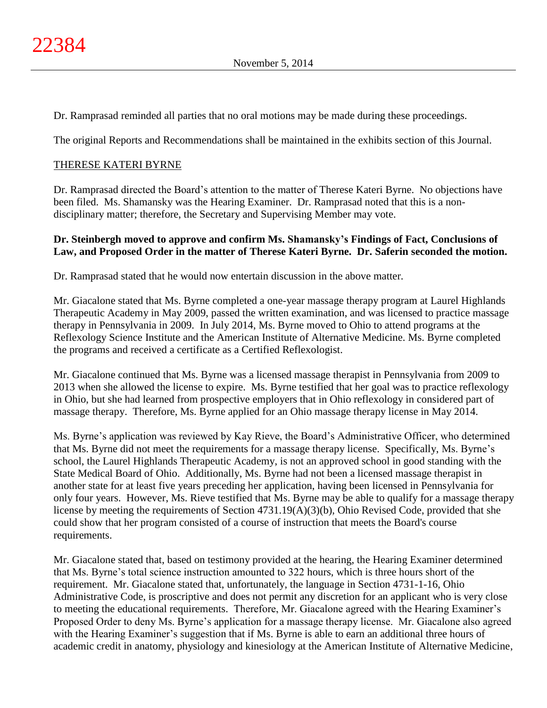Dr. Ramprasad reminded all parties that no oral motions may be made during these proceedings.

The original Reports and Recommendations shall be maintained in the exhibits section of this Journal.

## THERESE KATERI BYRNE

Dr. Ramprasad directed the Board's attention to the matter of Therese Kateri Byrne. No objections have been filed. Ms. Shamansky was the Hearing Examiner. Dr. Ramprasad noted that this is a nondisciplinary matter; therefore, the Secretary and Supervising Member may vote.

## **Dr. Steinbergh moved to approve and confirm Ms. Shamansky's Findings of Fact, Conclusions of Law, and Proposed Order in the matter of Therese Kateri Byrne. Dr. Saferin seconded the motion.**

Dr. Ramprasad stated that he would now entertain discussion in the above matter.

Mr. Giacalone stated that Ms. Byrne completed a one-year massage therapy program at Laurel Highlands Therapeutic Academy in May 2009, passed the written examination, and was licensed to practice massage therapy in Pennsylvania in 2009. In July 2014, Ms. Byrne moved to Ohio to attend programs at the Reflexology Science Institute and the American Institute of Alternative Medicine. Ms. Byrne completed the programs and received a certificate as a Certified Reflexologist.

Mr. Giacalone continued that Ms. Byrne was a licensed massage therapist in Pennsylvania from 2009 to 2013 when she allowed the license to expire. Ms. Byrne testified that her goal was to practice reflexology in Ohio, but she had learned from prospective employers that in Ohio reflexology in considered part of massage therapy. Therefore, Ms. Byrne applied for an Ohio massage therapy license in May 2014.

Ms. Byrne's application was reviewed by Kay Rieve, the Board's Administrative Officer, who determined that Ms. Byrne did not meet the requirements for a massage therapy license. Specifically, Ms. Byrne's school, the Laurel Highlands Therapeutic Academy, is not an approved school in good standing with the State Medical Board of Ohio. Additionally, Ms. Byrne had not been a licensed massage therapist in another state for at least five years preceding her application, having been licensed in Pennsylvania for only four years. However, Ms. Rieve testified that Ms. Byrne may be able to qualify for a massage therapy license by meeting the requirements of Section 4731.19(A)(3)(b), Ohio Revised Code, provided that she could show that her program consisted of a course of instruction that meets the Board's course requirements.

Mr. Giacalone stated that, based on testimony provided at the hearing, the Hearing Examiner determined that Ms. Byrne's total science instruction amounted to 322 hours, which is three hours short of the requirement. Mr. Giacalone stated that, unfortunately, the language in Section 4731-1-16, Ohio Administrative Code, is proscriptive and does not permit any discretion for an applicant who is very close to meeting the educational requirements. Therefore, Mr. Giacalone agreed with the Hearing Examiner's Proposed Order to deny Ms. Byrne's application for a massage therapy license. Mr. Giacalone also agreed with the Hearing Examiner's suggestion that if Ms. Byrne is able to earn an additional three hours of academic credit in anatomy, physiology and kinesiology at the American Institute of Alternative Medicine,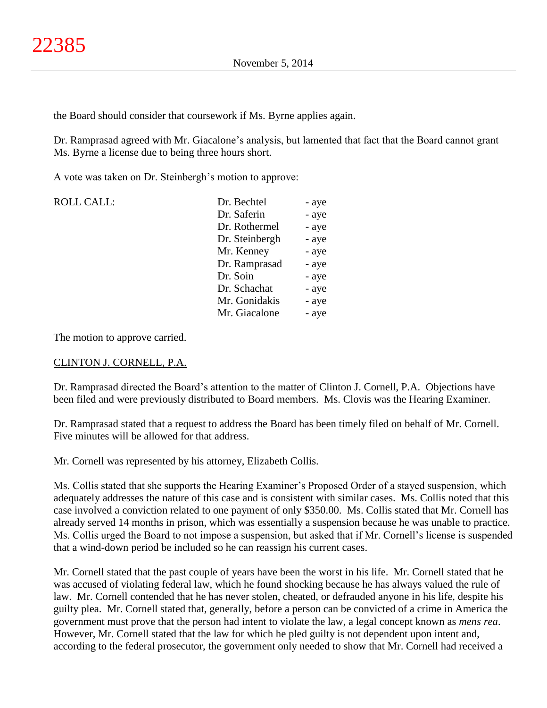the Board should consider that coursework if Ms. Byrne applies again.

Dr. Ramprasad agreed with Mr. Giacalone's analysis, but lamented that fact that the Board cannot grant Ms. Byrne a license due to being three hours short.

A vote was taken on Dr. Steinbergh's motion to approve:

| <b>ROLL CALL:</b> | Dr. Bechtel    | - aye |
|-------------------|----------------|-------|
|                   | Dr. Saferin    | - aye |
|                   | Dr. Rothermel  | - aye |
|                   | Dr. Steinbergh | - aye |
|                   | Mr. Kenney     | - aye |
|                   | Dr. Ramprasad  | - aye |
|                   | Dr. Soin       | - aye |
|                   | Dr. Schachat   | - aye |
|                   | Mr. Gonidakis  | - aye |
|                   | Mr. Giacalone  | - aye |
|                   |                |       |

The motion to approve carried.

### CLINTON J. CORNELL, P.A.

Dr. Ramprasad directed the Board's attention to the matter of Clinton J. Cornell, P.A. Objections have been filed and were previously distributed to Board members. Ms. Clovis was the Hearing Examiner.

Dr. Ramprasad stated that a request to address the Board has been timely filed on behalf of Mr. Cornell. Five minutes will be allowed for that address.

Mr. Cornell was represented by his attorney, Elizabeth Collis.

Ms. Collis stated that she supports the Hearing Examiner's Proposed Order of a stayed suspension, which adequately addresses the nature of this case and is consistent with similar cases. Ms. Collis noted that this case involved a conviction related to one payment of only \$350.00. Ms. Collis stated that Mr. Cornell has already served 14 months in prison, which was essentially a suspension because he was unable to practice. Ms. Collis urged the Board to not impose a suspension, but asked that if Mr. Cornell's license is suspended that a wind-down period be included so he can reassign his current cases.

Mr. Cornell stated that the past couple of years have been the worst in his life. Mr. Cornell stated that he was accused of violating federal law, which he found shocking because he has always valued the rule of law. Mr. Cornell contended that he has never stolen, cheated, or defrauded anyone in his life, despite his guilty plea. Mr. Cornell stated that, generally, before a person can be convicted of a crime in America the government must prove that the person had intent to violate the law, a legal concept known as *mens rea*. However, Mr. Cornell stated that the law for which he pled guilty is not dependent upon intent and, according to the federal prosecutor, the government only needed to show that Mr. Cornell had received a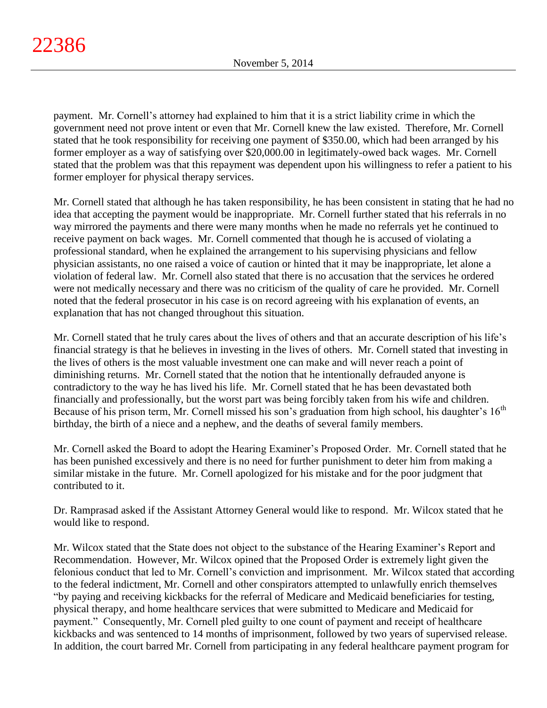payment. Mr. Cornell's attorney had explained to him that it is a strict liability crime in which the government need not prove intent or even that Mr. Cornell knew the law existed. Therefore, Mr. Cornell stated that he took responsibility for receiving one payment of \$350.00, which had been arranged by his former employer as a way of satisfying over \$20,000.00 in legitimately-owed back wages. Mr. Cornell stated that the problem was that this repayment was dependent upon his willingness to refer a patient to his former employer for physical therapy services.

Mr. Cornell stated that although he has taken responsibility, he has been consistent in stating that he had no idea that accepting the payment would be inappropriate. Mr. Cornell further stated that his referrals in no way mirrored the payments and there were many months when he made no referrals yet he continued to receive payment on back wages. Mr. Cornell commented that though he is accused of violating a professional standard, when he explained the arrangement to his supervising physicians and fellow physician assistants, no one raised a voice of caution or hinted that it may be inappropriate, let alone a violation of federal law. Mr. Cornell also stated that there is no accusation that the services he ordered were not medically necessary and there was no criticism of the quality of care he provided. Mr. Cornell noted that the federal prosecutor in his case is on record agreeing with his explanation of events, an explanation that has not changed throughout this situation.

Mr. Cornell stated that he truly cares about the lives of others and that an accurate description of his life's financial strategy is that he believes in investing in the lives of others. Mr. Cornell stated that investing in the lives of others is the most valuable investment one can make and will never reach a point of diminishing returns. Mr. Cornell stated that the notion that he intentionally defrauded anyone is contradictory to the way he has lived his life. Mr. Cornell stated that he has been devastated both financially and professionally, but the worst part was being forcibly taken from his wife and children. Because of his prison term, Mr. Cornell missed his son's graduation from high school, his daughter's 16<sup>th</sup> birthday, the birth of a niece and a nephew, and the deaths of several family members.

Mr. Cornell asked the Board to adopt the Hearing Examiner's Proposed Order. Mr. Cornell stated that he has been punished excessively and there is no need for further punishment to deter him from making a similar mistake in the future. Mr. Cornell apologized for his mistake and for the poor judgment that contributed to it.

Dr. Ramprasad asked if the Assistant Attorney General would like to respond. Mr. Wilcox stated that he would like to respond.

Mr. Wilcox stated that the State does not object to the substance of the Hearing Examiner's Report and Recommendation. However, Mr. Wilcox opined that the Proposed Order is extremely light given the felonious conduct that led to Mr. Cornell's conviction and imprisonment. Mr. Wilcox stated that according to the federal indictment, Mr. Cornell and other conspirators attempted to unlawfully enrich themselves "by paying and receiving kickbacks for the referral of Medicare and Medicaid beneficiaries for testing, physical therapy, and home healthcare services that were submitted to Medicare and Medicaid for payment." Consequently, Mr. Cornell pled guilty to one count of payment and receipt of healthcare kickbacks and was sentenced to 14 months of imprisonment, followed by two years of supervised release. In addition, the court barred Mr. Cornell from participating in any federal healthcare payment program for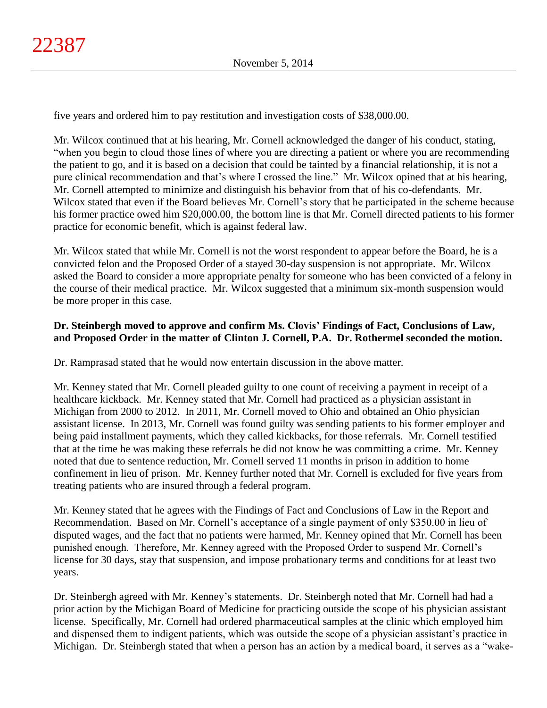five years and ordered him to pay restitution and investigation costs of \$38,000.00.

Mr. Wilcox continued that at his hearing, Mr. Cornell acknowledged the danger of his conduct, stating, "when you begin to cloud those lines of where you are directing a patient or where you are recommending the patient to go, and it is based on a decision that could be tainted by a financial relationship, it is not a pure clinical recommendation and that's where I crossed the line." Mr. Wilcox opined that at his hearing, Mr. Cornell attempted to minimize and distinguish his behavior from that of his co-defendants. Mr. Wilcox stated that even if the Board believes Mr. Cornell's story that he participated in the scheme because his former practice owed him \$20,000.00, the bottom line is that Mr. Cornell directed patients to his former practice for economic benefit, which is against federal law.

Mr. Wilcox stated that while Mr. Cornell is not the worst respondent to appear before the Board, he is a convicted felon and the Proposed Order of a stayed 30-day suspension is not appropriate. Mr. Wilcox asked the Board to consider a more appropriate penalty for someone who has been convicted of a felony in the course of their medical practice. Mr. Wilcox suggested that a minimum six-month suspension would be more proper in this case.

## **Dr. Steinbergh moved to approve and confirm Ms. Clovis' Findings of Fact, Conclusions of Law, and Proposed Order in the matter of Clinton J. Cornell, P.A. Dr. Rothermel seconded the motion.**

Dr. Ramprasad stated that he would now entertain discussion in the above matter.

Mr. Kenney stated that Mr. Cornell pleaded guilty to one count of receiving a payment in receipt of a healthcare kickback. Mr. Kenney stated that Mr. Cornell had practiced as a physician assistant in Michigan from 2000 to 2012. In 2011, Mr. Cornell moved to Ohio and obtained an Ohio physician assistant license. In 2013, Mr. Cornell was found guilty was sending patients to his former employer and being paid installment payments, which they called kickbacks, for those referrals. Mr. Cornell testified that at the time he was making these referrals he did not know he was committing a crime. Mr. Kenney noted that due to sentence reduction, Mr. Cornell served 11 months in prison in addition to home confinement in lieu of prison. Mr. Kenney further noted that Mr. Cornell is excluded for five years from treating patients who are insured through a federal program.

Mr. Kenney stated that he agrees with the Findings of Fact and Conclusions of Law in the Report and Recommendation. Based on Mr. Cornell's acceptance of a single payment of only \$350.00 in lieu of disputed wages, and the fact that no patients were harmed, Mr. Kenney opined that Mr. Cornell has been punished enough. Therefore, Mr. Kenney agreed with the Proposed Order to suspend Mr. Cornell's license for 30 days, stay that suspension, and impose probationary terms and conditions for at least two years.

Dr. Steinbergh agreed with Mr. Kenney's statements. Dr. Steinbergh noted that Mr. Cornell had had a prior action by the Michigan Board of Medicine for practicing outside the scope of his physician assistant license. Specifically, Mr. Cornell had ordered pharmaceutical samples at the clinic which employed him and dispensed them to indigent patients, which was outside the scope of a physician assistant's practice in Michigan. Dr. Steinbergh stated that when a person has an action by a medical board, it serves as a "wake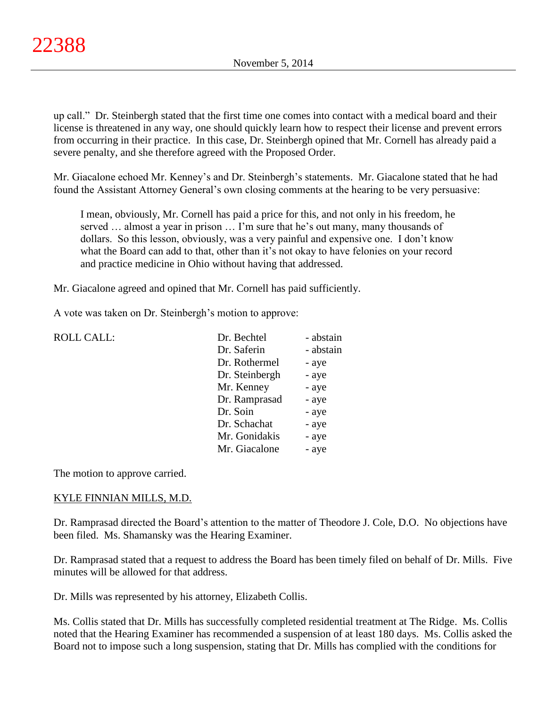up call." Dr. Steinbergh stated that the first time one comes into contact with a medical board and their license is threatened in any way, one should quickly learn how to respect their license and prevent errors from occurring in their practice. In this case, Dr. Steinbergh opined that Mr. Cornell has already paid a severe penalty, and she therefore agreed with the Proposed Order.

Mr. Giacalone echoed Mr. Kenney's and Dr. Steinbergh's statements. Mr. Giacalone stated that he had found the Assistant Attorney General's own closing comments at the hearing to be very persuasive:

I mean, obviously, Mr. Cornell has paid a price for this, and not only in his freedom, he served … almost a year in prison … I'm sure that he's out many, many thousands of dollars. So this lesson, obviously, was a very painful and expensive one. I don't know what the Board can add to that, other than it's not okay to have felonies on your record and practice medicine in Ohio without having that addressed.

Mr. Giacalone agreed and opined that Mr. Cornell has paid sufficiently.

A vote was taken on Dr. Steinbergh's motion to approve:

| <b>ROLL CALL:</b> | Dr. Bechtel    | - abstain |
|-------------------|----------------|-----------|
|                   | Dr. Saferin    | - abstain |
|                   | Dr. Rothermel  | - aye     |
|                   | Dr. Steinbergh | - aye     |
|                   | Mr. Kenney     | - aye     |
|                   | Dr. Ramprasad  | - aye     |
|                   | Dr. Soin       | - aye     |
|                   | Dr. Schachat   | - aye     |
|                   | Mr. Gonidakis  | - aye     |
|                   | Mr. Giacalone  | - aye     |
|                   |                |           |

The motion to approve carried.

### KYLE FINNIAN MILLS, M.D.

Dr. Ramprasad directed the Board's attention to the matter of Theodore J. Cole, D.O. No objections have been filed. Ms. Shamansky was the Hearing Examiner.

Dr. Ramprasad stated that a request to address the Board has been timely filed on behalf of Dr. Mills. Five minutes will be allowed for that address.

Dr. Mills was represented by his attorney, Elizabeth Collis.

Ms. Collis stated that Dr. Mills has successfully completed residential treatment at The Ridge. Ms. Collis noted that the Hearing Examiner has recommended a suspension of at least 180 days. Ms. Collis asked the Board not to impose such a long suspension, stating that Dr. Mills has complied with the conditions for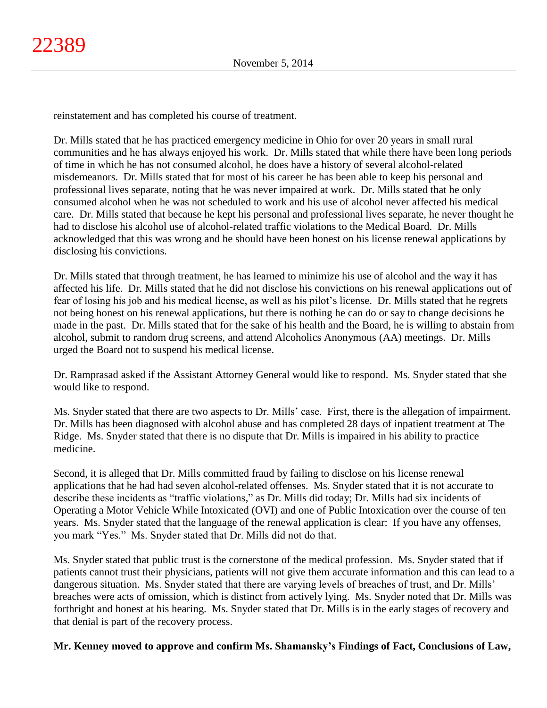reinstatement and has completed his course of treatment.

Dr. Mills stated that he has practiced emergency medicine in Ohio for over 20 years in small rural communities and he has always enjoyed his work. Dr. Mills stated that while there have been long periods of time in which he has not consumed alcohol, he does have a history of several alcohol-related misdemeanors. Dr. Mills stated that for most of his career he has been able to keep his personal and professional lives separate, noting that he was never impaired at work. Dr. Mills stated that he only consumed alcohol when he was not scheduled to work and his use of alcohol never affected his medical care. Dr. Mills stated that because he kept his personal and professional lives separate, he never thought he had to disclose his alcohol use of alcohol-related traffic violations to the Medical Board. Dr. Mills acknowledged that this was wrong and he should have been honest on his license renewal applications by disclosing his convictions.

Dr. Mills stated that through treatment, he has learned to minimize his use of alcohol and the way it has affected his life. Dr. Mills stated that he did not disclose his convictions on his renewal applications out of fear of losing his job and his medical license, as well as his pilot's license. Dr. Mills stated that he regrets not being honest on his renewal applications, but there is nothing he can do or say to change decisions he made in the past. Dr. Mills stated that for the sake of his health and the Board, he is willing to abstain from alcohol, submit to random drug screens, and attend Alcoholics Anonymous (AA) meetings. Dr. Mills urged the Board not to suspend his medical license.

Dr. Ramprasad asked if the Assistant Attorney General would like to respond. Ms. Snyder stated that she would like to respond.

Ms. Snyder stated that there are two aspects to Dr. Mills' case. First, there is the allegation of impairment. Dr. Mills has been diagnosed with alcohol abuse and has completed 28 days of inpatient treatment at The Ridge. Ms. Snyder stated that there is no dispute that Dr. Mills is impaired in his ability to practice medicine.

Second, it is alleged that Dr. Mills committed fraud by failing to disclose on his license renewal applications that he had had seven alcohol-related offenses. Ms. Snyder stated that it is not accurate to describe these incidents as "traffic violations," as Dr. Mills did today; Dr. Mills had six incidents of Operating a Motor Vehicle While Intoxicated (OVI) and one of Public Intoxication over the course of ten years. Ms. Snyder stated that the language of the renewal application is clear: If you have any offenses, you mark "Yes." Ms. Snyder stated that Dr. Mills did not do that.

Ms. Snyder stated that public trust is the cornerstone of the medical profession. Ms. Snyder stated that if patients cannot trust their physicians, patients will not give them accurate information and this can lead to a dangerous situation. Ms. Snyder stated that there are varying levels of breaches of trust, and Dr. Mills' breaches were acts of omission, which is distinct from actively lying. Ms. Snyder noted that Dr. Mills was forthright and honest at his hearing. Ms. Snyder stated that Dr. Mills is in the early stages of recovery and that denial is part of the recovery process.

### **Mr. Kenney moved to approve and confirm Ms. Shamansky's Findings of Fact, Conclusions of Law,**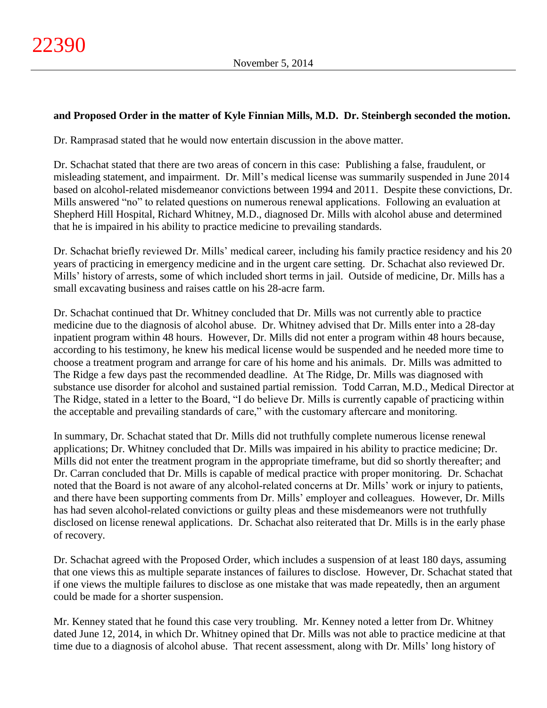## **and Proposed Order in the matter of Kyle Finnian Mills, M.D. Dr. Steinbergh seconded the motion.**

Dr. Ramprasad stated that he would now entertain discussion in the above matter.

Dr. Schachat stated that there are two areas of concern in this case: Publishing a false, fraudulent, or misleading statement, and impairment. Dr. Mill's medical license was summarily suspended in June 2014 based on alcohol-related misdemeanor convictions between 1994 and 2011. Despite these convictions, Dr. Mills answered "no" to related questions on numerous renewal applications. Following an evaluation at Shepherd Hill Hospital, Richard Whitney, M.D., diagnosed Dr. Mills with alcohol abuse and determined that he is impaired in his ability to practice medicine to prevailing standards.

Dr. Schachat briefly reviewed Dr. Mills' medical career, including his family practice residency and his 20 years of practicing in emergency medicine and in the urgent care setting. Dr. Schachat also reviewed Dr. Mills' history of arrests, some of which included short terms in jail. Outside of medicine, Dr. Mills has a small excavating business and raises cattle on his 28-acre farm.

Dr. Schachat continued that Dr. Whitney concluded that Dr. Mills was not currently able to practice medicine due to the diagnosis of alcohol abuse. Dr. Whitney advised that Dr. Mills enter into a 28-day inpatient program within 48 hours. However, Dr. Mills did not enter a program within 48 hours because, according to his testimony, he knew his medical license would be suspended and he needed more time to choose a treatment program and arrange for care of his home and his animals. Dr. Mills was admitted to The Ridge a few days past the recommended deadline. At The Ridge, Dr. Mills was diagnosed with substance use disorder for alcohol and sustained partial remission. Todd Carran, M.D., Medical Director at The Ridge, stated in a letter to the Board, "I do believe Dr. Mills is currently capable of practicing within the acceptable and prevailing standards of care," with the customary aftercare and monitoring.

In summary, Dr. Schachat stated that Dr. Mills did not truthfully complete numerous license renewal applications; Dr. Whitney concluded that Dr. Mills was impaired in his ability to practice medicine; Dr. Mills did not enter the treatment program in the appropriate timeframe, but did so shortly thereafter; and Dr. Carran concluded that Dr. Mills is capable of medical practice with proper monitoring. Dr. Schachat noted that the Board is not aware of any alcohol-related concerns at Dr. Mills' work or injury to patients, and there have been supporting comments from Dr. Mills' employer and colleagues. However, Dr. Mills has had seven alcohol-related convictions or guilty pleas and these misdemeanors were not truthfully disclosed on license renewal applications. Dr. Schachat also reiterated that Dr. Mills is in the early phase of recovery.

Dr. Schachat agreed with the Proposed Order, which includes a suspension of at least 180 days, assuming that one views this as multiple separate instances of failures to disclose. However, Dr. Schachat stated that if one views the multiple failures to disclose as one mistake that was made repeatedly, then an argument could be made for a shorter suspension.

Mr. Kenney stated that he found this case very troubling. Mr. Kenney noted a letter from Dr. Whitney dated June 12, 2014, in which Dr. Whitney opined that Dr. Mills was not able to practice medicine at that time due to a diagnosis of alcohol abuse. That recent assessment, along with Dr. Mills' long history of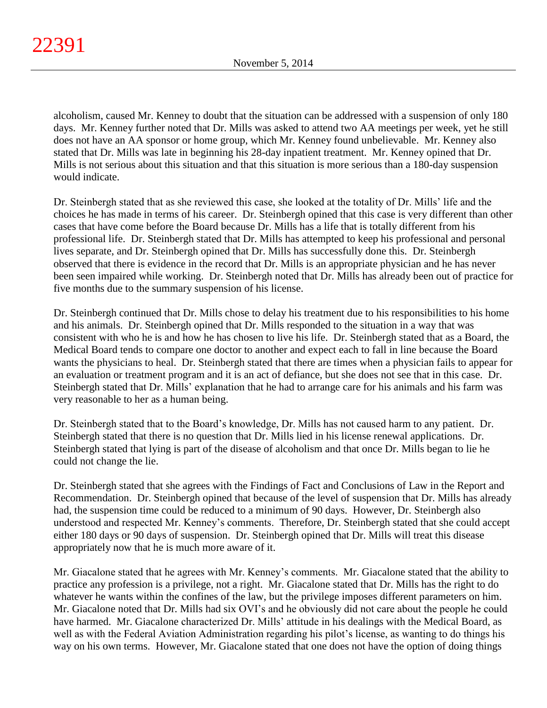alcoholism, caused Mr. Kenney to doubt that the situation can be addressed with a suspension of only 180 days. Mr. Kenney further noted that Dr. Mills was asked to attend two AA meetings per week, yet he still does not have an AA sponsor or home group, which Mr. Kenney found unbelievable. Mr. Kenney also stated that Dr. Mills was late in beginning his 28-day inpatient treatment. Mr. Kenney opined that Dr. Mills is not serious about this situation and that this situation is more serious than a 180-day suspension would indicate.

Dr. Steinbergh stated that as she reviewed this case, she looked at the totality of Dr. Mills' life and the choices he has made in terms of his career. Dr. Steinbergh opined that this case is very different than other cases that have come before the Board because Dr. Mills has a life that is totally different from his professional life. Dr. Steinbergh stated that Dr. Mills has attempted to keep his professional and personal lives separate, and Dr. Steinbergh opined that Dr. Mills has successfully done this. Dr. Steinbergh observed that there is evidence in the record that Dr. Mills is an appropriate physician and he has never been seen impaired while working. Dr. Steinbergh noted that Dr. Mills has already been out of practice for five months due to the summary suspension of his license.

Dr. Steinbergh continued that Dr. Mills chose to delay his treatment due to his responsibilities to his home and his animals. Dr. Steinbergh opined that Dr. Mills responded to the situation in a way that was consistent with who he is and how he has chosen to live his life. Dr. Steinbergh stated that as a Board, the Medical Board tends to compare one doctor to another and expect each to fall in line because the Board wants the physicians to heal. Dr. Steinbergh stated that there are times when a physician fails to appear for an evaluation or treatment program and it is an act of defiance, but she does not see that in this case. Dr. Steinbergh stated that Dr. Mills' explanation that he had to arrange care for his animals and his farm was very reasonable to her as a human being.

Dr. Steinbergh stated that to the Board's knowledge, Dr. Mills has not caused harm to any patient. Dr. Steinbergh stated that there is no question that Dr. Mills lied in his license renewal applications. Dr. Steinbergh stated that lying is part of the disease of alcoholism and that once Dr. Mills began to lie he could not change the lie.

Dr. Steinbergh stated that she agrees with the Findings of Fact and Conclusions of Law in the Report and Recommendation. Dr. Steinbergh opined that because of the level of suspension that Dr. Mills has already had, the suspension time could be reduced to a minimum of 90 days. However, Dr. Steinbergh also understood and respected Mr. Kenney's comments. Therefore, Dr. Steinbergh stated that she could accept either 180 days or 90 days of suspension. Dr. Steinbergh opined that Dr. Mills will treat this disease appropriately now that he is much more aware of it.

Mr. Giacalone stated that he agrees with Mr. Kenney's comments. Mr. Giacalone stated that the ability to practice any profession is a privilege, not a right. Mr. Giacalone stated that Dr. Mills has the right to do whatever he wants within the confines of the law, but the privilege imposes different parameters on him. Mr. Giacalone noted that Dr. Mills had six OVI's and he obviously did not care about the people he could have harmed. Mr. Giacalone characterized Dr. Mills' attitude in his dealings with the Medical Board, as well as with the Federal Aviation Administration regarding his pilot's license, as wanting to do things his way on his own terms. However, Mr. Giacalone stated that one does not have the option of doing things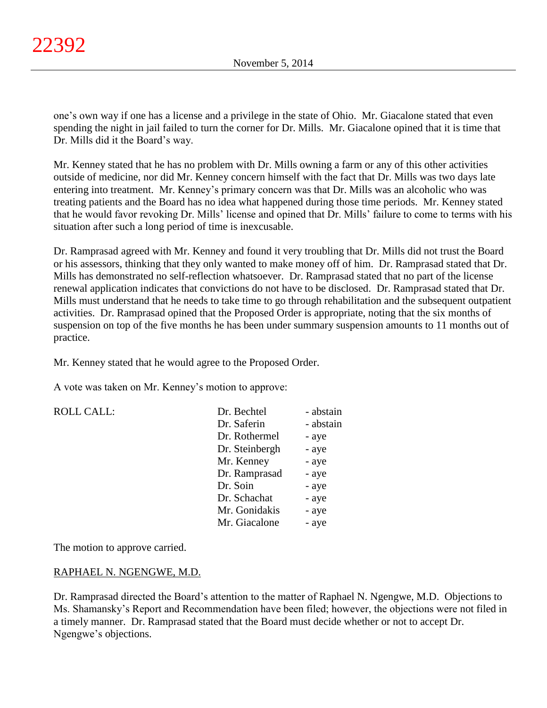one's own way if one has a license and a privilege in the state of Ohio. Mr. Giacalone stated that even spending the night in jail failed to turn the corner for Dr. Mills. Mr. Giacalone opined that it is time that Dr. Mills did it the Board's way.

Mr. Kenney stated that he has no problem with Dr. Mills owning a farm or any of this other activities outside of medicine, nor did Mr. Kenney concern himself with the fact that Dr. Mills was two days late entering into treatment. Mr. Kenney's primary concern was that Dr. Mills was an alcoholic who was treating patients and the Board has no idea what happened during those time periods. Mr. Kenney stated that he would favor revoking Dr. Mills' license and opined that Dr. Mills' failure to come to terms with his situation after such a long period of time is inexcusable.

Dr. Ramprasad agreed with Mr. Kenney and found it very troubling that Dr. Mills did not trust the Board or his assessors, thinking that they only wanted to make money off of him. Dr. Ramprasad stated that Dr. Mills has demonstrated no self-reflection whatsoever. Dr. Ramprasad stated that no part of the license renewal application indicates that convictions do not have to be disclosed. Dr. Ramprasad stated that Dr. Mills must understand that he needs to take time to go through rehabilitation and the subsequent outpatient activities. Dr. Ramprasad opined that the Proposed Order is appropriate, noting that the six months of suspension on top of the five months he has been under summary suspension amounts to 11 months out of practice.

Mr. Kenney stated that he would agree to the Proposed Order.

A vote was taken on Mr. Kenney's motion to approve:

| <b>ROLL CALL:</b> | Dr. Bechtel    | - abstain |
|-------------------|----------------|-----------|
|                   | Dr. Saferin    | - abstain |
|                   | Dr. Rothermel  | - aye     |
|                   | Dr. Steinbergh | - aye     |
|                   | Mr. Kenney     | - aye     |
|                   | Dr. Ramprasad  | - aye     |
|                   | Dr. Soin       | - aye     |
|                   | Dr. Schachat   | - aye     |
|                   | Mr. Gonidakis  | - aye     |
|                   | Mr. Giacalone  | - aye     |

The motion to approve carried.

### RAPHAEL N. NGENGWE, M.D.

Dr. Ramprasad directed the Board's attention to the matter of Raphael N. Ngengwe, M.D. Objections to Ms. Shamansky's Report and Recommendation have been filed; however, the objections were not filed in a timely manner. Dr. Ramprasad stated that the Board must decide whether or not to accept Dr. Ngengwe's objections.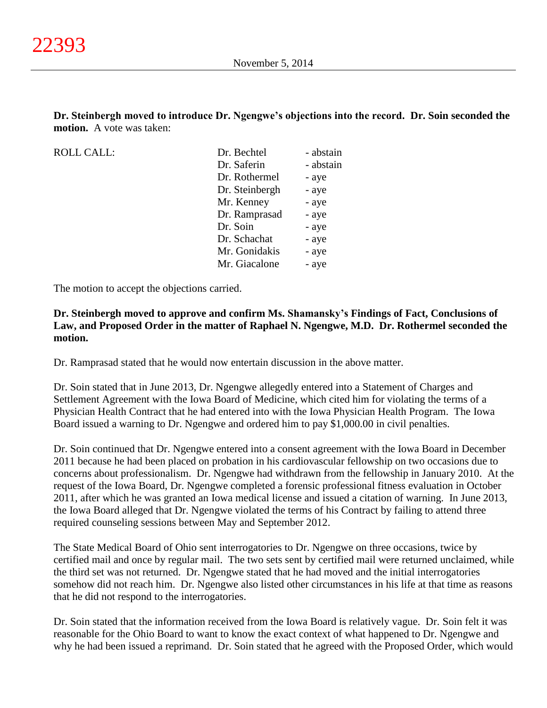**Dr. Steinbergh moved to introduce Dr. Ngengwe's objections into the record. Dr. Soin seconded the motion.** A vote was taken:

ROLL CALL:

| Dr. Bechtel    | - abstain |
|----------------|-----------|
| Dr. Saferin    | - abstain |
| Dr. Rothermel  | - aye     |
| Dr. Steinbergh | - aye     |
| Mr. Kenney     | - aye     |
| Dr. Ramprasad  | - aye     |
| Dr. Soin       | - aye     |
| Dr. Schachat   | - aye     |
| Mr. Gonidakis  | - aye     |
| Mr. Giacalone  | - aye     |
|                |           |

The motion to accept the objections carried.

**Dr. Steinbergh moved to approve and confirm Ms. Shamansky's Findings of Fact, Conclusions of Law, and Proposed Order in the matter of Raphael N. Ngengwe, M.D. Dr. Rothermel seconded the motion.**

Dr. Ramprasad stated that he would now entertain discussion in the above matter.

Dr. Soin stated that in June 2013, Dr. Ngengwe allegedly entered into a Statement of Charges and Settlement Agreement with the Iowa Board of Medicine, which cited him for violating the terms of a Physician Health Contract that he had entered into with the Iowa Physician Health Program. The Iowa Board issued a warning to Dr. Ngengwe and ordered him to pay \$1,000.00 in civil penalties.

Dr. Soin continued that Dr. Ngengwe entered into a consent agreement with the Iowa Board in December 2011 because he had been placed on probation in his cardiovascular fellowship on two occasions due to concerns about professionalism. Dr. Ngengwe had withdrawn from the fellowship in January 2010. At the request of the Iowa Board, Dr. Ngengwe completed a forensic professional fitness evaluation in October 2011, after which he was granted an Iowa medical license and issued a citation of warning. In June 2013, the Iowa Board alleged that Dr. Ngengwe violated the terms of his Contract by failing to attend three required counseling sessions between May and September 2012.

The State Medical Board of Ohio sent interrogatories to Dr. Ngengwe on three occasions, twice by certified mail and once by regular mail. The two sets sent by certified mail were returned unclaimed, while the third set was not returned. Dr. Ngengwe stated that he had moved and the initial interrogatories somehow did not reach him. Dr. Ngengwe also listed other circumstances in his life at that time as reasons that he did not respond to the interrogatories.

Dr. Soin stated that the information received from the Iowa Board is relatively vague. Dr. Soin felt it was reasonable for the Ohio Board to want to know the exact context of what happened to Dr. Ngengwe and why he had been issued a reprimand. Dr. Soin stated that he agreed with the Proposed Order, which would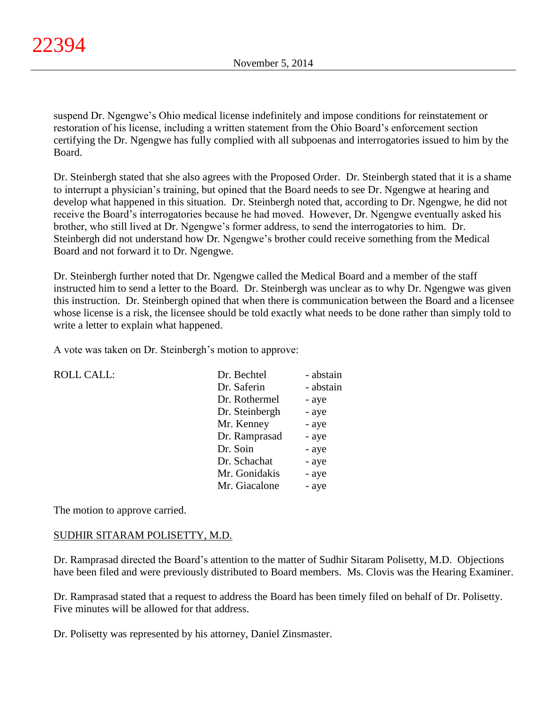suspend Dr. Ngengwe's Ohio medical license indefinitely and impose conditions for reinstatement or restoration of his license, including a written statement from the Ohio Board's enforcement section certifying the Dr. Ngengwe has fully complied with all subpoenas and interrogatories issued to him by the Board.

Dr. Steinbergh stated that she also agrees with the Proposed Order. Dr. Steinbergh stated that it is a shame to interrupt a physician's training, but opined that the Board needs to see Dr. Ngengwe at hearing and develop what happened in this situation. Dr. Steinbergh noted that, according to Dr. Ngengwe, he did not receive the Board's interrogatories because he had moved. However, Dr. Ngengwe eventually asked his brother, who still lived at Dr. Ngengwe's former address, to send the interrogatories to him. Dr. Steinbergh did not understand how Dr. Ngengwe's brother could receive something from the Medical Board and not forward it to Dr. Ngengwe.

Dr. Steinbergh further noted that Dr. Ngengwe called the Medical Board and a member of the staff instructed him to send a letter to the Board. Dr. Steinbergh was unclear as to why Dr. Ngengwe was given this instruction. Dr. Steinbergh opined that when there is communication between the Board and a licensee whose license is a risk, the licensee should be told exactly what needs to be done rather than simply told to write a letter to explain what happened.

A vote was taken on Dr. Steinbergh's motion to approve:

| <b>ROLL CALL:</b> | Dr. Bechtel    | - abstain |
|-------------------|----------------|-----------|
|                   | Dr. Saferin    | - abstain |
|                   | Dr. Rothermel  | - aye     |
|                   | Dr. Steinbergh | - aye     |
|                   | Mr. Kenney     | - aye     |
|                   | Dr. Ramprasad  | - aye     |
|                   | Dr. Soin       | - aye     |
|                   | Dr. Schachat   | - aye     |
|                   | Mr. Gonidakis  | - aye     |
|                   | Mr. Giacalone  | - aye     |
|                   |                |           |

The motion to approve carried.

### SUDHIR SITARAM POLISETTY, M.D.

Dr. Ramprasad directed the Board's attention to the matter of Sudhir Sitaram Polisetty, M.D. Objections have been filed and were previously distributed to Board members. Ms. Clovis was the Hearing Examiner.

Dr. Ramprasad stated that a request to address the Board has been timely filed on behalf of Dr. Polisetty. Five minutes will be allowed for that address.

Dr. Polisetty was represented by his attorney, Daniel Zinsmaster.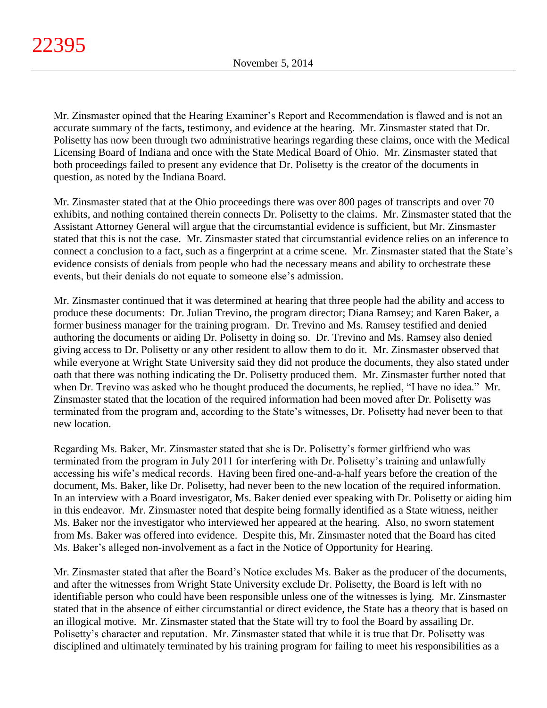Mr. Zinsmaster opined that the Hearing Examiner's Report and Recommendation is flawed and is not an accurate summary of the facts, testimony, and evidence at the hearing. Mr. Zinsmaster stated that Dr. Polisetty has now been through two administrative hearings regarding these claims, once with the Medical Licensing Board of Indiana and once with the State Medical Board of Ohio. Mr. Zinsmaster stated that both proceedings failed to present any evidence that Dr. Polisetty is the creator of the documents in question, as noted by the Indiana Board.

Mr. Zinsmaster stated that at the Ohio proceedings there was over 800 pages of transcripts and over 70 exhibits, and nothing contained therein connects Dr. Polisetty to the claims. Mr. Zinsmaster stated that the Assistant Attorney General will argue that the circumstantial evidence is sufficient, but Mr. Zinsmaster stated that this is not the case. Mr. Zinsmaster stated that circumstantial evidence relies on an inference to connect a conclusion to a fact, such as a fingerprint at a crime scene. Mr. Zinsmaster stated that the State's evidence consists of denials from people who had the necessary means and ability to orchestrate these events, but their denials do not equate to someone else's admission.

Mr. Zinsmaster continued that it was determined at hearing that three people had the ability and access to produce these documents: Dr. Julian Trevino, the program director; Diana Ramsey; and Karen Baker, a former business manager for the training program. Dr. Trevino and Ms. Ramsey testified and denied authoring the documents or aiding Dr. Polisetty in doing so. Dr. Trevino and Ms. Ramsey also denied giving access to Dr. Polisetty or any other resident to allow them to do it. Mr. Zinsmaster observed that while everyone at Wright State University said they did not produce the documents, they also stated under oath that there was nothing indicating the Dr. Polisetty produced them. Mr. Zinsmaster further noted that when Dr. Trevino was asked who he thought produced the documents, he replied, "I have no idea." Mr. Zinsmaster stated that the location of the required information had been moved after Dr. Polisetty was terminated from the program and, according to the State's witnesses, Dr. Polisetty had never been to that new location.

Regarding Ms. Baker, Mr. Zinsmaster stated that she is Dr. Polisetty's former girlfriend who was terminated from the program in July 2011 for interfering with Dr. Polisetty's training and unlawfully accessing his wife's medical records. Having been fired one-and-a-half years before the creation of the document, Ms. Baker, like Dr. Polisetty, had never been to the new location of the required information. In an interview with a Board investigator, Ms. Baker denied ever speaking with Dr. Polisetty or aiding him in this endeavor. Mr. Zinsmaster noted that despite being formally identified as a State witness, neither Ms. Baker nor the investigator who interviewed her appeared at the hearing. Also, no sworn statement from Ms. Baker was offered into evidence. Despite this, Mr. Zinsmaster noted that the Board has cited Ms. Baker's alleged non-involvement as a fact in the Notice of Opportunity for Hearing.

Mr. Zinsmaster stated that after the Board's Notice excludes Ms. Baker as the producer of the documents, and after the witnesses from Wright State University exclude Dr. Polisetty, the Board is left with no identifiable person who could have been responsible unless one of the witnesses is lying. Mr. Zinsmaster stated that in the absence of either circumstantial or direct evidence, the State has a theory that is based on an illogical motive. Mr. Zinsmaster stated that the State will try to fool the Board by assailing Dr. Polisetty's character and reputation. Mr. Zinsmaster stated that while it is true that Dr. Polisetty was disciplined and ultimately terminated by his training program for failing to meet his responsibilities as a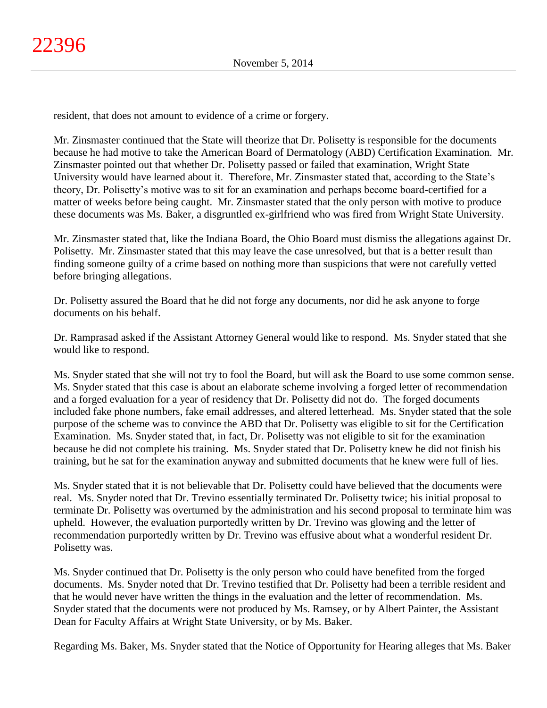resident, that does not amount to evidence of a crime or forgery.

Mr. Zinsmaster continued that the State will theorize that Dr. Polisetty is responsible for the documents because he had motive to take the American Board of Dermatology (ABD) Certification Examination. Mr. Zinsmaster pointed out that whether Dr. Polisetty passed or failed that examination, Wright State University would have learned about it. Therefore, Mr. Zinsmaster stated that, according to the State's theory, Dr. Polisetty's motive was to sit for an examination and perhaps become board-certified for a matter of weeks before being caught. Mr. Zinsmaster stated that the only person with motive to produce these documents was Ms. Baker, a disgruntled ex-girlfriend who was fired from Wright State University.

Mr. Zinsmaster stated that, like the Indiana Board, the Ohio Board must dismiss the allegations against Dr. Polisetty. Mr. Zinsmaster stated that this may leave the case unresolved, but that is a better result than finding someone guilty of a crime based on nothing more than suspicions that were not carefully vetted before bringing allegations.

Dr. Polisetty assured the Board that he did not forge any documents, nor did he ask anyone to forge documents on his behalf.

Dr. Ramprasad asked if the Assistant Attorney General would like to respond. Ms. Snyder stated that she would like to respond.

Ms. Snyder stated that she will not try to fool the Board, but will ask the Board to use some common sense. Ms. Snyder stated that this case is about an elaborate scheme involving a forged letter of recommendation and a forged evaluation for a year of residency that Dr. Polisetty did not do. The forged documents included fake phone numbers, fake email addresses, and altered letterhead. Ms. Snyder stated that the sole purpose of the scheme was to convince the ABD that Dr. Polisetty was eligible to sit for the Certification Examination. Ms. Snyder stated that, in fact, Dr. Polisetty was not eligible to sit for the examination because he did not complete his training. Ms. Snyder stated that Dr. Polisetty knew he did not finish his training, but he sat for the examination anyway and submitted documents that he knew were full of lies.

Ms. Snyder stated that it is not believable that Dr. Polisetty could have believed that the documents were real. Ms. Snyder noted that Dr. Trevino essentially terminated Dr. Polisetty twice; his initial proposal to terminate Dr. Polisetty was overturned by the administration and his second proposal to terminate him was upheld. However, the evaluation purportedly written by Dr. Trevino was glowing and the letter of recommendation purportedly written by Dr. Trevino was effusive about what a wonderful resident Dr. Polisetty was.

Ms. Snyder continued that Dr. Polisetty is the only person who could have benefited from the forged documents. Ms. Snyder noted that Dr. Trevino testified that Dr. Polisetty had been a terrible resident and that he would never have written the things in the evaluation and the letter of recommendation. Ms. Snyder stated that the documents were not produced by Ms. Ramsey, or by Albert Painter, the Assistant Dean for Faculty Affairs at Wright State University, or by Ms. Baker.

Regarding Ms. Baker, Ms. Snyder stated that the Notice of Opportunity for Hearing alleges that Ms. Baker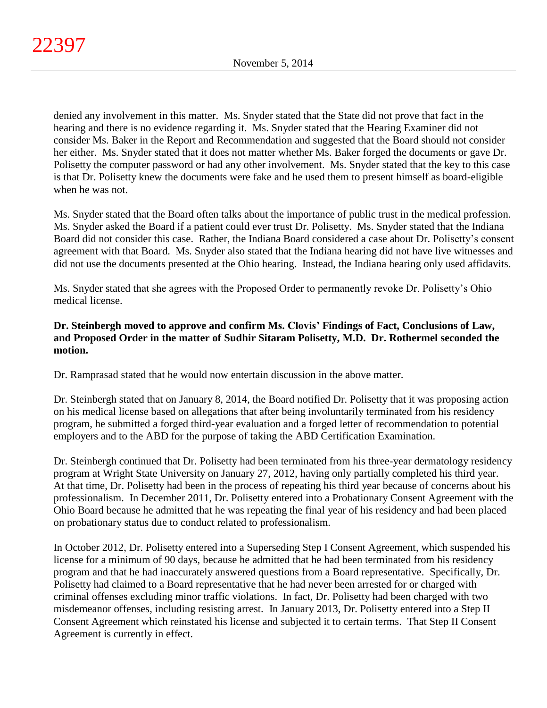denied any involvement in this matter. Ms. Snyder stated that the State did not prove that fact in the hearing and there is no evidence regarding it. Ms. Snyder stated that the Hearing Examiner did not consider Ms. Baker in the Report and Recommendation and suggested that the Board should not consider her either. Ms. Snyder stated that it does not matter whether Ms. Baker forged the documents or gave Dr. Polisetty the computer password or had any other involvement. Ms. Snyder stated that the key to this case is that Dr. Polisetty knew the documents were fake and he used them to present himself as board-eligible when he was not.

Ms. Snyder stated that the Board often talks about the importance of public trust in the medical profession. Ms. Snyder asked the Board if a patient could ever trust Dr. Polisetty. Ms. Snyder stated that the Indiana Board did not consider this case. Rather, the Indiana Board considered a case about Dr. Polisetty's consent agreement with that Board. Ms. Snyder also stated that the Indiana hearing did not have live witnesses and did not use the documents presented at the Ohio hearing. Instead, the Indiana hearing only used affidavits.

Ms. Snyder stated that she agrees with the Proposed Order to permanently revoke Dr. Polisetty's Ohio medical license.

## **Dr. Steinbergh moved to approve and confirm Ms. Clovis' Findings of Fact, Conclusions of Law, and Proposed Order in the matter of Sudhir Sitaram Polisetty, M.D. Dr. Rothermel seconded the motion.**

Dr. Ramprasad stated that he would now entertain discussion in the above matter.

Dr. Steinbergh stated that on January 8, 2014, the Board notified Dr. Polisetty that it was proposing action on his medical license based on allegations that after being involuntarily terminated from his residency program, he submitted a forged third-year evaluation and a forged letter of recommendation to potential employers and to the ABD for the purpose of taking the ABD Certification Examination.

Dr. Steinbergh continued that Dr. Polisetty had been terminated from his three-year dermatology residency program at Wright State University on January 27, 2012, having only partially completed his third year. At that time, Dr. Polisetty had been in the process of repeating his third year because of concerns about his professionalism. In December 2011, Dr. Polisetty entered into a Probationary Consent Agreement with the Ohio Board because he admitted that he was repeating the final year of his residency and had been placed on probationary status due to conduct related to professionalism.

In October 2012, Dr. Polisetty entered into a Superseding Step I Consent Agreement, which suspended his license for a minimum of 90 days, because he admitted that he had been terminated from his residency program and that he had inaccurately answered questions from a Board representative. Specifically, Dr. Polisetty had claimed to a Board representative that he had never been arrested for or charged with criminal offenses excluding minor traffic violations. In fact, Dr. Polisetty had been charged with two misdemeanor offenses, including resisting arrest. In January 2013, Dr. Polisetty entered into a Step II Consent Agreement which reinstated his license and subjected it to certain terms. That Step II Consent Agreement is currently in effect.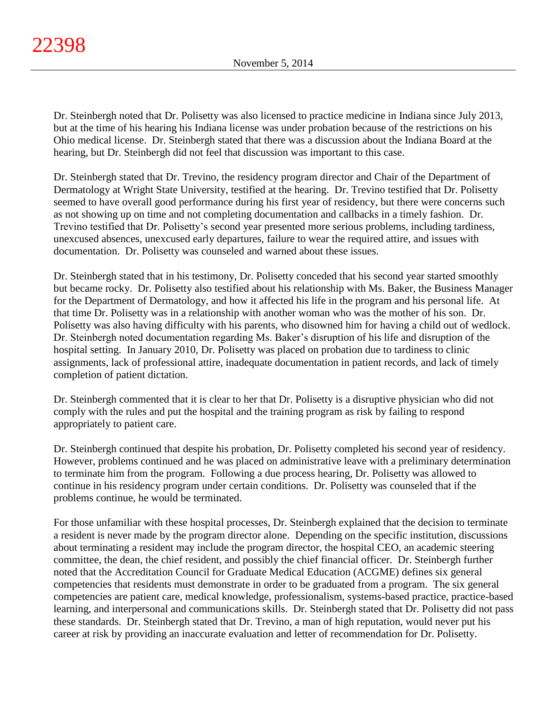Dr. Steinbergh noted that Dr. Polisetty was also licensed to practice medicine in Indiana since July 2013, but at the time of his hearing his Indiana license was under probation because of the restrictions on his Ohio medical license. Dr. Steinbergh stated that there was a discussion about the Indiana Board at the hearing, but Dr. Steinbergh did not feel that discussion was important to this case.

Dr. Steinbergh stated that Dr. Trevino, the residency program director and Chair of the Department of Dermatology at Wright State University, testified at the hearing. Dr. Trevino testified that Dr. Polisetty seemed to have overall good performance during his first year of residency, but there were concerns such as not showing up on time and not completing documentation and callbacks in a timely fashion. Dr. Trevino testified that Dr. Polisetty's second year presented more serious problems, including tardiness, unexcused absences, unexcused early departures, failure to wear the required attire, and issues with documentation. Dr. Polisetty was counseled and warned about these issues.

Dr. Steinbergh stated that in his testimony, Dr. Polisetty conceded that his second year started smoothly but became rocky. Dr. Polisetty also testified about his relationship with Ms. Baker, the Business Manager for the Department of Dermatology, and how it affected his life in the program and his personal life. At that time Dr. Polisetty was in a relationship with another woman who was the mother of his son. Dr. Polisetty was also having difficulty with his parents, who disowned him for having a child out of wedlock. Dr. Steinbergh noted documentation regarding Ms. Baker's disruption of his life and disruption of the hospital setting. In January 2010, Dr. Polisetty was placed on probation due to tardiness to clinic assignments, lack of professional attire, inadequate documentation in patient records, and lack of timely completion of patient dictation.

Dr. Steinbergh commented that it is clear to her that Dr. Polisetty is a disruptive physician who did not comply with the rules and put the hospital and the training program as risk by failing to respond appropriately to patient care.

Dr. Steinbergh continued that despite his probation, Dr. Polisetty completed his second year of residency. However, problems continued and he was placed on administrative leave with a preliminary determination to terminate him from the program. Following a due process hearing, Dr. Polisetty was allowed to continue in his residency program under certain conditions. Dr. Polisetty was counseled that if the problems continue, he would be terminated.

For those unfamiliar with these hospital processes, Dr. Steinbergh explained that the decision to terminate a resident is never made by the program director alone. Depending on the specific institution, discussions about terminating a resident may include the program director, the hospital CEO, an academic steering committee, the dean, the chief resident, and possibly the chief financial officer. Dr. Steinbergh further noted that the Accreditation Council for Graduate Medical Education (ACGME) defines six general competencies that residents must demonstrate in order to be graduated from a program. The six general competencies are patient care, medical knowledge, professionalism, systems-based practice, practice-based learning, and interpersonal and communications skills. Dr. Steinbergh stated that Dr. Polisetty did not pass these standards. Dr. Steinbergh stated that Dr. Trevino, a man of high reputation, would never put his career at risk by providing an inaccurate evaluation and letter of recommendation for Dr. Polisetty.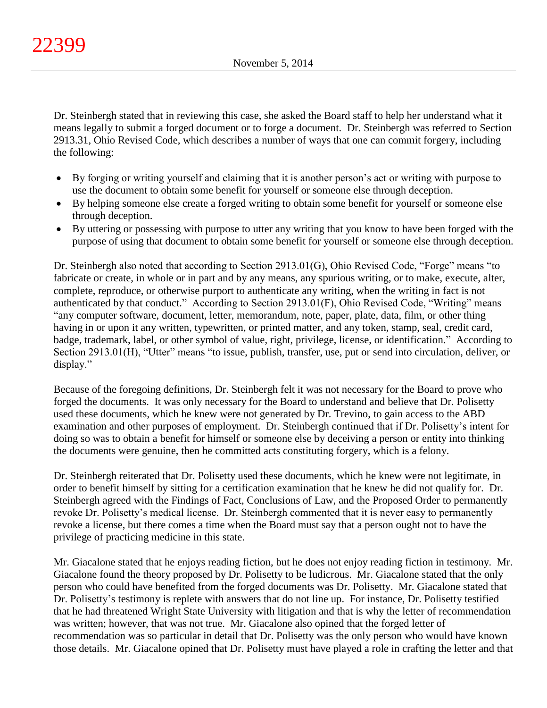Dr. Steinbergh stated that in reviewing this case, she asked the Board staff to help her understand what it means legally to submit a forged document or to forge a document. Dr. Steinbergh was referred to Section 2913.31, Ohio Revised Code, which describes a number of ways that one can commit forgery, including the following:

- By forging or writing yourself and claiming that it is another person's act or writing with purpose to use the document to obtain some benefit for yourself or someone else through deception.
- By helping someone else create a forged writing to obtain some benefit for yourself or someone else through deception.
- By uttering or possessing with purpose to utter any writing that you know to have been forged with the purpose of using that document to obtain some benefit for yourself or someone else through deception.

Dr. Steinbergh also noted that according to Section 2913.01(G), Ohio Revised Code, "Forge" means "to fabricate or create, in whole or in part and by any means, any spurious writing, or to make, execute, alter, complete, reproduce, or otherwise purport to authenticate any writing, when the writing in fact is not authenticated by that conduct." According to Section 2913.01(F), Ohio Revised Code, "Writing" means "any computer software, document, letter, memorandum, note, paper, plate, data, film, or other thing having in or upon it any written, typewritten, or printed matter, and any token, stamp, seal, credit card, badge, trademark, label, or other symbol of value, right, privilege, license, or identification." According to Section 2913.01(H), "Utter" means "to issue, publish, transfer, use, put or send into circulation, deliver, or display."

Because of the foregoing definitions, Dr. Steinbergh felt it was not necessary for the Board to prove who forged the documents. It was only necessary for the Board to understand and believe that Dr. Polisetty used these documents, which he knew were not generated by Dr. Trevino, to gain access to the ABD examination and other purposes of employment. Dr. Steinbergh continued that if Dr. Polisetty's intent for doing so was to obtain a benefit for himself or someone else by deceiving a person or entity into thinking the documents were genuine, then he committed acts constituting forgery, which is a felony.

Dr. Steinbergh reiterated that Dr. Polisetty used these documents, which he knew were not legitimate, in order to benefit himself by sitting for a certification examination that he knew he did not qualify for. Dr. Steinbergh agreed with the Findings of Fact, Conclusions of Law, and the Proposed Order to permanently revoke Dr. Polisetty's medical license. Dr. Steinbergh commented that it is never easy to permanently revoke a license, but there comes a time when the Board must say that a person ought not to have the privilege of practicing medicine in this state.

Mr. Giacalone stated that he enjoys reading fiction, but he does not enjoy reading fiction in testimony. Mr. Giacalone found the theory proposed by Dr. Polisetty to be ludicrous. Mr. Giacalone stated that the only person who could have benefited from the forged documents was Dr. Polisetty. Mr. Giacalone stated that Dr. Polisetty's testimony is replete with answers that do not line up. For instance, Dr. Polisetty testified that he had threatened Wright State University with litigation and that is why the letter of recommendation was written; however, that was not true. Mr. Giacalone also opined that the forged letter of recommendation was so particular in detail that Dr. Polisetty was the only person who would have known those details. Mr. Giacalone opined that Dr. Polisetty must have played a role in crafting the letter and that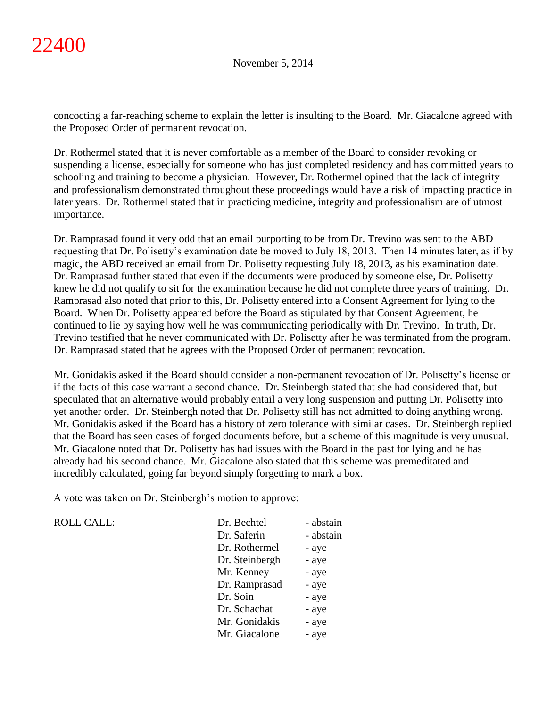concocting a far-reaching scheme to explain the letter is insulting to the Board. Mr. Giacalone agreed with the Proposed Order of permanent revocation.

Dr. Rothermel stated that it is never comfortable as a member of the Board to consider revoking or suspending a license, especially for someone who has just completed residency and has committed years to schooling and training to become a physician. However, Dr. Rothermel opined that the lack of integrity and professionalism demonstrated throughout these proceedings would have a risk of impacting practice in later years. Dr. Rothermel stated that in practicing medicine, integrity and professionalism are of utmost importance.

Dr. Ramprasad found it very odd that an email purporting to be from Dr. Trevino was sent to the ABD requesting that Dr. Polisetty's examination date be moved to July 18, 2013. Then 14 minutes later, as if by magic, the ABD received an email from Dr. Polisetty requesting July 18, 2013, as his examination date. Dr. Ramprasad further stated that even if the documents were produced by someone else, Dr. Polisetty knew he did not qualify to sit for the examination because he did not complete three years of training. Dr. Ramprasad also noted that prior to this, Dr. Polisetty entered into a Consent Agreement for lying to the Board. When Dr. Polisetty appeared before the Board as stipulated by that Consent Agreement, he continued to lie by saying how well he was communicating periodically with Dr. Trevino. In truth, Dr. Trevino testified that he never communicated with Dr. Polisetty after he was terminated from the program. Dr. Ramprasad stated that he agrees with the Proposed Order of permanent revocation.

Mr. Gonidakis asked if the Board should consider a non-permanent revocation of Dr. Polisetty's license or if the facts of this case warrant a second chance. Dr. Steinbergh stated that she had considered that, but speculated that an alternative would probably entail a very long suspension and putting Dr. Polisetty into yet another order. Dr. Steinbergh noted that Dr. Polisetty still has not admitted to doing anything wrong. Mr. Gonidakis asked if the Board has a history of zero tolerance with similar cases. Dr. Steinbergh replied that the Board has seen cases of forged documents before, but a scheme of this magnitude is very unusual. Mr. Giacalone noted that Dr. Polisetty has had issues with the Board in the past for lying and he has already had his second chance. Mr. Giacalone also stated that this scheme was premeditated and incredibly calculated, going far beyond simply forgetting to mark a box.

A vote was taken on Dr. Steinbergh's motion to approve:

| <b>ROLL CALL:</b> | Dr. Bechtel    | - abstain |
|-------------------|----------------|-----------|
|                   | Dr. Saferin    | - abstain |
|                   | Dr. Rothermel  | - aye     |
|                   | Dr. Steinbergh | - aye     |
|                   | Mr. Kenney     | - aye     |
|                   | Dr. Ramprasad  | - aye     |
|                   | Dr. Soin       | - aye     |
|                   | Dr. Schachat   | - aye     |
|                   | Mr. Gonidakis  | - aye     |
|                   | Mr. Giacalone  | - aye     |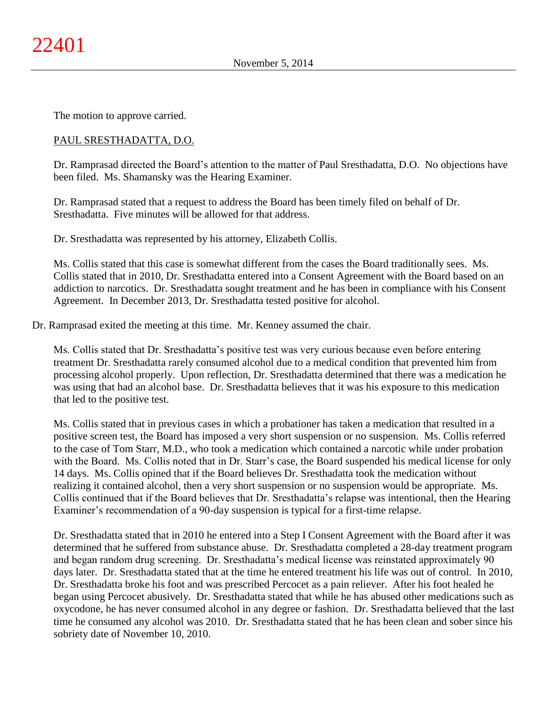The motion to approve carried.

## PAUL SRESTHADATTA, D.O.

Dr. Ramprasad directed the Board's attention to the matter of Paul Sresthadatta, D.O. No objections have been filed. Ms. Shamansky was the Hearing Examiner.

Dr. Ramprasad stated that a request to address the Board has been timely filed on behalf of Dr. Sresthadatta. Five minutes will be allowed for that address.

Dr. Sresthadatta was represented by his attorney, Elizabeth Collis.

Ms. Collis stated that this case is somewhat different from the cases the Board traditionally sees. Ms. Collis stated that in 2010, Dr. Sresthadatta entered into a Consent Agreement with the Board based on an addiction to narcotics. Dr. Sresthadatta sought treatment and he has been in compliance with his Consent Agreement. In December 2013, Dr. Sresthadatta tested positive for alcohol.

Dr. Ramprasad exited the meeting at this time. Mr. Kenney assumed the chair.

Ms. Collis stated that Dr. Sresthadatta's positive test was very curious because even before entering treatment Dr. Sresthadatta rarely consumed alcohol due to a medical condition that prevented him from processing alcohol properly. Upon reflection, Dr. Sresthadatta determined that there was a medication he was using that had an alcohol base. Dr. Sresthadatta believes that it was his exposure to this medication that led to the positive test.

Ms. Collis stated that in previous cases in which a probationer has taken a medication that resulted in a positive screen test, the Board has imposed a very short suspension or no suspension. Ms. Collis referred to the case of Tom Starr, M.D., who took a medication which contained a narcotic while under probation with the Board. Ms. Collis noted that in Dr. Starr's case, the Board suspended his medical license for only 14 days. Ms. Collis opined that if the Board believes Dr. Sresthadatta took the medication without realizing it contained alcohol, then a very short suspension or no suspension would be appropriate. Ms. Collis continued that if the Board believes that Dr. Sresthadatta's relapse was intentional, then the Hearing Examiner's recommendation of a 90-day suspension is typical for a first-time relapse.

Dr. Sresthadatta stated that in 2010 he entered into a Step I Consent Agreement with the Board after it was determined that he suffered from substance abuse. Dr. Sresthadatta completed a 28-day treatment program and began random drug screening. Dr. Sresthadatta's medical license was reinstated approximately 90 days later. Dr. Sresthadatta stated that at the time he entered treatment his life was out of control. In 2010, Dr. Sresthadatta broke his foot and was prescribed Percocet as a pain reliever. After his foot healed he began using Percocet abusively. Dr. Sresthadatta stated that while he has abused other medications such as oxycodone, he has never consumed alcohol in any degree or fashion. Dr. Sresthadatta believed that the last time he consumed any alcohol was 2010. Dr. Sresthadatta stated that he has been clean and sober since his sobriety date of November 10, 2010.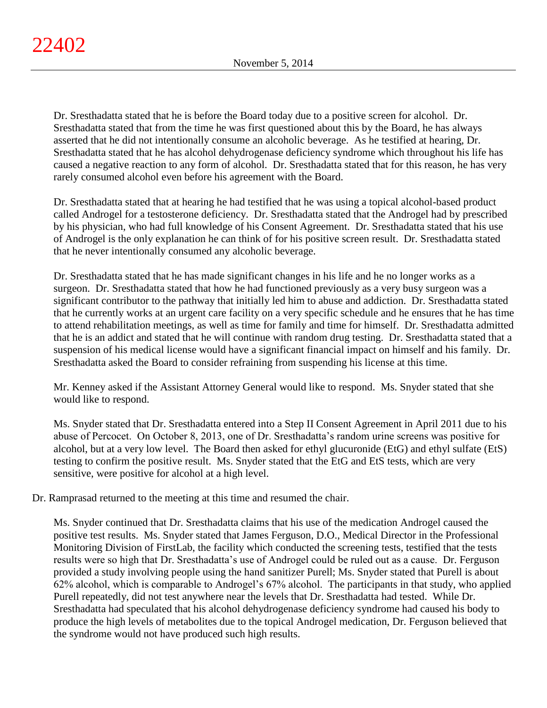Dr. Sresthadatta stated that he is before the Board today due to a positive screen for alcohol. Dr. Sresthadatta stated that from the time he was first questioned about this by the Board, he has always asserted that he did not intentionally consume an alcoholic beverage. As he testified at hearing, Dr. Sresthadatta stated that he has alcohol dehydrogenase deficiency syndrome which throughout his life has caused a negative reaction to any form of alcohol. Dr. Sresthadatta stated that for this reason, he has very rarely consumed alcohol even before his agreement with the Board.

Dr. Sresthadatta stated that at hearing he had testified that he was using a topical alcohol-based product called Androgel for a testosterone deficiency. Dr. Sresthadatta stated that the Androgel had by prescribed by his physician, who had full knowledge of his Consent Agreement. Dr. Sresthadatta stated that his use of Androgel is the only explanation he can think of for his positive screen result. Dr. Sresthadatta stated that he never intentionally consumed any alcoholic beverage.

Dr. Sresthadatta stated that he has made significant changes in his life and he no longer works as a surgeon. Dr. Sresthadatta stated that how he had functioned previously as a very busy surgeon was a significant contributor to the pathway that initially led him to abuse and addiction. Dr. Sresthadatta stated that he currently works at an urgent care facility on a very specific schedule and he ensures that he has time to attend rehabilitation meetings, as well as time for family and time for himself. Dr. Sresthadatta admitted that he is an addict and stated that he will continue with random drug testing. Dr. Sresthadatta stated that a suspension of his medical license would have a significant financial impact on himself and his family. Dr. Sresthadatta asked the Board to consider refraining from suspending his license at this time.

Mr. Kenney asked if the Assistant Attorney General would like to respond. Ms. Snyder stated that she would like to respond.

Ms. Snyder stated that Dr. Sresthadatta entered into a Step II Consent Agreement in April 2011 due to his abuse of Percocet. On October 8, 2013, one of Dr. Sresthadatta's random urine screens was positive for alcohol, but at a very low level. The Board then asked for ethyl glucuronide (EtG) and ethyl sulfate (EtS) testing to confirm the positive result. Ms. Snyder stated that the EtG and EtS tests, which are very sensitive, were positive for alcohol at a high level.

Dr. Ramprasad returned to the meeting at this time and resumed the chair.

Ms. Snyder continued that Dr. Sresthadatta claims that his use of the medication Androgel caused the positive test results. Ms. Snyder stated that James Ferguson, D.O., Medical Director in the Professional Monitoring Division of FirstLab, the facility which conducted the screening tests, testified that the tests results were so high that Dr. Sresthadatta's use of Androgel could be ruled out as a cause. Dr. Ferguson provided a study involving people using the hand sanitizer Purell; Ms. Snyder stated that Purell is about 62% alcohol, which is comparable to Androgel's 67% alcohol. The participants in that study, who applied Purell repeatedly, did not test anywhere near the levels that Dr. Sresthadatta had tested. While Dr. Sresthadatta had speculated that his alcohol dehydrogenase deficiency syndrome had caused his body to produce the high levels of metabolites due to the topical Androgel medication, Dr. Ferguson believed that the syndrome would not have produced such high results.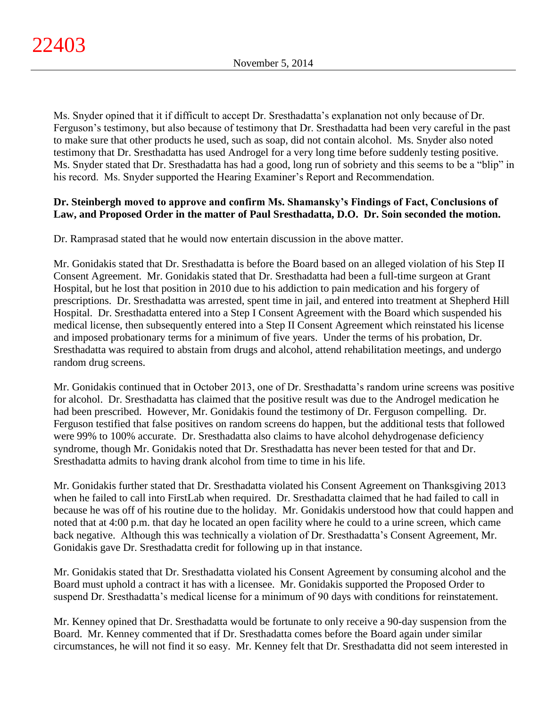Ms. Snyder opined that it if difficult to accept Dr. Sresthadatta's explanation not only because of Dr. Ferguson's testimony, but also because of testimony that Dr. Sresthadatta had been very careful in the past to make sure that other products he used, such as soap, did not contain alcohol. Ms. Snyder also noted testimony that Dr. Sresthadatta has used Androgel for a very long time before suddenly testing positive. Ms. Snyder stated that Dr. Sresthadatta has had a good, long run of sobriety and this seems to be a "blip" in his record. Ms. Snyder supported the Hearing Examiner's Report and Recommendation.

## **Dr. Steinbergh moved to approve and confirm Ms. Shamansky's Findings of Fact, Conclusions of Law, and Proposed Order in the matter of Paul Sresthadatta, D.O. Dr. Soin seconded the motion.**

Dr. Ramprasad stated that he would now entertain discussion in the above matter.

Mr. Gonidakis stated that Dr. Sresthadatta is before the Board based on an alleged violation of his Step II Consent Agreement. Mr. Gonidakis stated that Dr. Sresthadatta had been a full-time surgeon at Grant Hospital, but he lost that position in 2010 due to his addiction to pain medication and his forgery of prescriptions. Dr. Sresthadatta was arrested, spent time in jail, and entered into treatment at Shepherd Hill Hospital. Dr. Sresthadatta entered into a Step I Consent Agreement with the Board which suspended his medical license, then subsequently entered into a Step II Consent Agreement which reinstated his license and imposed probationary terms for a minimum of five years. Under the terms of his probation, Dr. Sresthadatta was required to abstain from drugs and alcohol, attend rehabilitation meetings, and undergo random drug screens.

Mr. Gonidakis continued that in October 2013, one of Dr. Sresthadatta's random urine screens was positive for alcohol. Dr. Sresthadatta has claimed that the positive result was due to the Androgel medication he had been prescribed. However, Mr. Gonidakis found the testimony of Dr. Ferguson compelling. Dr. Ferguson testified that false positives on random screens do happen, but the additional tests that followed were 99% to 100% accurate. Dr. Sresthadatta also claims to have alcohol dehydrogenase deficiency syndrome, though Mr. Gonidakis noted that Dr. Sresthadatta has never been tested for that and Dr. Sresthadatta admits to having drank alcohol from time to time in his life.

Mr. Gonidakis further stated that Dr. Sresthadatta violated his Consent Agreement on Thanksgiving 2013 when he failed to call into FirstLab when required. Dr. Sresthadatta claimed that he had failed to call in because he was off of his routine due to the holiday. Mr. Gonidakis understood how that could happen and noted that at 4:00 p.m. that day he located an open facility where he could to a urine screen, which came back negative. Although this was technically a violation of Dr. Sresthadatta's Consent Agreement, Mr. Gonidakis gave Dr. Sresthadatta credit for following up in that instance.

Mr. Gonidakis stated that Dr. Sresthadatta violated his Consent Agreement by consuming alcohol and the Board must uphold a contract it has with a licensee. Mr. Gonidakis supported the Proposed Order to suspend Dr. Sresthadatta's medical license for a minimum of 90 days with conditions for reinstatement.

Mr. Kenney opined that Dr. Sresthadatta would be fortunate to only receive a 90-day suspension from the Board. Mr. Kenney commented that if Dr. Sresthadatta comes before the Board again under similar circumstances, he will not find it so easy. Mr. Kenney felt that Dr. Sresthadatta did not seem interested in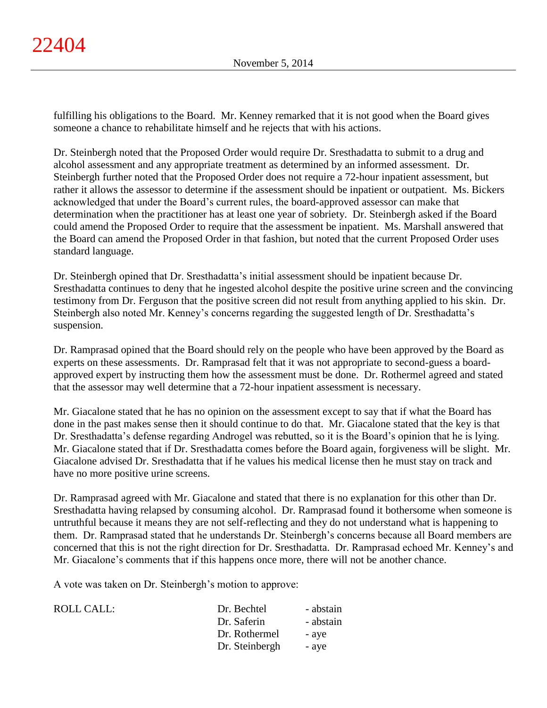fulfilling his obligations to the Board. Mr. Kenney remarked that it is not good when the Board gives someone a chance to rehabilitate himself and he rejects that with his actions.

Dr. Steinbergh noted that the Proposed Order would require Dr. Sresthadatta to submit to a drug and alcohol assessment and any appropriate treatment as determined by an informed assessment. Dr. Steinbergh further noted that the Proposed Order does not require a 72-hour inpatient assessment, but rather it allows the assessor to determine if the assessment should be inpatient or outpatient. Ms. Bickers acknowledged that under the Board's current rules, the board-approved assessor can make that determination when the practitioner has at least one year of sobriety. Dr. Steinbergh asked if the Board could amend the Proposed Order to require that the assessment be inpatient. Ms. Marshall answered that the Board can amend the Proposed Order in that fashion, but noted that the current Proposed Order uses standard language.

Dr. Steinbergh opined that Dr. Sresthadatta's initial assessment should be inpatient because Dr. Sresthadatta continues to deny that he ingested alcohol despite the positive urine screen and the convincing testimony from Dr. Ferguson that the positive screen did not result from anything applied to his skin. Dr. Steinbergh also noted Mr. Kenney's concerns regarding the suggested length of Dr. Sresthadatta's suspension.

Dr. Ramprasad opined that the Board should rely on the people who have been approved by the Board as experts on these assessments. Dr. Ramprasad felt that it was not appropriate to second-guess a boardapproved expert by instructing them how the assessment must be done. Dr. Rothermel agreed and stated that the assessor may well determine that a 72-hour inpatient assessment is necessary.

Mr. Giacalone stated that he has no opinion on the assessment except to say that if what the Board has done in the past makes sense then it should continue to do that. Mr. Giacalone stated that the key is that Dr. Sresthadatta's defense regarding Androgel was rebutted, so it is the Board's opinion that he is lying. Mr. Giacalone stated that if Dr. Sresthadatta comes before the Board again, forgiveness will be slight. Mr. Giacalone advised Dr. Sresthadatta that if he values his medical license then he must stay on track and have no more positive urine screens.

Dr. Ramprasad agreed with Mr. Giacalone and stated that there is no explanation for this other than Dr. Sresthadatta having relapsed by consuming alcohol. Dr. Ramprasad found it bothersome when someone is untruthful because it means they are not self-reflecting and they do not understand what is happening to them. Dr. Ramprasad stated that he understands Dr. Steinbergh's concerns because all Board members are concerned that this is not the right direction for Dr. Sresthadatta. Dr. Ramprasad echoed Mr. Kenney's and Mr. Giacalone's comments that if this happens once more, there will not be another chance.

A vote was taken on Dr. Steinbergh's motion to approve:

| ROLL CALL: | Dr. Bechtel    | - abstain |
|------------|----------------|-----------|
|            | Dr. Saferin    | - abstain |
|            | Dr. Rothermel  | - ave     |
|            | Dr. Steinbergh | - aye     |
|            |                |           |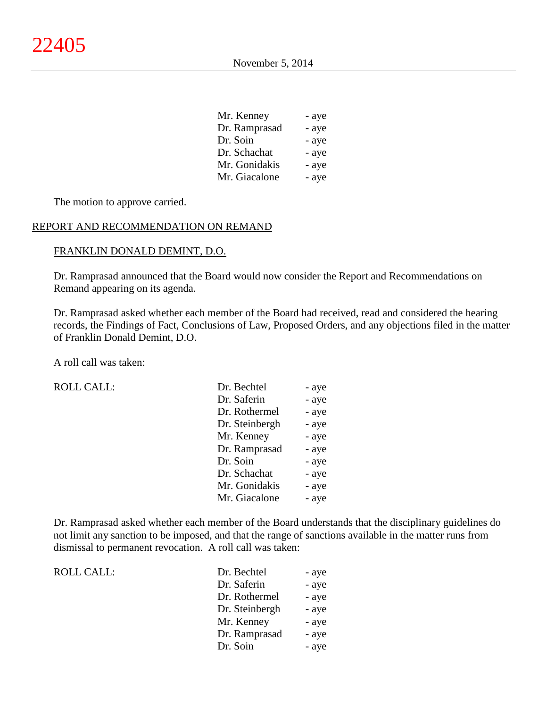| - aye |
|-------|
| - aye |
| - aye |
| - aye |
| - aye |
| - aye |
|       |

The motion to approve carried.

## REPORT AND RECOMMENDATION ON REMAND

#### FRANKLIN DONALD DEMINT, D.O.

Dr. Ramprasad announced that the Board would now consider the Report and Recommendations on Remand appearing on its agenda.

Dr. Ramprasad asked whether each member of the Board had received, read and considered the hearing records, the Findings of Fact, Conclusions of Law, Proposed Orders, and any objections filed in the matter of Franklin Donald Demint, D.O.

A roll call was taken:

ROLL CALL:

ROLL CALL:

| Dr. Bechtel    | - aye |
|----------------|-------|
| Dr. Saferin    | - aye |
| Dr. Rothermel  | - aye |
| Dr. Steinbergh | - aye |
| Mr. Kenney     | - aye |
| Dr. Ramprasad  | - aye |
| Dr. Soin       | - aye |
| Dr. Schachat   | - aye |
| Mr. Gonidakis  | - aye |
| Mr. Giacalone  | - aye |

Dr. Ramprasad asked whether each member of the Board understands that the disciplinary guidelines do not limit any sanction to be imposed, and that the range of sanctions available in the matter runs from dismissal to permanent revocation. A roll call was taken:

| Dr. Bechtel    | - aye |
|----------------|-------|
| Dr. Saferin    | - aye |
| Dr. Rothermel  | - aye |
| Dr. Steinbergh | - aye |
| Mr. Kenney     | - aye |
| Dr. Ramprasad  | - aye |
| Dr. Soin       | - aye |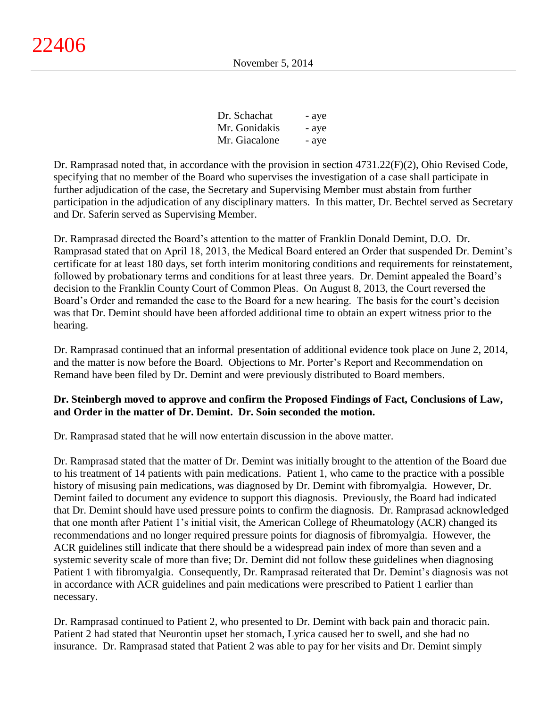| Dr. Schachat  | - aye |
|---------------|-------|
| Mr. Gonidakis | - aye |
| Mr. Giacalone | - aye |

Dr. Ramprasad noted that, in accordance with the provision in section 4731.22(F)(2), Ohio Revised Code, specifying that no member of the Board who supervises the investigation of a case shall participate in further adjudication of the case, the Secretary and Supervising Member must abstain from further participation in the adjudication of any disciplinary matters. In this matter, Dr. Bechtel served as Secretary and Dr. Saferin served as Supervising Member.

Dr. Ramprasad directed the Board's attention to the matter of Franklin Donald Demint, D.O. Dr. Ramprasad stated that on April 18, 2013, the Medical Board entered an Order that suspended Dr. Demint's certificate for at least 180 days, set forth interim monitoring conditions and requirements for reinstatement, followed by probationary terms and conditions for at least three years. Dr. Demint appealed the Board's decision to the Franklin County Court of Common Pleas. On August 8, 2013, the Court reversed the Board's Order and remanded the case to the Board for a new hearing. The basis for the court's decision was that Dr. Demint should have been afforded additional time to obtain an expert witness prior to the hearing.

Dr. Ramprasad continued that an informal presentation of additional evidence took place on June 2, 2014, and the matter is now before the Board. Objections to Mr. Porter's Report and Recommendation on Remand have been filed by Dr. Demint and were previously distributed to Board members.

## **Dr. Steinbergh moved to approve and confirm the Proposed Findings of Fact, Conclusions of Law, and Order in the matter of Dr. Demint. Dr. Soin seconded the motion.**

Dr. Ramprasad stated that he will now entertain discussion in the above matter.

Dr. Ramprasad stated that the matter of Dr. Demint was initially brought to the attention of the Board due to his treatment of 14 patients with pain medications. Patient 1, who came to the practice with a possible history of misusing pain medications, was diagnosed by Dr. Demint with fibromyalgia. However, Dr. Demint failed to document any evidence to support this diagnosis. Previously, the Board had indicated that Dr. Demint should have used pressure points to confirm the diagnosis. Dr. Ramprasad acknowledged that one month after Patient 1's initial visit, the American College of Rheumatology (ACR) changed its recommendations and no longer required pressure points for diagnosis of fibromyalgia. However, the ACR guidelines still indicate that there should be a widespread pain index of more than seven and a systemic severity scale of more than five; Dr. Demint did not follow these guidelines when diagnosing Patient 1 with fibromyalgia. Consequently, Dr. Ramprasad reiterated that Dr. Demint's diagnosis was not in accordance with ACR guidelines and pain medications were prescribed to Patient 1 earlier than necessary.

Dr. Ramprasad continued to Patient 2, who presented to Dr. Demint with back pain and thoracic pain. Patient 2 had stated that Neurontin upset her stomach, Lyrica caused her to swell, and she had no insurance. Dr. Ramprasad stated that Patient 2 was able to pay for her visits and Dr. Demint simply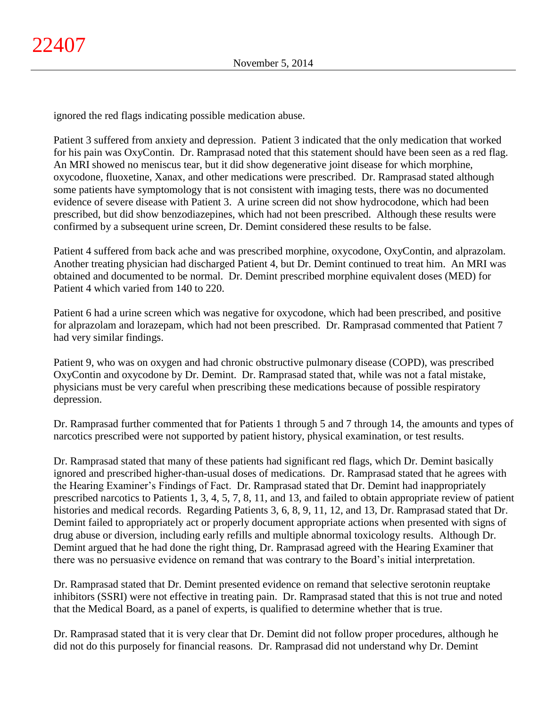ignored the red flags indicating possible medication abuse.

Patient 3 suffered from anxiety and depression. Patient 3 indicated that the only medication that worked for his pain was OxyContin. Dr. Ramprasad noted that this statement should have been seen as a red flag. An MRI showed no meniscus tear, but it did show degenerative joint disease for which morphine, oxycodone, fluoxetine, Xanax, and other medications were prescribed. Dr. Ramprasad stated although some patients have symptomology that is not consistent with imaging tests, there was no documented evidence of severe disease with Patient 3. A urine screen did not show hydrocodone, which had been prescribed, but did show benzodiazepines, which had not been prescribed. Although these results were confirmed by a subsequent urine screen, Dr. Demint considered these results to be false.

Patient 4 suffered from back ache and was prescribed morphine, oxycodone, OxyContin, and alprazolam. Another treating physician had discharged Patient 4, but Dr. Demint continued to treat him. An MRI was obtained and documented to be normal. Dr. Demint prescribed morphine equivalent doses (MED) for Patient 4 which varied from 140 to 220.

Patient 6 had a urine screen which was negative for oxycodone, which had been prescribed, and positive for alprazolam and lorazepam, which had not been prescribed. Dr. Ramprasad commented that Patient 7 had very similar findings.

Patient 9, who was on oxygen and had chronic obstructive pulmonary disease (COPD), was prescribed OxyContin and oxycodone by Dr. Demint. Dr. Ramprasad stated that, while was not a fatal mistake, physicians must be very careful when prescribing these medications because of possible respiratory depression.

Dr. Ramprasad further commented that for Patients 1 through 5 and 7 through 14, the amounts and types of narcotics prescribed were not supported by patient history, physical examination, or test results.

Dr. Ramprasad stated that many of these patients had significant red flags, which Dr. Demint basically ignored and prescribed higher-than-usual doses of medications. Dr. Ramprasad stated that he agrees with the Hearing Examiner's Findings of Fact. Dr. Ramprasad stated that Dr. Demint had inappropriately prescribed narcotics to Patients 1, 3, 4, 5, 7, 8, 11, and 13, and failed to obtain appropriate review of patient histories and medical records. Regarding Patients 3, 6, 8, 9, 11, 12, and 13, Dr. Ramprasad stated that Dr. Demint failed to appropriately act or properly document appropriate actions when presented with signs of drug abuse or diversion, including early refills and multiple abnormal toxicology results. Although Dr. Demint argued that he had done the right thing, Dr. Ramprasad agreed with the Hearing Examiner that there was no persuasive evidence on remand that was contrary to the Board's initial interpretation.

Dr. Ramprasad stated that Dr. Demint presented evidence on remand that selective serotonin reuptake inhibitors (SSRI) were not effective in treating pain. Dr. Ramprasad stated that this is not true and noted that the Medical Board, as a panel of experts, is qualified to determine whether that is true.

Dr. Ramprasad stated that it is very clear that Dr. Demint did not follow proper procedures, although he did not do this purposely for financial reasons. Dr. Ramprasad did not understand why Dr. Demint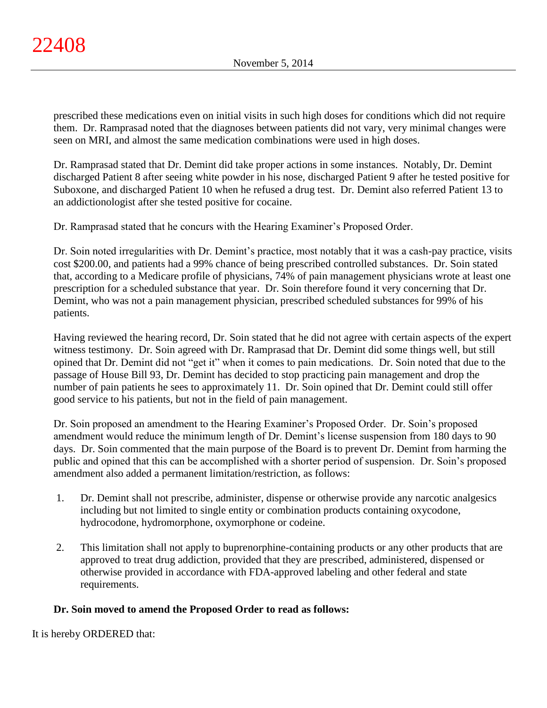prescribed these medications even on initial visits in such high doses for conditions which did not require them. Dr. Ramprasad noted that the diagnoses between patients did not vary, very minimal changes were seen on MRI, and almost the same medication combinations were used in high doses.

Dr. Ramprasad stated that Dr. Demint did take proper actions in some instances. Notably, Dr. Demint discharged Patient 8 after seeing white powder in his nose, discharged Patient 9 after he tested positive for Suboxone, and discharged Patient 10 when he refused a drug test. Dr. Demint also referred Patient 13 to an addictionologist after she tested positive for cocaine.

Dr. Ramprasad stated that he concurs with the Hearing Examiner's Proposed Order.

Dr. Soin noted irregularities with Dr. Demint's practice, most notably that it was a cash-pay practice, visits cost \$200.00, and patients had a 99% chance of being prescribed controlled substances. Dr. Soin stated that, according to a Medicare profile of physicians, 74% of pain management physicians wrote at least one prescription for a scheduled substance that year. Dr. Soin therefore found it very concerning that Dr. Demint, who was not a pain management physician, prescribed scheduled substances for 99% of his patients.

Having reviewed the hearing record, Dr. Soin stated that he did not agree with certain aspects of the expert witness testimony. Dr. Soin agreed with Dr. Ramprasad that Dr. Demint did some things well, but still opined that Dr. Demint did not "get it" when it comes to pain medications. Dr. Soin noted that due to the passage of House Bill 93, Dr. Demint has decided to stop practicing pain management and drop the number of pain patients he sees to approximately 11. Dr. Soin opined that Dr. Demint could still offer good service to his patients, but not in the field of pain management.

Dr. Soin proposed an amendment to the Hearing Examiner's Proposed Order. Dr. Soin's proposed amendment would reduce the minimum length of Dr. Demint's license suspension from 180 days to 90 days. Dr. Soin commented that the main purpose of the Board is to prevent Dr. Demint from harming the public and opined that this can be accomplished with a shorter period of suspension. Dr. Soin's proposed amendment also added a permanent limitation/restriction, as follows:

- 1. Dr. Demint shall not prescribe, administer, dispense or otherwise provide any narcotic analgesics including but not limited to single entity or combination products containing oxycodone, hydrocodone, hydromorphone, oxymorphone or codeine.
- 2. This limitation shall not apply to buprenorphine-containing products or any other products that are approved to treat drug addiction, provided that they are prescribed, administered, dispensed or otherwise provided in accordance with FDA-approved labeling and other federal and state requirements.

# **Dr. Soin moved to amend the Proposed Order to read as follows:**

It is hereby ORDERED that: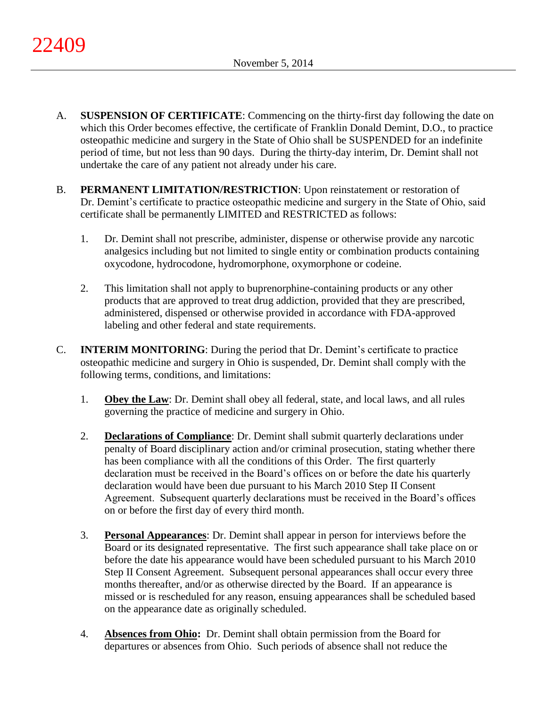- A. **SUSPENSION OF CERTIFICATE**: Commencing on the thirty-first day following the date on which this Order becomes effective, the certificate of Franklin Donald Demint, D.O., to practice osteopathic medicine and surgery in the State of Ohio shall be SUSPENDED for an indefinite period of time, but not less than 90 days. During the thirty-day interim, Dr. Demint shall not undertake the care of any patient not already under his care.
- B. **PERMANENT LIMITATION/RESTRICTION**: Upon reinstatement or restoration of Dr. Demint's certificate to practice osteopathic medicine and surgery in the State of Ohio, said certificate shall be permanently LIMITED and RESTRICTED as follows:
	- 1. Dr. Demint shall not prescribe, administer, dispense or otherwise provide any narcotic analgesics including but not limited to single entity or combination products containing oxycodone, hydrocodone, hydromorphone, oxymorphone or codeine.
	- 2. This limitation shall not apply to buprenorphine-containing products or any other products that are approved to treat drug addiction, provided that they are prescribed, administered, dispensed or otherwise provided in accordance with FDA-approved labeling and other federal and state requirements.
- C. **INTERIM MONITORING**: During the period that Dr. Demint's certificate to practice osteopathic medicine and surgery in Ohio is suspended, Dr. Demint shall comply with the following terms, conditions, and limitations:
	- 1. **Obey the Law**: Dr. Demint shall obey all federal, state, and local laws, and all rules governing the practice of medicine and surgery in Ohio.
	- 2. **Declarations of Compliance**: Dr. Demint shall submit quarterly declarations under penalty of Board disciplinary action and/or criminal prosecution, stating whether there has been compliance with all the conditions of this Order. The first quarterly declaration must be received in the Board's offices on or before the date his quarterly declaration would have been due pursuant to his March 2010 Step II Consent Agreement. Subsequent quarterly declarations must be received in the Board's offices on or before the first day of every third month.
	- 3. **Personal Appearances**: Dr. Demint shall appear in person for interviews before the Board or its designated representative. The first such appearance shall take place on or before the date his appearance would have been scheduled pursuant to his March 2010 Step II Consent Agreement. Subsequent personal appearances shall occur every three months thereafter, and/or as otherwise directed by the Board. If an appearance is missed or is rescheduled for any reason, ensuing appearances shall be scheduled based on the appearance date as originally scheduled.
	- 4. **Absences from Ohio:** Dr. Demint shall obtain permission from the Board for departures or absences from Ohio. Such periods of absence shall not reduce the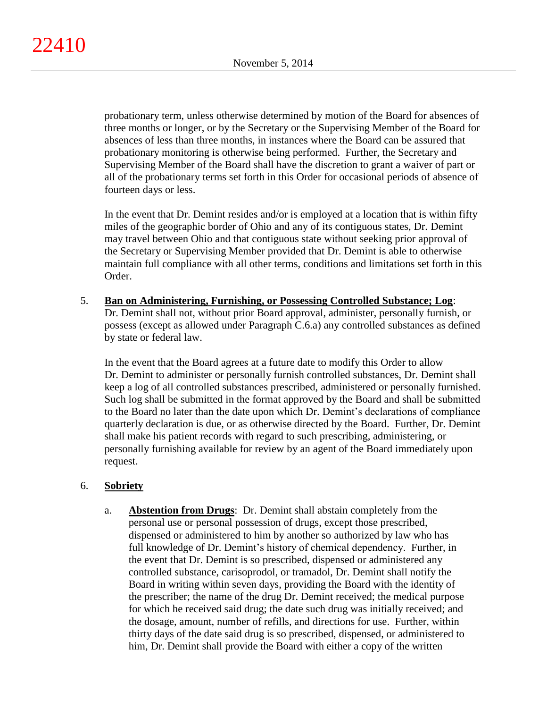probationary term, unless otherwise determined by motion of the Board for absences of three months or longer, or by the Secretary or the Supervising Member of the Board for absences of less than three months, in instances where the Board can be assured that probationary monitoring is otherwise being performed. Further, the Secretary and Supervising Member of the Board shall have the discretion to grant a waiver of part or all of the probationary terms set forth in this Order for occasional periods of absence of fourteen days or less.

In the event that Dr. Demint resides and/or is employed at a location that is within fifty miles of the geographic border of Ohio and any of its contiguous states, Dr. Demint may travel between Ohio and that contiguous state without seeking prior approval of the Secretary or Supervising Member provided that Dr. Demint is able to otherwise maintain full compliance with all other terms, conditions and limitations set forth in this Order.

5. **Ban on Administering, Furnishing, or Possessing Controlled Substance; Log**: Dr. Demint shall not, without prior Board approval, administer, personally furnish, or possess (except as allowed under Paragraph C.6.a) any controlled substances as defined by state or federal law.

In the event that the Board agrees at a future date to modify this Order to allow Dr. Demint to administer or personally furnish controlled substances, Dr. Demint shall keep a log of all controlled substances prescribed, administered or personally furnished. Such log shall be submitted in the format approved by the Board and shall be submitted to the Board no later than the date upon which Dr. Demint's declarations of compliance quarterly declaration is due, or as otherwise directed by the Board. Further, Dr. Demint shall make his patient records with regard to such prescribing, administering, or personally furnishing available for review by an agent of the Board immediately upon request.

## 6. **Sobriety**

a. **Abstention from Drugs**: Dr. Demint shall abstain completely from the personal use or personal possession of drugs, except those prescribed, dispensed or administered to him by another so authorized by law who has full knowledge of Dr. Demint's history of chemical dependency. Further, in the event that Dr. Demint is so prescribed, dispensed or administered any controlled substance, carisoprodol, or tramadol, Dr. Demint shall notify the Board in writing within seven days, providing the Board with the identity of the prescriber; the name of the drug Dr. Demint received; the medical purpose for which he received said drug; the date such drug was initially received; and the dosage, amount, number of refills, and directions for use. Further, within thirty days of the date said drug is so prescribed, dispensed, or administered to him, Dr. Demint shall provide the Board with either a copy of the written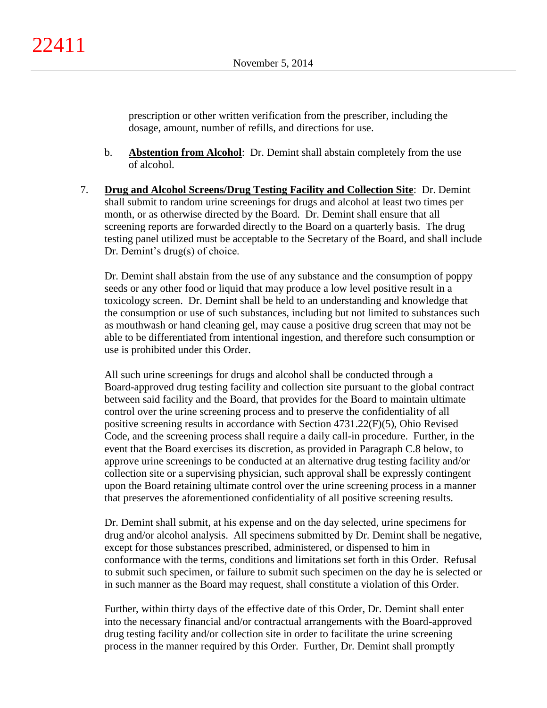prescription or other written verification from the prescriber, including the dosage, amount, number of refills, and directions for use.

- b. **Abstention from Alcohol**: Dr. Demint shall abstain completely from the use of alcohol.
- 7. **Drug and Alcohol Screens/Drug Testing Facility and Collection Site**: Dr. Demint shall submit to random urine screenings for drugs and alcohol at least two times per month, or as otherwise directed by the Board. Dr. Demint shall ensure that all screening reports are forwarded directly to the Board on a quarterly basis. The drug testing panel utilized must be acceptable to the Secretary of the Board, and shall include Dr. Demint's drug(s) of choice.

Dr. Demint shall abstain from the use of any substance and the consumption of poppy seeds or any other food or liquid that may produce a low level positive result in a toxicology screen. Dr. Demint shall be held to an understanding and knowledge that the consumption or use of such substances, including but not limited to substances such as mouthwash or hand cleaning gel, may cause a positive drug screen that may not be able to be differentiated from intentional ingestion, and therefore such consumption or use is prohibited under this Order.

All such urine screenings for drugs and alcohol shall be conducted through a Board-approved drug testing facility and collection site pursuant to the global contract between said facility and the Board, that provides for the Board to maintain ultimate control over the urine screening process and to preserve the confidentiality of all positive screening results in accordance with Section 4731.22(F)(5), Ohio Revised Code, and the screening process shall require a daily call-in procedure. Further, in the event that the Board exercises its discretion, as provided in Paragraph C.8 below, to approve urine screenings to be conducted at an alternative drug testing facility and/or collection site or a supervising physician, such approval shall be expressly contingent upon the Board retaining ultimate control over the urine screening process in a manner that preserves the aforementioned confidentiality of all positive screening results.

Dr. Demint shall submit, at his expense and on the day selected, urine specimens for drug and/or alcohol analysis. All specimens submitted by Dr. Demint shall be negative, except for those substances prescribed, administered, or dispensed to him in conformance with the terms, conditions and limitations set forth in this Order. Refusal to submit such specimen, or failure to submit such specimen on the day he is selected or in such manner as the Board may request, shall constitute a violation of this Order.

Further, within thirty days of the effective date of this Order, Dr. Demint shall enter into the necessary financial and/or contractual arrangements with the Board-approved drug testing facility and/or collection site in order to facilitate the urine screening process in the manner required by this Order. Further, Dr. Demint shall promptly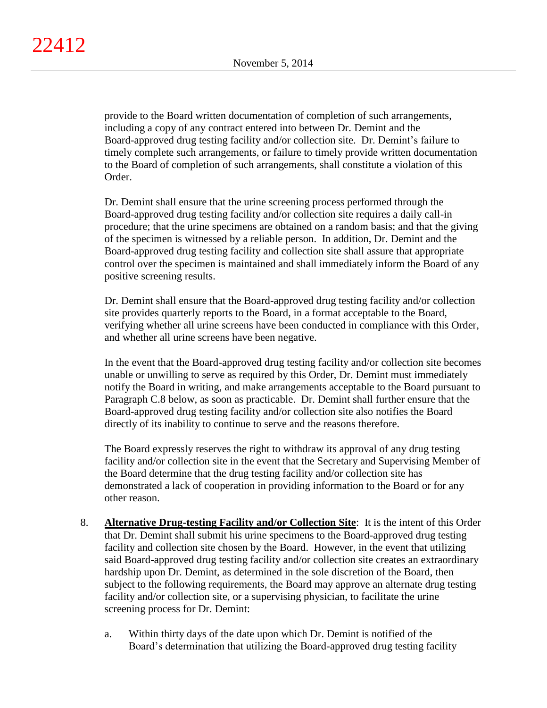provide to the Board written documentation of completion of such arrangements, including a copy of any contract entered into between Dr. Demint and the Board-approved drug testing facility and/or collection site. Dr. Demint's failure to timely complete such arrangements, or failure to timely provide written documentation to the Board of completion of such arrangements, shall constitute a violation of this Order.

Dr. Demint shall ensure that the urine screening process performed through the Board-approved drug testing facility and/or collection site requires a daily call-in procedure; that the urine specimens are obtained on a random basis; and that the giving of the specimen is witnessed by a reliable person. In addition, Dr. Demint and the Board-approved drug testing facility and collection site shall assure that appropriate control over the specimen is maintained and shall immediately inform the Board of any positive screening results.

Dr. Demint shall ensure that the Board-approved drug testing facility and/or collection site provides quarterly reports to the Board, in a format acceptable to the Board, verifying whether all urine screens have been conducted in compliance with this Order, and whether all urine screens have been negative.

In the event that the Board-approved drug testing facility and/or collection site becomes unable or unwilling to serve as required by this Order, Dr. Demint must immediately notify the Board in writing, and make arrangements acceptable to the Board pursuant to Paragraph C.8 below, as soon as practicable. Dr. Demint shall further ensure that the Board-approved drug testing facility and/or collection site also notifies the Board directly of its inability to continue to serve and the reasons therefore.

The Board expressly reserves the right to withdraw its approval of any drug testing facility and/or collection site in the event that the Secretary and Supervising Member of the Board determine that the drug testing facility and/or collection site has demonstrated a lack of cooperation in providing information to the Board or for any other reason.

- 8. **Alternative Drug-testing Facility and/or Collection Site**:It is the intent of this Order that Dr. Demint shall submit his urine specimens to the Board-approved drug testing facility and collection site chosen by the Board. However, in the event that utilizing said Board-approved drug testing facility and/or collection site creates an extraordinary hardship upon Dr. Demint, as determined in the sole discretion of the Board, then subject to the following requirements, the Board may approve an alternate drug testing facility and/or collection site, or a supervising physician, to facilitate the urine screening process for Dr. Demint:
	- a. Within thirty days of the date upon which Dr. Demint is notified of the Board's determination that utilizing the Board-approved drug testing facility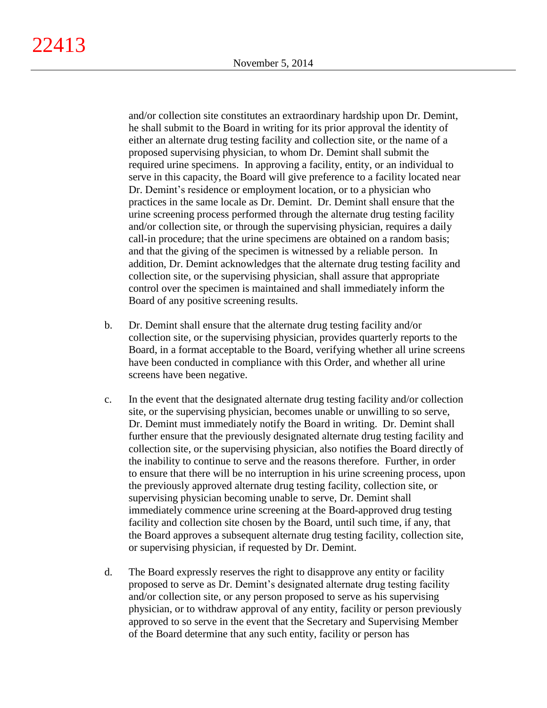and/or collection site constitutes an extraordinary hardship upon Dr. Demint, he shall submit to the Board in writing for its prior approval the identity of either an alternate drug testing facility and collection site, or the name of a proposed supervising physician, to whom Dr. Demint shall submit the required urine specimens. In approving a facility, entity, or an individual to serve in this capacity, the Board will give preference to a facility located near Dr. Demint's residence or employment location, or to a physician who practices in the same locale as Dr. Demint. Dr. Demint shall ensure that the urine screening process performed through the alternate drug testing facility and/or collection site, or through the supervising physician, requires a daily call-in procedure; that the urine specimens are obtained on a random basis; and that the giving of the specimen is witnessed by a reliable person. In addition, Dr. Demint acknowledges that the alternate drug testing facility and collection site, or the supervising physician, shall assure that appropriate control over the specimen is maintained and shall immediately inform the Board of any positive screening results.

- b. Dr. Demint shall ensure that the alternate drug testing facility and/or collection site, or the supervising physician, provides quarterly reports to the Board, in a format acceptable to the Board, verifying whether all urine screens have been conducted in compliance with this Order, and whether all urine screens have been negative.
- c. In the event that the designated alternate drug testing facility and/or collection site, or the supervising physician, becomes unable or unwilling to so serve, Dr. Demint must immediately notify the Board in writing. Dr. Demint shall further ensure that the previously designated alternate drug testing facility and collection site, or the supervising physician, also notifies the Board directly of the inability to continue to serve and the reasons therefore. Further, in order to ensure that there will be no interruption in his urine screening process, upon the previously approved alternate drug testing facility, collection site, or supervising physician becoming unable to serve, Dr. Demint shall immediately commence urine screening at the Board-approved drug testing facility and collection site chosen by the Board, until such time, if any, that the Board approves a subsequent alternate drug testing facility, collection site, or supervising physician, if requested by Dr. Demint.
- d. The Board expressly reserves the right to disapprove any entity or facility proposed to serve as Dr. Demint's designated alternate drug testing facility and/or collection site, or any person proposed to serve as his supervising physician, or to withdraw approval of any entity, facility or person previously approved to so serve in the event that the Secretary and Supervising Member of the Board determine that any such entity, facility or person has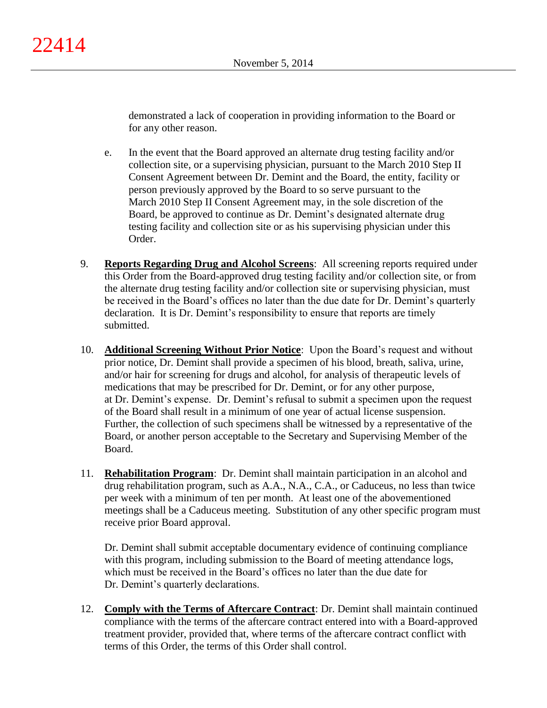demonstrated a lack of cooperation in providing information to the Board or for any other reason.

- e. In the event that the Board approved an alternate drug testing facility and/or collection site, or a supervising physician, pursuant to the March 2010 Step II Consent Agreement between Dr. Demint and the Board, the entity, facility or person previously approved by the Board to so serve pursuant to the March 2010 Step II Consent Agreement may, in the sole discretion of the Board, be approved to continue as Dr. Demint's designated alternate drug testing facility and collection site or as his supervising physician under this Order.
- 9. **Reports Regarding Drug and Alcohol Screens**: All screening reports required under this Order from the Board-approved drug testing facility and/or collection site, or from the alternate drug testing facility and/or collection site or supervising physician, must be received in the Board's offices no later than the due date for Dr. Demint's quarterly declaration. It is Dr. Demint's responsibility to ensure that reports are timely submitted.
- 10. **Additional Screening Without Prior Notice**: Upon the Board's request and without prior notice, Dr. Demint shall provide a specimen of his blood, breath, saliva, urine, and/or hair for screening for drugs and alcohol, for analysis of therapeutic levels of medications that may be prescribed for Dr. Demint, or for any other purpose, at Dr. Demint's expense. Dr. Demint's refusal to submit a specimen upon the request of the Board shall result in a minimum of one year of actual license suspension. Further, the collection of such specimens shall be witnessed by a representative of the Board, or another person acceptable to the Secretary and Supervising Member of the Board.
- 11. **Rehabilitation Program**: Dr. Demint shall maintain participation in an alcohol and drug rehabilitation program, such as A.A., N.A., C.A., or Caduceus, no less than twice per week with a minimum of ten per month. At least one of the abovementioned meetings shall be a Caduceus meeting. Substitution of any other specific program must receive prior Board approval.

Dr. Demint shall submit acceptable documentary evidence of continuing compliance with this program, including submission to the Board of meeting attendance logs, which must be received in the Board's offices no later than the due date for Dr. Demint's quarterly declarations.

12. **Comply with the Terms of Aftercare Contract**: Dr. Demint shall maintain continued compliance with the terms of the aftercare contract entered into with a Board-approved treatment provider, provided that, where terms of the aftercare contract conflict with terms of this Order, the terms of this Order shall control.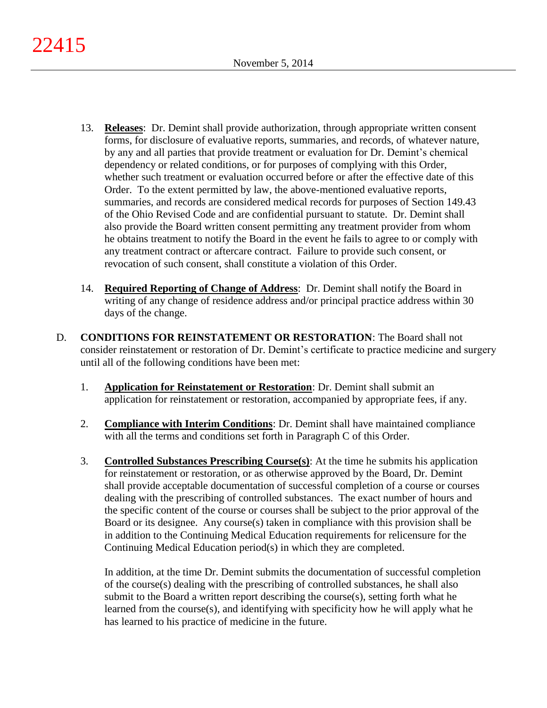- 13. **Releases**: Dr. Demint shall provide authorization, through appropriate written consent forms, for disclosure of evaluative reports, summaries, and records, of whatever nature, by any and all parties that provide treatment or evaluation for Dr. Demint's chemical dependency or related conditions, or for purposes of complying with this Order, whether such treatment or evaluation occurred before or after the effective date of this Order. To the extent permitted by law, the above-mentioned evaluative reports, summaries, and records are considered medical records for purposes of Section 149.43 of the Ohio Revised Code and are confidential pursuant to statute. Dr. Demint shall also provide the Board written consent permitting any treatment provider from whom he obtains treatment to notify the Board in the event he fails to agree to or comply with any treatment contract or aftercare contract. Failure to provide such consent, or revocation of such consent, shall constitute a violation of this Order.
- 14. **Required Reporting of Change of Address**: Dr. Demint shall notify the Board in writing of any change of residence address and/or principal practice address within 30 days of the change.
- D. **CONDITIONS FOR REINSTATEMENT OR RESTORATION**: The Board shall not consider reinstatement or restoration of Dr. Demint's certificate to practice medicine and surgery until all of the following conditions have been met:
	- 1. **Application for Reinstatement or Restoration**: Dr. Demint shall submit an application for reinstatement or restoration, accompanied by appropriate fees, if any.
	- 2. **Compliance with Interim Conditions**: Dr. Demint shall have maintained compliance with all the terms and conditions set forth in Paragraph C of this Order.
	- 3. **Controlled Substances Prescribing Course(s)**: At the time he submits his application for reinstatement or restoration, or as otherwise approved by the Board, Dr. Demint shall provide acceptable documentation of successful completion of a course or courses dealing with the prescribing of controlled substances. The exact number of hours and the specific content of the course or courses shall be subject to the prior approval of the Board or its designee. Any course(s) taken in compliance with this provision shall be in addition to the Continuing Medical Education requirements for relicensure for the Continuing Medical Education period(s) in which they are completed.

In addition, at the time Dr. Demint submits the documentation of successful completion of the course(s) dealing with the prescribing of controlled substances, he shall also submit to the Board a written report describing the course(s), setting forth what he learned from the course(s), and identifying with specificity how he will apply what he has learned to his practice of medicine in the future.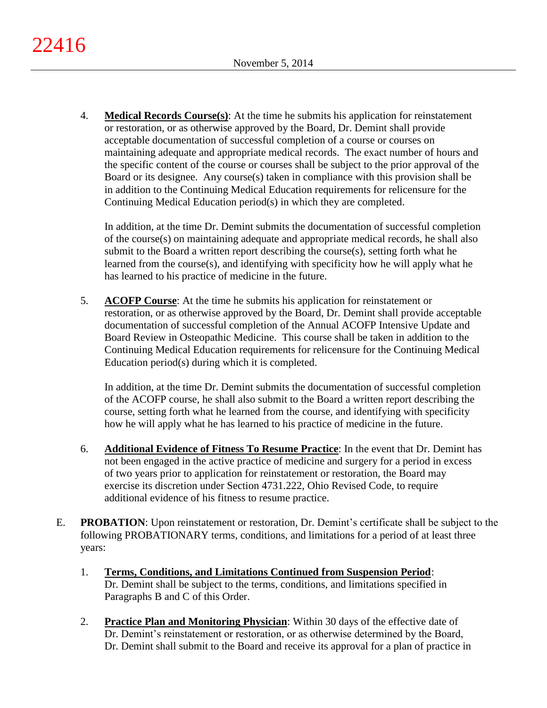4. **Medical Records Course(s)**: At the time he submits his application for reinstatement or restoration, or as otherwise approved by the Board, Dr. Demint shall provide acceptable documentation of successful completion of a course or courses on maintaining adequate and appropriate medical records. The exact number of hours and the specific content of the course or courses shall be subject to the prior approval of the Board or its designee. Any course(s) taken in compliance with this provision shall be in addition to the Continuing Medical Education requirements for relicensure for the Continuing Medical Education period(s) in which they are completed.

In addition, at the time Dr. Demint submits the documentation of successful completion of the course(s) on maintaining adequate and appropriate medical records, he shall also submit to the Board a written report describing the course(s), setting forth what he learned from the course(s), and identifying with specificity how he will apply what he has learned to his practice of medicine in the future.

5. **ACOFP Course**: At the time he submits his application for reinstatement or restoration, or as otherwise approved by the Board, Dr. Demint shall provide acceptable documentation of successful completion of the Annual ACOFP Intensive Update and Board Review in Osteopathic Medicine. This course shall be taken in addition to the Continuing Medical Education requirements for relicensure for the Continuing Medical Education period(s) during which it is completed.

In addition, at the time Dr. Demint submits the documentation of successful completion of the ACOFP course, he shall also submit to the Board a written report describing the course, setting forth what he learned from the course, and identifying with specificity how he will apply what he has learned to his practice of medicine in the future.

- 6. **Additional Evidence of Fitness To Resume Practice**: In the event that Dr. Demint has not been engaged in the active practice of medicine and surgery for a period in excess of two years prior to application for reinstatement or restoration, the Board may exercise its discretion under Section 4731.222, Ohio Revised Code, to require additional evidence of his fitness to resume practice.
- E. **PROBATION**: Upon reinstatement or restoration, Dr. Demint's certificate shall be subject to the following PROBATIONARY terms, conditions, and limitations for a period of at least three years:
	- 1. **Terms, Conditions, and Limitations Continued from Suspension Period**: Dr. Demint shall be subject to the terms, conditions, and limitations specified in Paragraphs B and C of this Order.
	- 2. **Practice Plan and Monitoring Physician**: Within 30 days of the effective date of Dr. Demint's reinstatement or restoration, or as otherwise determined by the Board, Dr. Demint shall submit to the Board and receive its approval for a plan of practice in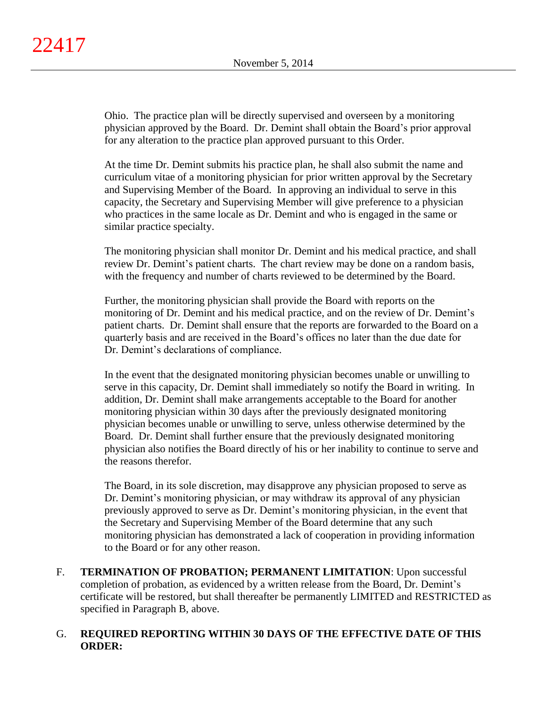Ohio. The practice plan will be directly supervised and overseen by a monitoring physician approved by the Board. Dr. Demint shall obtain the Board's prior approval for any alteration to the practice plan approved pursuant to this Order.

At the time Dr. Demint submits his practice plan, he shall also submit the name and curriculum vitae of a monitoring physician for prior written approval by the Secretary and Supervising Member of the Board. In approving an individual to serve in this capacity, the Secretary and Supervising Member will give preference to a physician who practices in the same locale as Dr. Demint and who is engaged in the same or similar practice specialty.

The monitoring physician shall monitor Dr. Demint and his medical practice, and shall review Dr. Demint's patient charts. The chart review may be done on a random basis, with the frequency and number of charts reviewed to be determined by the Board.

Further, the monitoring physician shall provide the Board with reports on the monitoring of Dr. Demint and his medical practice, and on the review of Dr. Demint's patient charts. Dr. Demint shall ensure that the reports are forwarded to the Board on a quarterly basis and are received in the Board's offices no later than the due date for Dr. Demint's declarations of compliance.

In the event that the designated monitoring physician becomes unable or unwilling to serve in this capacity, Dr. Demint shall immediately so notify the Board in writing. In addition, Dr. Demint shall make arrangements acceptable to the Board for another monitoring physician within 30 days after the previously designated monitoring physician becomes unable or unwilling to serve, unless otherwise determined by the Board. Dr. Demint shall further ensure that the previously designated monitoring physician also notifies the Board directly of his or her inability to continue to serve and the reasons therefor.

The Board, in its sole discretion, may disapprove any physician proposed to serve as Dr. Demint's monitoring physician, or may withdraw its approval of any physician previously approved to serve as Dr. Demint's monitoring physician, in the event that the Secretary and Supervising Member of the Board determine that any such monitoring physician has demonstrated a lack of cooperation in providing information to the Board or for any other reason.

F. **TERMINATION OF PROBATION; PERMANENT LIMITATION**: Upon successful completion of probation, as evidenced by a written release from the Board, Dr. Demint's certificate will be restored, but shall thereafter be permanently LIMITED and RESTRICTED as specified in Paragraph B, above.

# G. **REQUIRED REPORTING WITHIN 30 DAYS OF THE EFFECTIVE DATE OF THIS ORDER:**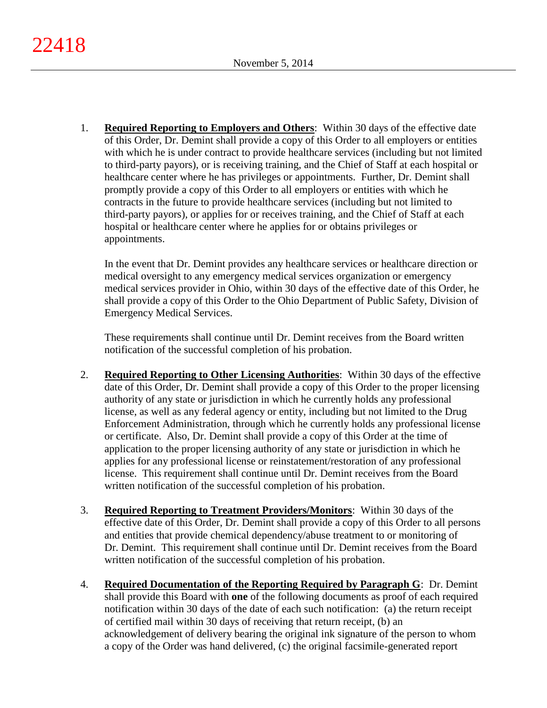1. **Required Reporting to Employers and Others**: Within 30 days of the effective date of this Order, Dr. Demint shall provide a copy of this Order to all employers or entities with which he is under contract to provide healthcare services (including but not limited to third-party payors), or is receiving training, and the Chief of Staff at each hospital or healthcare center where he has privileges or appointments. Further, Dr. Demint shall promptly provide a copy of this Order to all employers or entities with which he contracts in the future to provide healthcare services (including but not limited to third-party payors), or applies for or receives training, and the Chief of Staff at each hospital or healthcare center where he applies for or obtains privileges or appointments.

In the event that Dr. Demint provides any healthcare services or healthcare direction or medical oversight to any emergency medical services organization or emergency medical services provider in Ohio, within 30 days of the effective date of this Order, he shall provide a copy of this Order to the Ohio Department of Public Safety, Division of Emergency Medical Services.

These requirements shall continue until Dr. Demint receives from the Board written notification of the successful completion of his probation.

- 2. **Required Reporting to Other Licensing Authorities**: Within 30 days of the effective date of this Order, Dr. Demint shall provide a copy of this Order to the proper licensing authority of any state or jurisdiction in which he currently holds any professional license, as well as any federal agency or entity, including but not limited to the Drug Enforcement Administration, through which he currently holds any professional license or certificate. Also, Dr. Demint shall provide a copy of this Order at the time of application to the proper licensing authority of any state or jurisdiction in which he applies for any professional license or reinstatement/restoration of any professional license. This requirement shall continue until Dr. Demint receives from the Board written notification of the successful completion of his probation.
- 3. **Required Reporting to Treatment Providers/Monitors**: Within 30 days of the effective date of this Order, Dr. Demint shall provide a copy of this Order to all persons and entities that provide chemical dependency/abuse treatment to or monitoring of Dr. Demint. This requirement shall continue until Dr. Demint receives from the Board written notification of the successful completion of his probation.
- 4. **Required Documentation of the Reporting Required by Paragraph G**: Dr. Demint shall provide this Board with **one** of the following documents as proof of each required notification within 30 days of the date of each such notification: (a) the return receipt of certified mail within 30 days of receiving that return receipt, (b) an acknowledgement of delivery bearing the original ink signature of the person to whom a copy of the Order was hand delivered, (c) the original facsimile-generated report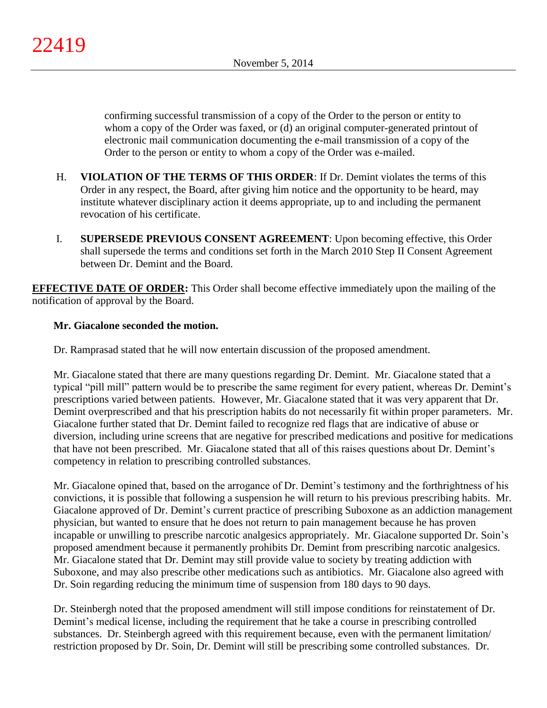confirming successful transmission of a copy of the Order to the person or entity to whom a copy of the Order was faxed, or (d) an original computer-generated printout of electronic mail communication documenting the e-mail transmission of a copy of the Order to the person or entity to whom a copy of the Order was e-mailed.

- H. **VIOLATION OF THE TERMS OF THIS ORDER**: If Dr. Demint violates the terms of this Order in any respect, the Board, after giving him notice and the opportunity to be heard, may institute whatever disciplinary action it deems appropriate, up to and including the permanent revocation of his certificate.
- I. **SUPERSEDE PREVIOUS CONSENT AGREEMENT**: Upon becoming effective, this Order shall supersede the terms and conditions set forth in the March 2010 Step II Consent Agreement between Dr. Demint and the Board.

**EFFECTIVE DATE OF ORDER:** This Order shall become effective immediately upon the mailing of the notification of approval by the Board.

# **Mr. Giacalone seconded the motion.**

Dr. Ramprasad stated that he will now entertain discussion of the proposed amendment.

Mr. Giacalone stated that there are many questions regarding Dr. Demint. Mr. Giacalone stated that a typical "pill mill" pattern would be to prescribe the same regiment for every patient, whereas Dr. Demint's prescriptions varied between patients. However, Mr. Giacalone stated that it was very apparent that Dr. Demint overprescribed and that his prescription habits do not necessarily fit within proper parameters. Mr. Giacalone further stated that Dr. Demint failed to recognize red flags that are indicative of abuse or diversion, including urine screens that are negative for prescribed medications and positive for medications that have not been prescribed. Mr. Giacalone stated that all of this raises questions about Dr. Demint's competency in relation to prescribing controlled substances.

Mr. Giacalone opined that, based on the arrogance of Dr. Demint's testimony and the forthrightness of his convictions, it is possible that following a suspension he will return to his previous prescribing habits. Mr. Giacalone approved of Dr. Demint's current practice of prescribing Suboxone as an addiction management physician, but wanted to ensure that he does not return to pain management because he has proven incapable or unwilling to prescribe narcotic analgesics appropriately. Mr. Giacalone supported Dr. Soin's proposed amendment because it permanently prohibits Dr. Demint from prescribing narcotic analgesics. Mr. Giacalone stated that Dr. Demint may still provide value to society by treating addiction with Suboxone, and may also prescribe other medications such as antibiotics. Mr. Giacalone also agreed with Dr. Soin regarding reducing the minimum time of suspension from 180 days to 90 days.

Dr. Steinbergh noted that the proposed amendment will still impose conditions for reinstatement of Dr. Demint's medical license, including the requirement that he take a course in prescribing controlled substances. Dr. Steinbergh agreed with this requirement because, even with the permanent limitation/ restriction proposed by Dr. Soin, Dr. Demint will still be prescribing some controlled substances. Dr.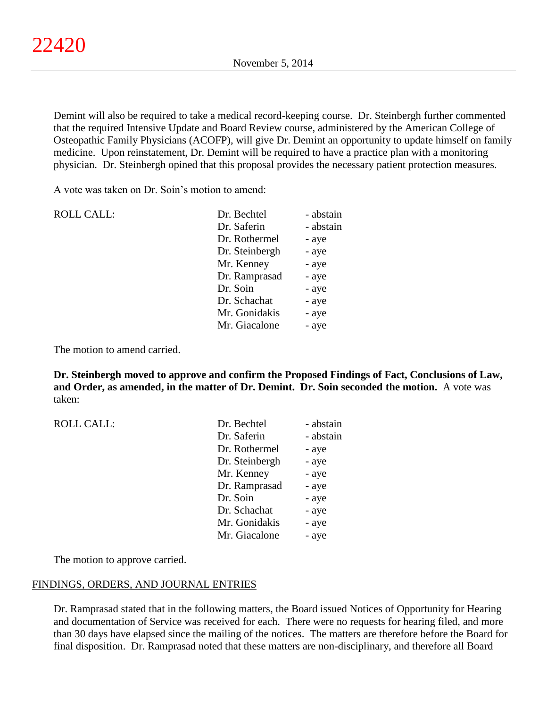Demint will also be required to take a medical record-keeping course. Dr. Steinbergh further commented that the required Intensive Update and Board Review course, administered by the American College of Osteopathic Family Physicians (ACOFP), will give Dr. Demint an opportunity to update himself on family medicine. Upon reinstatement, Dr. Demint will be required to have a practice plan with a monitoring physician. Dr. Steinbergh opined that this proposal provides the necessary patient protection measures.

A vote was taken on Dr. Soin's motion to amend:

| <b>ROLL CALL:</b> | Dr. Bechtel    | - abstain |
|-------------------|----------------|-----------|
|                   | Dr. Saferin    | - abstain |
|                   | Dr. Rothermel  | - aye     |
|                   | Dr. Steinbergh | - aye     |
|                   | Mr. Kenney     | - aye     |
|                   | Dr. Ramprasad  | - aye     |
|                   | Dr. Soin       | - aye     |
|                   | Dr. Schachat   | - aye     |
|                   | Mr. Gonidakis  | - aye     |
|                   | Mr. Giacalone  | - aye     |
|                   |                |           |

The motion to amend carried.

ROLL CALL:

**Dr. Steinbergh moved to approve and confirm the Proposed Findings of Fact, Conclusions of Law, and Order, as amended, in the matter of Dr. Demint. Dr. Soin seconded the motion.** A vote was taken:

| Dr. Bechtel    | - abstain |
|----------------|-----------|
| Dr. Saferin    | - abstain |
| Dr. Rothermel  | - aye     |
| Dr. Steinbergh | - aye     |
| Mr. Kenney     | - aye     |
| Dr. Ramprasad  | - aye     |
| Dr. Soin       | - aye     |
| Dr. Schachat   | - aye     |
| Mr. Gonidakis  | - aye     |
| Mr. Giacalone  | - aye     |

The motion to approve carried.

# FINDINGS, ORDERS, AND JOURNAL ENTRIES

Dr. Ramprasad stated that in the following matters, the Board issued Notices of Opportunity for Hearing and documentation of Service was received for each. There were no requests for hearing filed, and more than 30 days have elapsed since the mailing of the notices. The matters are therefore before the Board for final disposition. Dr. Ramprasad noted that these matters are non-disciplinary, and therefore all Board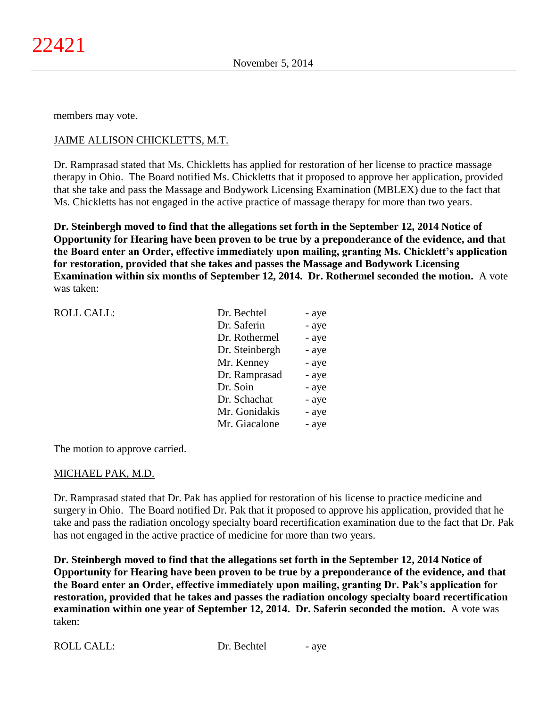members may vote.

# JAIME ALLISON CHICKLETTS, M.T.

Dr. Ramprasad stated that Ms. Chickletts has applied for restoration of her license to practice massage therapy in Ohio. The Board notified Ms. Chickletts that it proposed to approve her application, provided that she take and pass the Massage and Bodywork Licensing Examination (MBLEX) due to the fact that Ms. Chickletts has not engaged in the active practice of massage therapy for more than two years.

**Dr. Steinbergh moved to find that the allegations set forth in the September 12, 2014 Notice of Opportunity for Hearing have been proven to be true by a preponderance of the evidence, and that the Board enter an Order, effective immediately upon mailing, granting Ms. Chicklett's application for restoration, provided that she takes and passes the Massage and Bodywork Licensing Examination within six months of September 12, 2014. Dr. Rothermel seconded the motion.** A vote was taken:

| <b>ROLL CALL:</b> | Dr. Bechtel    | - aye |
|-------------------|----------------|-------|
|                   | Dr. Saferin    | - aye |
|                   | Dr. Rothermel  | - aye |
|                   | Dr. Steinbergh | - aye |
|                   | Mr. Kenney     | - aye |
|                   | Dr. Ramprasad  | - aye |
|                   | Dr. Soin       | - aye |
|                   | Dr. Schachat   | - aye |
|                   | Mr. Gonidakis  | - aye |
|                   | Mr. Giacalone  | - aye |
|                   |                |       |

The motion to approve carried.

# MICHAEL PAK, M.D.

Dr. Ramprasad stated that Dr. Pak has applied for restoration of his license to practice medicine and surgery in Ohio. The Board notified Dr. Pak that it proposed to approve his application, provided that he take and pass the radiation oncology specialty board recertification examination due to the fact that Dr. Pak has not engaged in the active practice of medicine for more than two years.

**Dr. Steinbergh moved to find that the allegations set forth in the September 12, 2014 Notice of Opportunity for Hearing have been proven to be true by a preponderance of the evidence, and that the Board enter an Order, effective immediately upon mailing, granting Dr. Pak's application for restoration, provided that he takes and passes the radiation oncology specialty board recertification examination within one year of September 12, 2014. Dr. Saferin seconded the motion.** A vote was taken: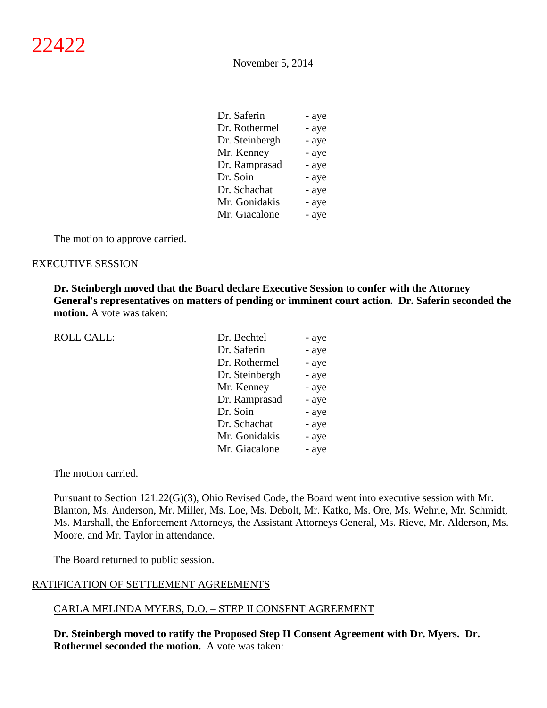| Dr. Saferin    | - aye |
|----------------|-------|
| Dr. Rothermel  | - aye |
| Dr. Steinbergh | - aye |
| Mr. Kenney     | - aye |
| Dr. Ramprasad  | - aye |
| Dr. Soin       | - aye |
| Dr. Schachat   | - aye |
| Mr. Gonidakis  | - aye |
| Mr. Giacalone  | - aye |

The motion to approve carried.

#### EXECUTIVE SESSION

**Dr. Steinbergh moved that the Board declare Executive Session to confer with the Attorney General's representatives on matters of pending or imminent court action. Dr. Saferin seconded the motion.** A vote was taken:

| <b>ROLL CALL:</b> | Dr. Bechtel    | - aye |
|-------------------|----------------|-------|
|                   | Dr. Saferin    | - aye |
|                   | Dr. Rothermel  | - aye |
|                   | Dr. Steinbergh | - aye |
|                   | Mr. Kenney     | - aye |
|                   | Dr. Ramprasad  | - aye |
|                   | Dr. Soin       | - aye |
|                   | Dr. Schachat   | - aye |
|                   | Mr. Gonidakis  | - aye |
|                   | Mr. Giacalone  | - aye |
|                   |                |       |

The motion carried.

Pursuant to Section 121.22(G)(3), Ohio Revised Code, the Board went into executive session with Mr. Blanton, Ms. Anderson, Mr. Miller, Ms. Loe, Ms. Debolt, Mr. Katko, Ms. Ore, Ms. Wehrle, Mr. Schmidt, Ms. Marshall, the Enforcement Attorneys, the Assistant Attorneys General, Ms. Rieve, Mr. Alderson, Ms. Moore, and Mr. Taylor in attendance.

The Board returned to public session.

#### RATIFICATION OF SETTLEMENT AGREEMENTS

#### CARLA MELINDA MYERS, D.O. – STEP II CONSENT AGREEMENT

**Dr. Steinbergh moved to ratify the Proposed Step II Consent Agreement with Dr. Myers. Dr. Rothermel seconded the motion.** A vote was taken: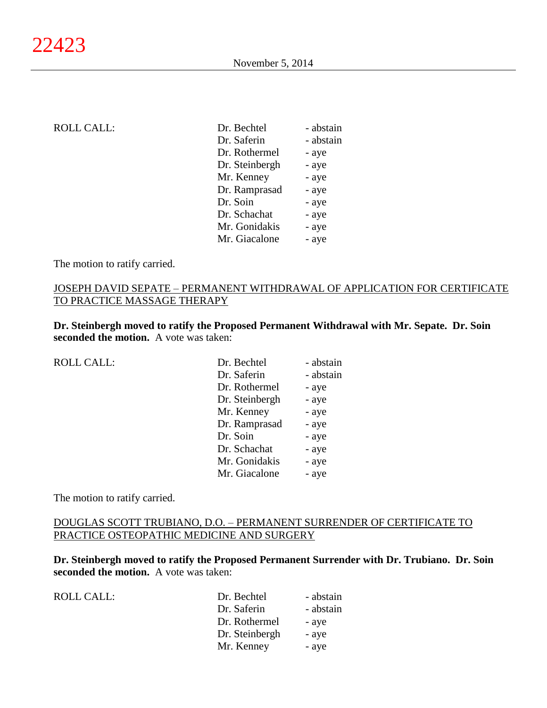| <b>ROLL CALL:</b> | Dr. Bechtel    | - abstain |
|-------------------|----------------|-----------|
|                   | Dr. Saferin    | - abstain |
|                   | Dr. Rothermel  | - aye     |
|                   | Dr. Steinbergh | - aye     |
|                   | Mr. Kenney     | - aye     |
|                   | Dr. Ramprasad  | - aye     |
|                   | Dr. Soin       | - aye     |
|                   | Dr. Schachat   | - aye     |
|                   | Mr. Gonidakis  | - aye     |
|                   | Mr. Giacalone  | - aye     |
|                   |                |           |

The motion to ratify carried.

# JOSEPH DAVID SEPATE – PERMANENT WITHDRAWAL OF APPLICATION FOR CERTIFICATE TO PRACTICE MASSAGE THERAPY

**Dr. Steinbergh moved to ratify the Proposed Permanent Withdrawal with Mr. Sepate. Dr. Soin seconded the motion.** A vote was taken:

| <b>ROLL CALL:</b> | Dr. Bechtel    | - abstain |
|-------------------|----------------|-----------|
|                   | Dr. Saferin    | - abstain |
|                   | Dr. Rothermel  | - aye     |
|                   | Dr. Steinbergh | - aye     |
|                   | Mr. Kenney     | - aye     |
|                   | Dr. Ramprasad  | - aye     |
|                   | Dr. Soin       | - aye     |
|                   | Dr. Schachat   | - aye     |
|                   | Mr. Gonidakis  | - aye     |
|                   | Mr. Giacalone  | - aye     |
|                   |                |           |

The motion to ratify carried.

# DOUGLAS SCOTT TRUBIANO, D.O. – PERMANENT SURRENDER OF CERTIFICATE TO PRACTICE OSTEOPATHIC MEDICINE AND SURGERY

**Dr. Steinbergh moved to ratify the Proposed Permanent Surrender with Dr. Trubiano. Dr. Soin seconded the motion.** A vote was taken:

ROLL CALL:

| Dr. Bechtel    | - abstain |
|----------------|-----------|
| Dr. Saferin    | - abstain |
| Dr. Rothermel  | - aye     |
| Dr. Steinbergh | - aye     |
| Mr. Kenney     | - aye     |
|                |           |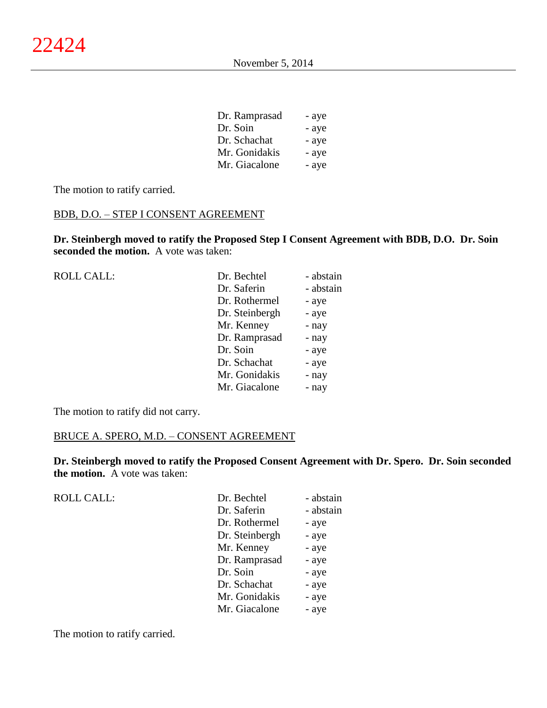| Dr. Ramprasad | - aye |
|---------------|-------|
| Dr. Soin      | - aye |
| Dr. Schachat  | - aye |
| Mr. Gonidakis | - aye |
| Mr. Giacalone | - aye |

The motion to ratify carried.

# BDB, D.O. – STEP I CONSENT AGREEMENT

**Dr. Steinbergh moved to ratify the Proposed Step I Consent Agreement with BDB, D.O. Dr. Soin seconded the motion.** A vote was taken:

| <b>ROLL CALL:</b> | Dr. Bechtel    | - abstain |
|-------------------|----------------|-----------|
|                   | Dr. Saferin    | - abstain |
|                   | Dr. Rothermel  | - aye     |
|                   | Dr. Steinbergh | - aye     |
|                   | Mr. Kenney     | - nay     |
|                   | Dr. Ramprasad  | - nay     |
|                   | Dr. Soin       | - aye     |
|                   | Dr. Schachat   | - aye     |
|                   | Mr. Gonidakis  | - nay     |
|                   | Mr. Giacalone  | - nay     |
|                   |                |           |

The motion to ratify did not carry.

# BRUCE A. SPERO, M.D. – CONSENT AGREEMENT

**Dr. Steinbergh moved to ratify the Proposed Consent Agreement with Dr. Spero. Dr. Soin seconded the motion.** A vote was taken:

| <b>ROLL CALL:</b> | Dr. Bechtel    | - abstain |
|-------------------|----------------|-----------|
|                   | Dr. Saferin    | - abstain |
|                   | Dr. Rothermel  | - aye     |
|                   | Dr. Steinbergh | - aye     |
|                   | Mr. Kenney     | - aye     |
|                   | Dr. Ramprasad  | - aye     |
|                   | Dr. Soin       | - aye     |
|                   | Dr. Schachat   | - aye     |
|                   | Mr. Gonidakis  | - aye     |
|                   | Mr. Giacalone  | - aye     |
|                   |                |           |

The motion to ratify carried.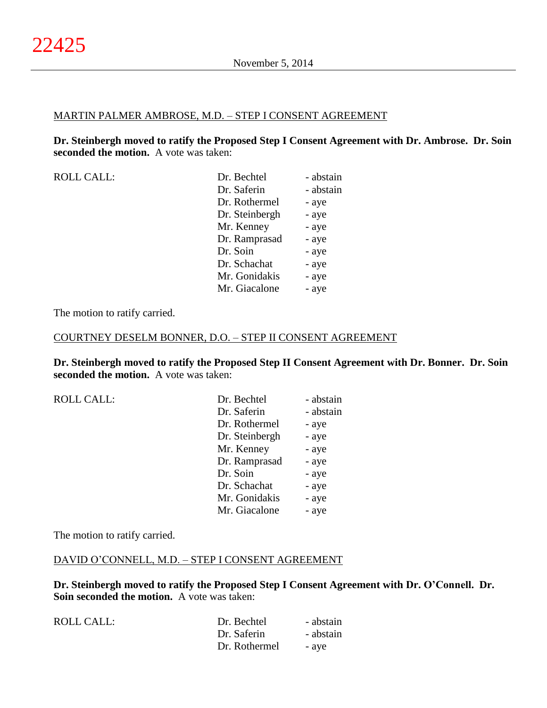#### MARTIN PALMER AMBROSE, M.D. – STEP I CONSENT AGREEMENT

**Dr. Steinbergh moved to ratify the Proposed Step I Consent Agreement with Dr. Ambrose. Dr. Soin seconded the motion.** A vote was taken:

| Dr. Bechtel    | - abstain |
|----------------|-----------|
| Dr. Saferin    | - abstain |
| Dr. Rothermel  | - aye     |
| Dr. Steinbergh | - aye     |
| Mr. Kenney     | - aye     |
| Dr. Ramprasad  | - aye     |
| Dr. Soin       | - aye     |
| Dr. Schachat   | - aye     |
| Mr. Gonidakis  | - aye     |
| Mr. Giacalone  | - aye     |
|                |           |

The motion to ratify carried.

#### COURTNEY DESELM BONNER, D.O. – STEP II CONSENT AGREEMENT

**Dr. Steinbergh moved to ratify the Proposed Step II Consent Agreement with Dr. Bonner. Dr. Soin seconded the motion.** A vote was taken:

| <b>ROLL CALL:</b> | Dr. Bechtel    | - abstain |
|-------------------|----------------|-----------|
|                   | Dr. Saferin    | - abstain |
|                   | Dr. Rothermel  | - aye     |
|                   | Dr. Steinbergh | - aye     |
|                   | Mr. Kenney     | - aye     |
|                   | Dr. Ramprasad  | - aye     |
|                   | Dr. Soin       | - aye     |
|                   | Dr. Schachat   | - aye     |
|                   | Mr. Gonidakis  | - aye     |
|                   | Mr. Giacalone  | - aye     |

The motion to ratify carried.

#### DAVID O'CONNELL, M.D. – STEP I CONSENT AGREEMENT

**Dr. Steinbergh moved to ratify the Proposed Step I Consent Agreement with Dr. O'Connell. Dr. Soin seconded the motion.** A vote was taken:

| ROLL CALL: | Dr. Bechtel   | - abstain |
|------------|---------------|-----------|
|            | Dr. Saferin   | - abstain |
|            | Dr. Rothermel | - ave     |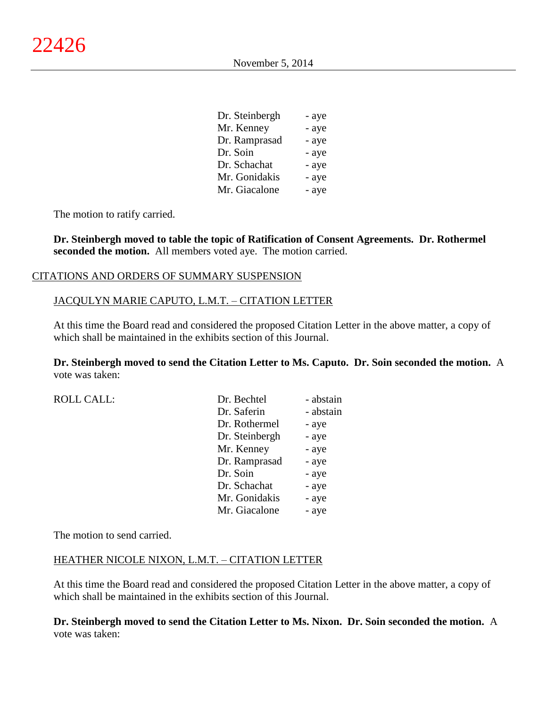| Dr. Steinbergh | - aye |
|----------------|-------|
| Mr. Kenney     | - aye |
| Dr. Ramprasad  | - aye |
| Dr. Soin       | - aye |
| Dr. Schachat   | - aye |
| Mr. Gonidakis  | - aye |
| Mr. Giacalone  | - aye |

The motion to ratify carried.

**Dr. Steinbergh moved to table the topic of Ratification of Consent Agreements. Dr. Rothermel seconded the motion.** All members voted aye. The motion carried.

### CITATIONS AND ORDERS OF SUMMARY SUSPENSION

#### JACQULYN MARIE CAPUTO, L.M.T. – CITATION LETTER

At this time the Board read and considered the proposed Citation Letter in the above matter, a copy of which shall be maintained in the exhibits section of this Journal.

**Dr. Steinbergh moved to send the Citation Letter to Ms. Caputo. Dr. Soin seconded the motion.** A vote was taken:

| <b>ROLL CALL:</b> | Dr. Bechtel    | - abstain |
|-------------------|----------------|-----------|
|                   | Dr. Saferin    | - abstain |
|                   | Dr. Rothermel  | - aye     |
|                   | Dr. Steinbergh | - aye     |
|                   | Mr. Kenney     | - aye     |
|                   | Dr. Ramprasad  | - aye     |
|                   | Dr. Soin       | - aye     |
|                   | Dr. Schachat   | - aye     |
|                   | Mr. Gonidakis  | - aye     |
|                   | Mr. Giacalone  | - aye     |

The motion to send carried.

#### HEATHER NICOLE NIXON, L.M.T. – CITATION LETTER

At this time the Board read and considered the proposed Citation Letter in the above matter, a copy of which shall be maintained in the exhibits section of this Journal.

**Dr. Steinbergh moved to send the Citation Letter to Ms. Nixon. Dr. Soin seconded the motion.** A vote was taken: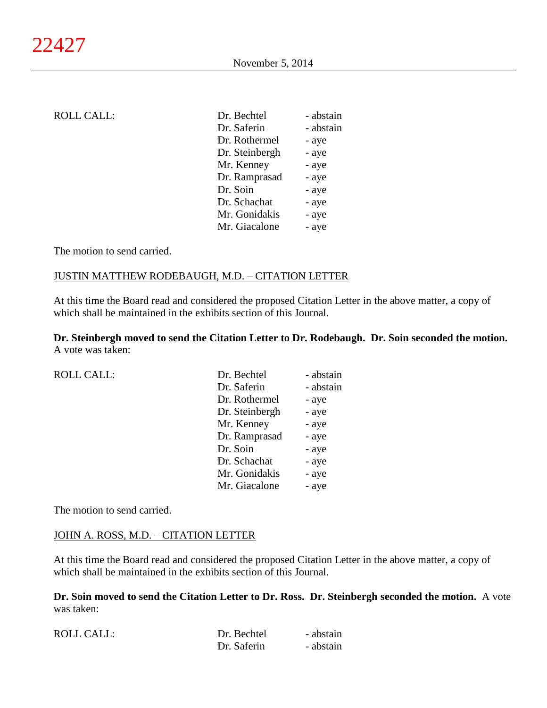| <b>ROLL CALL:</b> | Dr. Bechtel    | - abstain |
|-------------------|----------------|-----------|
|                   | Dr. Saferin    | - abstain |
|                   | Dr. Rothermel  | - aye     |
|                   | Dr. Steinbergh | - aye     |
|                   | Mr. Kenney     | - aye     |
|                   | Dr. Ramprasad  | - aye     |
|                   | Dr. Soin       | - aye     |
|                   | Dr. Schachat   | - aye     |
|                   | Mr. Gonidakis  | - aye     |
|                   | Mr. Giacalone  | - aye     |
|                   |                |           |

The motion to send carried.

## JUSTIN MATTHEW RODEBAUGH, M.D. – CITATION LETTER

At this time the Board read and considered the proposed Citation Letter in the above matter, a copy of which shall be maintained in the exhibits section of this Journal.

**Dr. Steinbergh moved to send the Citation Letter to Dr. Rodebaugh. Dr. Soin seconded the motion.** A vote was taken:

| <b>ROLL CALL:</b> | Dr. Bechtel    | - abstain |
|-------------------|----------------|-----------|
|                   | Dr. Saferin    | - abstain |
|                   | Dr. Rothermel  | - aye     |
|                   | Dr. Steinbergh | - aye     |
|                   | Mr. Kenney     | - aye     |
|                   | Dr. Ramprasad  | - aye     |
|                   | Dr. Soin       | - aye     |
|                   | Dr. Schachat   | - aye     |
|                   | Mr. Gonidakis  | - aye     |
|                   | Mr. Giacalone  | - aye     |
|                   |                |           |

The motion to send carried.

#### JOHN A. ROSS, M.D. - CITATION LETTER

At this time the Board read and considered the proposed Citation Letter in the above matter, a copy of which shall be maintained in the exhibits section of this Journal.

**Dr. Soin moved to send the Citation Letter to Dr. Ross. Dr. Steinbergh seconded the motion.** A vote was taken:

| <b>ROLL CALL:</b> | Dr. Bechtel | - abstain |
|-------------------|-------------|-----------|
|                   | Dr. Saferin | - abstain |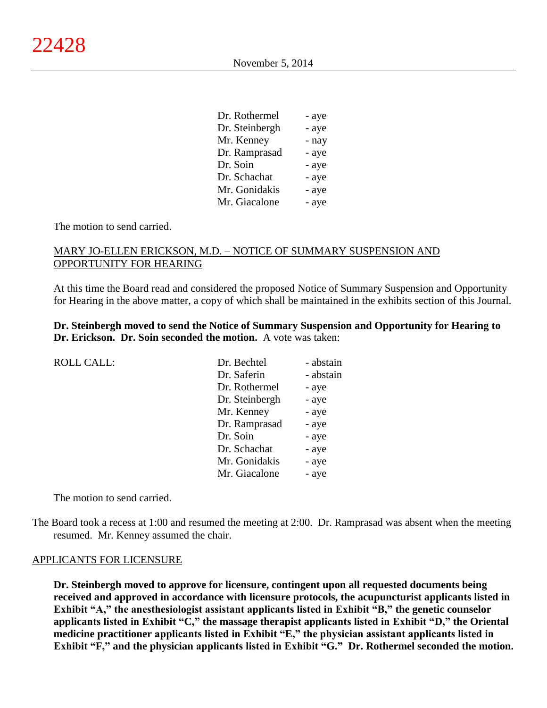| Dr. Rothermel  | - aye |
|----------------|-------|
| Dr. Steinbergh | - aye |
| Mr. Kenney     | - nay |
| Dr. Ramprasad  | - aye |
| Dr. Soin       | - aye |
| Dr. Schachat   | - aye |
| Mr. Gonidakis  | - aye |
| Mr. Giacalone  | - aye |

The motion to send carried.

# MARY JO-ELLEN ERICKSON, M.D. – NOTICE OF SUMMARY SUSPENSION AND OPPORTUNITY FOR HEARING

At this time the Board read and considered the proposed Notice of Summary Suspension and Opportunity for Hearing in the above matter, a copy of which shall be maintained in the exhibits section of this Journal.

# **Dr. Steinbergh moved to send the Notice of Summary Suspension and Opportunity for Hearing to Dr. Erickson. Dr. Soin seconded the motion.** A vote was taken:

| <b>ROLL CALL:</b> | Dr. Bechtel    | - abstain |
|-------------------|----------------|-----------|
|                   | Dr. Saferin    | - abstain |
|                   | Dr. Rothermel  | - aye     |
|                   | Dr. Steinbergh | - aye     |
|                   | Mr. Kenney     | - aye     |
|                   | Dr. Ramprasad  | - aye     |
|                   | Dr. Soin       | - aye     |
|                   | Dr. Schachat   | - aye     |
|                   | Mr. Gonidakis  | - aye     |
|                   | Mr. Giacalone  | - aye     |

The motion to send carried.

The Board took a recess at 1:00 and resumed the meeting at 2:00. Dr. Ramprasad was absent when the meeting resumed. Mr. Kenney assumed the chair.

#### APPLICANTS FOR LICENSURE

**Dr. Steinbergh moved to approve for licensure, contingent upon all requested documents being received and approved in accordance with licensure protocols, the acupuncturist applicants listed in Exhibit "A," the anesthesiologist assistant applicants listed in Exhibit "B," the genetic counselor applicants listed in Exhibit "C," the massage therapist applicants listed in Exhibit "D," the Oriental medicine practitioner applicants listed in Exhibit "E," the physician assistant applicants listed in Exhibit "F," and the physician applicants listed in Exhibit "G." Dr. Rothermel seconded the motion.**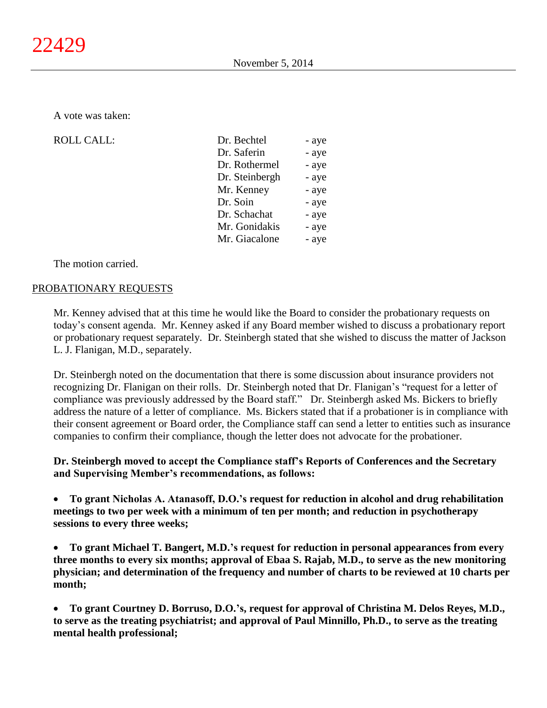A vote was taken:

ROLL CALL:

| - aye |
|-------|
| - aye |
| - aye |
| - aye |
| - aye |
| - aye |
| - aye |
| - aye |
| - aye |
|       |

The motion carried.

# PROBATIONARY REQUESTS

Mr. Kenney advised that at this time he would like the Board to consider the probationary requests on today's consent agenda. Mr. Kenney asked if any Board member wished to discuss a probationary report or probationary request separately. Dr. Steinbergh stated that she wished to discuss the matter of Jackson L. J. Flanigan, M.D., separately.

Dr. Steinbergh noted on the documentation that there is some discussion about insurance providers not recognizing Dr. Flanigan on their rolls. Dr. Steinbergh noted that Dr. Flanigan's "request for a letter of compliance was previously addressed by the Board staff." Dr. Steinbergh asked Ms. Bickers to briefly address the nature of a letter of compliance. Ms. Bickers stated that if a probationer is in compliance with their consent agreement or Board order, the Compliance staff can send a letter to entities such as insurance companies to confirm their compliance, though the letter does not advocate for the probationer.

# **Dr. Steinbergh moved to accept the Compliance staff's Reports of Conferences and the Secretary and Supervising Member's recommendations, as follows:**

 **To grant Nicholas A. Atanasoff, D.O.'s request for reduction in alcohol and drug rehabilitation meetings to two per week with a minimum of ten per month; and reduction in psychotherapy sessions to every three weeks;**

 **To grant Michael T. Bangert, M.D.'s request for reduction in personal appearances from every three months to every six months; approval of Ebaa S. Rajab, M.D., to serve as the new monitoring physician; and determination of the frequency and number of charts to be reviewed at 10 charts per month;**

 **To grant Courtney D. Borruso, D.O.'s, request for approval of Christina M. Delos Reyes, M.D., to serve as the treating psychiatrist; and approval of Paul Minnillo, Ph.D., to serve as the treating mental health professional;**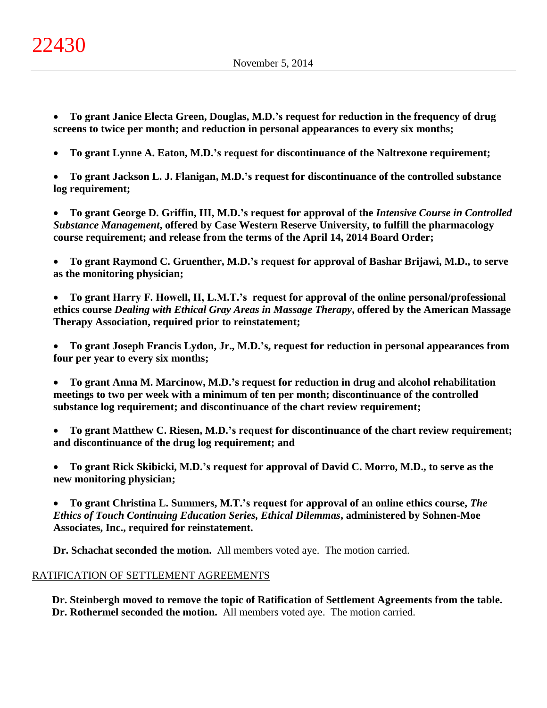- **To grant Janice Electa Green, Douglas, M.D.'s request for reduction in the frequency of drug screens to twice per month; and reduction in personal appearances to every six months;**
- **To grant Lynne A. Eaton, M.D.'s request for discontinuance of the Naltrexone requirement;**
- **To grant Jackson L. J. Flanigan, M.D.'s request for discontinuance of the controlled substance log requirement;**

 **To grant George D. Griffin, III, M.D.'s request for approval of the** *Intensive Course in Controlled Substance Management***, offered by Case Western Reserve University, to fulfill the pharmacology course requirement; and release from the terms of the April 14, 2014 Board Order;**

 **To grant Raymond C. Gruenther, M.D.'s request for approval of Bashar Brijawi, M.D., to serve as the monitoring physician;**

 **To grant Harry F. Howell, II, L.M.T.'s request for approval of the online personal/professional ethics course** *Dealing with Ethical Gray Areas in Massage Therapy***, offered by the American Massage Therapy Association, required prior to reinstatement;**

 **To grant Joseph Francis Lydon, Jr., M.D.'s, request for reduction in personal appearances from four per year to every six months;**

 **To grant Anna M. Marcinow, M.D.'s request for reduction in drug and alcohol rehabilitation meetings to two per week with a minimum of ten per month; discontinuance of the controlled substance log requirement; and discontinuance of the chart review requirement;**

 **To grant Matthew C. Riesen, M.D.'s request for discontinuance of the chart review requirement; and discontinuance of the drug log requirement; and**

 **To grant Rick Skibicki, M.D.'s request for approval of David C. Morro, M.D., to serve as the new monitoring physician;**

 **To grant Christina L. Summers, M.T.'s request for approval of an online ethics course,** *The Ethics of Touch Continuing Education Series, Ethical Dilemmas***, administered by Sohnen-Moe Associates, Inc., required for reinstatement.**

**Dr. Schachat seconded the motion.** All members voted aye. The motion carried.

# RATIFICATION OF SETTLEMENT AGREEMENTS

**Dr. Steinbergh moved to remove the topic of Ratification of Settlement Agreements from the table. Dr. Rothermel seconded the motion.** All members voted aye. The motion carried.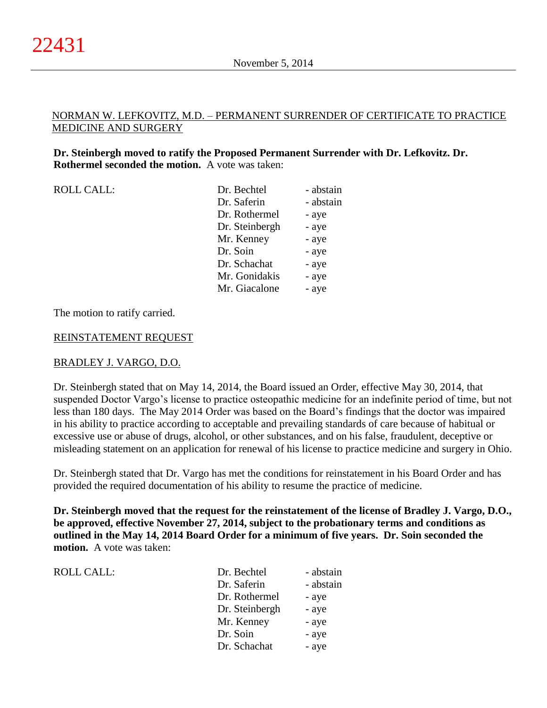# NORMAN W. LEFKOVITZ, M.D. – PERMANENT SURRENDER OF CERTIFICATE TO PRACTICE MEDICINE AND SURGERY

# **Dr. Steinbergh moved to ratify the Proposed Permanent Surrender with Dr. Lefkovitz. Dr. Rothermel seconded the motion.** A vote was taken:

| <b>ROLL CALL:</b> | Dr. Bechtel    | - abstain |
|-------------------|----------------|-----------|
|                   | Dr. Saferin    | - abstain |
|                   | Dr. Rothermel  | - aye     |
|                   | Dr. Steinbergh | - aye     |
|                   | Mr. Kenney     | - aye     |
|                   | Dr. Soin       | - aye     |
|                   | Dr. Schachat   | - aye     |
|                   | Mr. Gonidakis  | - aye     |
|                   | Mr. Giacalone  | - aye     |

The motion to ratify carried.

### REINSTATEMENT REQUEST

# BRADLEY J. VARGO, D.O.

ROLL CALL:

Dr. Steinbergh stated that on May 14, 2014, the Board issued an Order, effective May 30, 2014, that suspended Doctor Vargo's license to practice osteopathic medicine for an indefinite period of time, but not less than 180 days. The May 2014 Order was based on the Board's findings that the doctor was impaired in his ability to practice according to acceptable and prevailing standards of care because of habitual or excessive use or abuse of drugs, alcohol, or other substances, and on his false, fraudulent, deceptive or misleading statement on an application for renewal of his license to practice medicine and surgery in Ohio.

Dr. Steinbergh stated that Dr. Vargo has met the conditions for reinstatement in his Board Order and has provided the required documentation of his ability to resume the practice of medicine.

**Dr. Steinbergh moved that the request for the reinstatement of the license of Bradley J. Vargo, D.O., be approved, effective November 27, 2014, subject to the probationary terms and conditions as outlined in the May 14, 2014 Board Order for a minimum of five years. Dr. Soin seconded the motion.** A vote was taken:

| Dr. Bechtel    | - abstain |
|----------------|-----------|
| Dr. Saferin    | - abstain |
| Dr. Rothermel  | - aye     |
| Dr. Steinbergh | - aye     |
| Mr. Kenney     | - aye     |
| Dr. Soin       | - aye     |
| Dr. Schachat   | - aye     |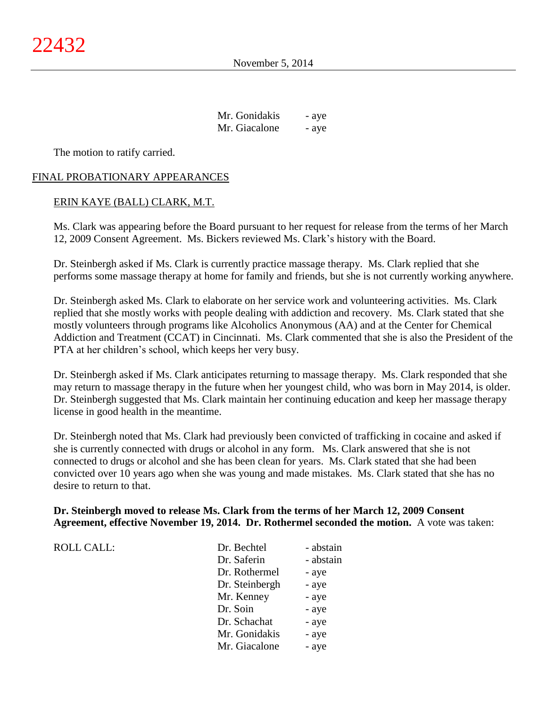| Mr. Gonidakis | - aye |
|---------------|-------|
| Mr. Giacalone | - aye |

The motion to ratify carried.

# FINAL PROBATIONARY APPEARANCES

# ERIN KAYE (BALL) CLARK, M.T.

Ms. Clark was appearing before the Board pursuant to her request for release from the terms of her March 12, 2009 Consent Agreement. Ms. Bickers reviewed Ms. Clark's history with the Board.

Dr. Steinbergh asked if Ms. Clark is currently practice massage therapy. Ms. Clark replied that she performs some massage therapy at home for family and friends, but she is not currently working anywhere.

Dr. Steinbergh asked Ms. Clark to elaborate on her service work and volunteering activities. Ms. Clark replied that she mostly works with people dealing with addiction and recovery. Ms. Clark stated that she mostly volunteers through programs like Alcoholics Anonymous (AA) and at the Center for Chemical Addiction and Treatment (CCAT) in Cincinnati. Ms. Clark commented that she is also the President of the PTA at her children's school, which keeps her very busy.

Dr. Steinbergh asked if Ms. Clark anticipates returning to massage therapy. Ms. Clark responded that she may return to massage therapy in the future when her youngest child, who was born in May 2014, is older. Dr. Steinbergh suggested that Ms. Clark maintain her continuing education and keep her massage therapy license in good health in the meantime.

Dr. Steinbergh noted that Ms. Clark had previously been convicted of trafficking in cocaine and asked if she is currently connected with drugs or alcohol in any form. Ms. Clark answered that she is not connected to drugs or alcohol and she has been clean for years. Ms. Clark stated that she had been convicted over 10 years ago when she was young and made mistakes. Ms. Clark stated that she has no desire to return to that.

# **Dr. Steinbergh moved to release Ms. Clark from the terms of her March 12, 2009 Consent Agreement, effective November 19, 2014. Dr. Rothermel seconded the motion.** A vote was taken:

| ROLL CALL: |  |
|------------|--|
|------------|--|

| <b>ROLL CALL:</b> | Dr. Bechtel    | - abstain |
|-------------------|----------------|-----------|
|                   | Dr. Saferin    | - abstain |
|                   | Dr. Rothermel  | - aye     |
|                   | Dr. Steinbergh | - aye     |
|                   | Mr. Kenney     | - aye     |
|                   | Dr. Soin       | - aye     |
|                   | Dr. Schachat   | - aye     |
|                   | Mr. Gonidakis  | - aye     |
|                   | Mr. Giacalone  | - aye     |
|                   |                |           |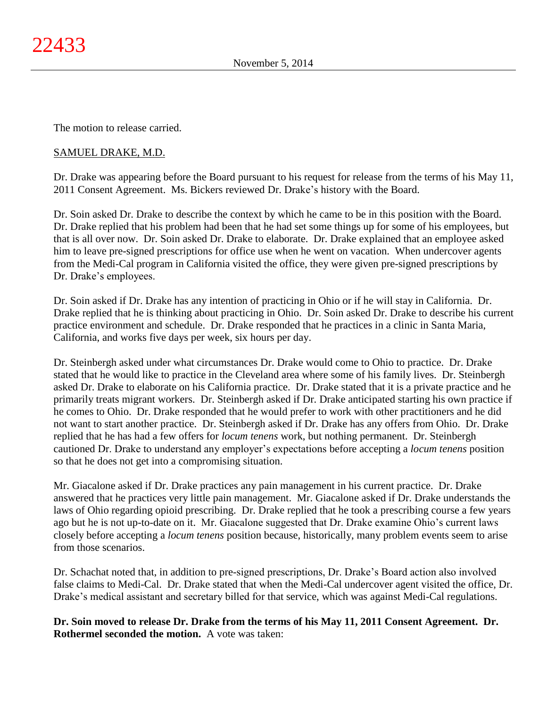The motion to release carried.

# SAMUEL DRAKE, M.D.

Dr. Drake was appearing before the Board pursuant to his request for release from the terms of his May 11, 2011 Consent Agreement. Ms. Bickers reviewed Dr. Drake's history with the Board.

Dr. Soin asked Dr. Drake to describe the context by which he came to be in this position with the Board. Dr. Drake replied that his problem had been that he had set some things up for some of his employees, but that is all over now. Dr. Soin asked Dr. Drake to elaborate. Dr. Drake explained that an employee asked him to leave pre-signed prescriptions for office use when he went on vacation. When undercover agents from the Medi-Cal program in California visited the office, they were given pre-signed prescriptions by Dr. Drake's employees.

Dr. Soin asked if Dr. Drake has any intention of practicing in Ohio or if he will stay in California. Dr. Drake replied that he is thinking about practicing in Ohio. Dr. Soin asked Dr. Drake to describe his current practice environment and schedule. Dr. Drake responded that he practices in a clinic in Santa Maria, California, and works five days per week, six hours per day.

Dr. Steinbergh asked under what circumstances Dr. Drake would come to Ohio to practice. Dr. Drake stated that he would like to practice in the Cleveland area where some of his family lives. Dr. Steinbergh asked Dr. Drake to elaborate on his California practice. Dr. Drake stated that it is a private practice and he primarily treats migrant workers. Dr. Steinbergh asked if Dr. Drake anticipated starting his own practice if he comes to Ohio. Dr. Drake responded that he would prefer to work with other practitioners and he did not want to start another practice. Dr. Steinbergh asked if Dr. Drake has any offers from Ohio. Dr. Drake replied that he has had a few offers for *locum tenens* work, but nothing permanent. Dr. Steinbergh cautioned Dr. Drake to understand any employer's expectations before accepting a *locum tenens* position so that he does not get into a compromising situation.

Mr. Giacalone asked if Dr. Drake practices any pain management in his current practice. Dr. Drake answered that he practices very little pain management. Mr. Giacalone asked if Dr. Drake understands the laws of Ohio regarding opioid prescribing. Dr. Drake replied that he took a prescribing course a few years ago but he is not up-to-date on it. Mr. Giacalone suggested that Dr. Drake examine Ohio's current laws closely before accepting a *locum tenens* position because, historically, many problem events seem to arise from those scenarios.

Dr. Schachat noted that, in addition to pre-signed prescriptions, Dr. Drake's Board action also involved false claims to Medi-Cal. Dr. Drake stated that when the Medi-Cal undercover agent visited the office, Dr. Drake's medical assistant and secretary billed for that service, which was against Medi-Cal regulations.

**Dr. Soin moved to release Dr. Drake from the terms of his May 11, 2011 Consent Agreement. Dr. Rothermel seconded the motion.** A vote was taken: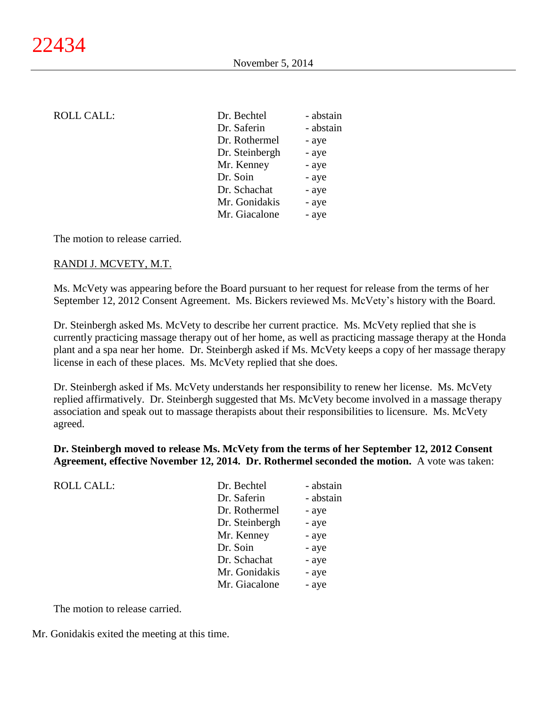| Dr. Bechtel    | - abstain |
|----------------|-----------|
| Dr. Saferin    | - abstain |
| Dr. Rothermel  | - aye     |
| Dr. Steinbergh | - aye     |
| Mr. Kenney     | - aye     |
| Dr. Soin       | - aye     |
| Dr. Schachat   | - aye     |
| Mr. Gonidakis  | - aye     |
| Mr. Giacalone  | - aye     |
|                |           |

The motion to release carried.

### RANDI J. MCVETY, M.T.

Ms. McVety was appearing before the Board pursuant to her request for release from the terms of her September 12, 2012 Consent Agreement. Ms. Bickers reviewed Ms. McVety's history with the Board.

Dr. Steinbergh asked Ms. McVety to describe her current practice. Ms. McVety replied that she is currently practicing massage therapy out of her home, as well as practicing massage therapy at the Honda plant and a spa near her home. Dr. Steinbergh asked if Ms. McVety keeps a copy of her massage therapy license in each of these places. Ms. McVety replied that she does.

Dr. Steinbergh asked if Ms. McVety understands her responsibility to renew her license. Ms. McVety replied affirmatively. Dr. Steinbergh suggested that Ms. McVety become involved in a massage therapy association and speak out to massage therapists about their responsibilities to licensure. Ms. McVety agreed.

### **Dr. Steinbergh moved to release Ms. McVety from the terms of her September 12, 2012 Consent Agreement, effective November 12, 2014. Dr. Rothermel seconded the motion.** A vote was taken:

| <b>ROLL CALL:</b> | Dr. Bechtel    | - abstain |
|-------------------|----------------|-----------|
|                   | Dr. Saferin    | - abstain |
|                   | Dr. Rothermel  | - aye     |
|                   | Dr. Steinbergh | - aye     |
|                   | Mr. Kenney     | - aye     |
|                   | Dr. Soin       | - aye     |
|                   | Dr. Schachat   | - aye     |
|                   | Mr. Gonidakis  | - aye     |
|                   | Mr. Giacalone  | - aye     |
|                   |                |           |

The motion to release carried.

Mr. Gonidakis exited the meeting at this time.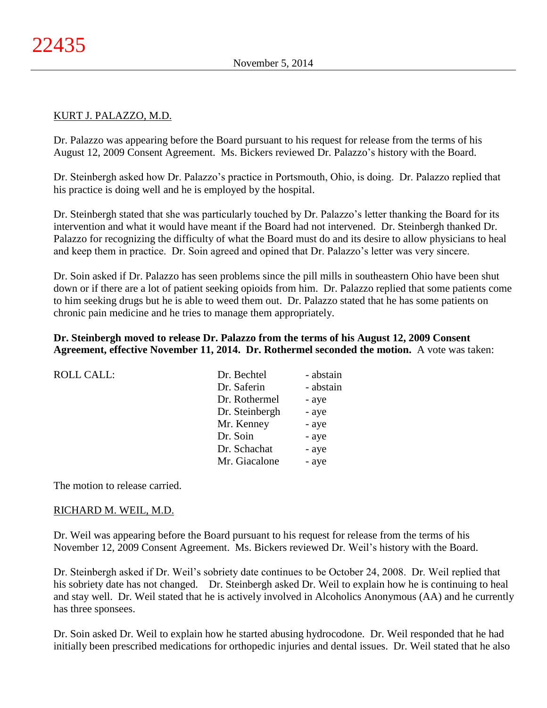# KURT J. PALAZZO, M.D.

Dr. Palazzo was appearing before the Board pursuant to his request for release from the terms of his August 12, 2009 Consent Agreement. Ms. Bickers reviewed Dr. Palazzo's history with the Board.

Dr. Steinbergh asked how Dr. Palazzo's practice in Portsmouth, Ohio, is doing. Dr. Palazzo replied that his practice is doing well and he is employed by the hospital.

Dr. Steinbergh stated that she was particularly touched by Dr. Palazzo's letter thanking the Board for its intervention and what it would have meant if the Board had not intervened. Dr. Steinbergh thanked Dr. Palazzo for recognizing the difficulty of what the Board must do and its desire to allow physicians to heal and keep them in practice. Dr. Soin agreed and opined that Dr. Palazzo's letter was very sincere.

Dr. Soin asked if Dr. Palazzo has seen problems since the pill mills in southeastern Ohio have been shut down or if there are a lot of patient seeking opioids from him. Dr. Palazzo replied that some patients come to him seeking drugs but he is able to weed them out. Dr. Palazzo stated that he has some patients on chronic pain medicine and he tries to manage them appropriately.

# **Dr. Steinbergh moved to release Dr. Palazzo from the terms of his August 12, 2009 Consent Agreement, effective November 11, 2014. Dr. Rothermel seconded the motion.** A vote was taken:

| <b>ROLL CALL:</b> | Dr. Bechtel    | - abstain |
|-------------------|----------------|-----------|
|                   | Dr. Saferin    | - abstain |
|                   | Dr. Rothermel  | - aye     |
|                   | Dr. Steinbergh | - aye     |
|                   | Mr. Kenney     | - aye     |
|                   | Dr. Soin       | - aye     |
|                   | Dr. Schachat   | - aye     |
|                   | Mr. Giacalone  | - aye     |
|                   |                |           |

The motion to release carried.

#### RICHARD M. WEIL, M.D.

Dr. Weil was appearing before the Board pursuant to his request for release from the terms of his November 12, 2009 Consent Agreement. Ms. Bickers reviewed Dr. Weil's history with the Board.

Dr. Steinbergh asked if Dr. Weil's sobriety date continues to be October 24, 2008. Dr. Weil replied that his sobriety date has not changed. Dr. Steinbergh asked Dr. Weil to explain how he is continuing to heal and stay well. Dr. Weil stated that he is actively involved in Alcoholics Anonymous (AA) and he currently has three sponsees.

Dr. Soin asked Dr. Weil to explain how he started abusing hydrocodone. Dr. Weil responded that he had initially been prescribed medications for orthopedic injuries and dental issues. Dr. Weil stated that he also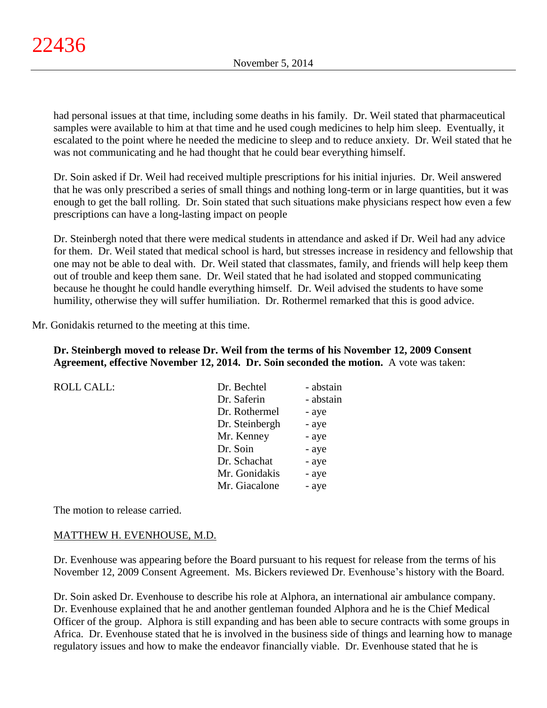had personal issues at that time, including some deaths in his family. Dr. Weil stated that pharmaceutical samples were available to him at that time and he used cough medicines to help him sleep. Eventually, it escalated to the point where he needed the medicine to sleep and to reduce anxiety. Dr. Weil stated that he was not communicating and he had thought that he could bear everything himself.

Dr. Soin asked if Dr. Weil had received multiple prescriptions for his initial injuries. Dr. Weil answered that he was only prescribed a series of small things and nothing long-term or in large quantities, but it was enough to get the ball rolling. Dr. Soin stated that such situations make physicians respect how even a few prescriptions can have a long-lasting impact on people

Dr. Steinbergh noted that there were medical students in attendance and asked if Dr. Weil had any advice for them. Dr. Weil stated that medical school is hard, but stresses increase in residency and fellowship that one may not be able to deal with. Dr. Weil stated that classmates, family, and friends will help keep them out of trouble and keep them sane. Dr. Weil stated that he had isolated and stopped communicating because he thought he could handle everything himself. Dr. Weil advised the students to have some humility, otherwise they will suffer humiliation. Dr. Rothermel remarked that this is good advice.

Mr. Gonidakis returned to the meeting at this time.

# **Dr. Steinbergh moved to release Dr. Weil from the terms of his November 12, 2009 Consent Agreement, effective November 12, 2014. Dr. Soin seconded the motion.** A vote was taken:

| <b>ROLL CALL:</b> | Dr. Bechtel    | - abstain |
|-------------------|----------------|-----------|
|                   | Dr. Saferin    | - abstain |
|                   | Dr. Rothermel  | - aye     |
|                   | Dr. Steinbergh | - aye     |
|                   | Mr. Kenney     | - aye     |
|                   | Dr. Soin       | - aye     |
|                   | Dr. Schachat   | - aye     |
|                   | Mr. Gonidakis  | - aye     |
|                   | Mr. Giacalone  | - aye     |

The motion to release carried.

# MATTHEW H. EVENHOUSE, M.D.

Dr. Evenhouse was appearing before the Board pursuant to his request for release from the terms of his November 12, 2009 Consent Agreement. Ms. Bickers reviewed Dr. Evenhouse's history with the Board.

Dr. Soin asked Dr. Evenhouse to describe his role at Alphora, an international air ambulance company. Dr. Evenhouse explained that he and another gentleman founded Alphora and he is the Chief Medical Officer of the group. Alphora is still expanding and has been able to secure contracts with some groups in Africa. Dr. Evenhouse stated that he is involved in the business side of things and learning how to manage regulatory issues and how to make the endeavor financially viable. Dr. Evenhouse stated that he is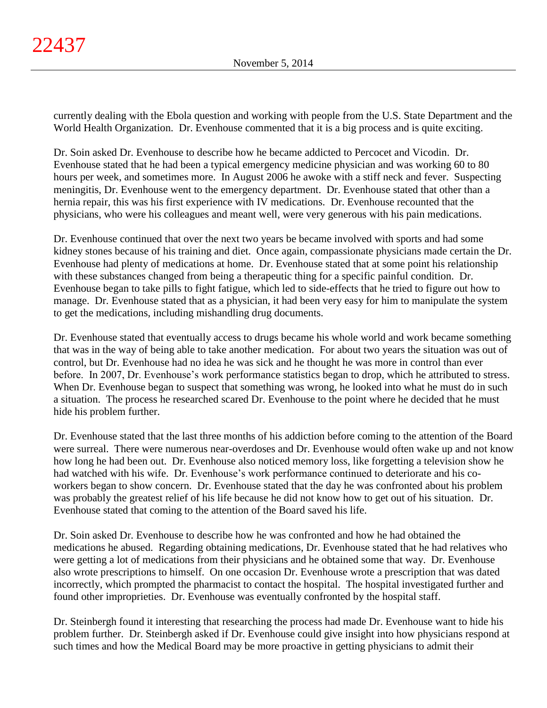currently dealing with the Ebola question and working with people from the U.S. State Department and the World Health Organization. Dr. Evenhouse commented that it is a big process and is quite exciting.

Dr. Soin asked Dr. Evenhouse to describe how he became addicted to Percocet and Vicodin. Dr. Evenhouse stated that he had been a typical emergency medicine physician and was working 60 to 80 hours per week, and sometimes more. In August 2006 he awoke with a stiff neck and fever. Suspecting meningitis, Dr. Evenhouse went to the emergency department. Dr. Evenhouse stated that other than a hernia repair, this was his first experience with IV medications. Dr. Evenhouse recounted that the physicians, who were his colleagues and meant well, were very generous with his pain medications.

Dr. Evenhouse continued that over the next two years be became involved with sports and had some kidney stones because of his training and diet. Once again, compassionate physicians made certain the Dr. Evenhouse had plenty of medications at home. Dr. Evenhouse stated that at some point his relationship with these substances changed from being a therapeutic thing for a specific painful condition. Dr. Evenhouse began to take pills to fight fatigue, which led to side-effects that he tried to figure out how to manage. Dr. Evenhouse stated that as a physician, it had been very easy for him to manipulate the system to get the medications, including mishandling drug documents.

Dr. Evenhouse stated that eventually access to drugs became his whole world and work became something that was in the way of being able to take another medication. For about two years the situation was out of control, but Dr. Evenhouse had no idea he was sick and he thought he was more in control than ever before. In 2007, Dr. Evenhouse's work performance statistics began to drop, which he attributed to stress. When Dr. Evenhouse began to suspect that something was wrong, he looked into what he must do in such a situation. The process he researched scared Dr. Evenhouse to the point where he decided that he must hide his problem further.

Dr. Evenhouse stated that the last three months of his addiction before coming to the attention of the Board were surreal. There were numerous near-overdoses and Dr. Evenhouse would often wake up and not know how long he had been out. Dr. Evenhouse also noticed memory loss, like forgetting a television show he had watched with his wife. Dr. Evenhouse's work performance continued to deteriorate and his coworkers began to show concern. Dr. Evenhouse stated that the day he was confronted about his problem was probably the greatest relief of his life because he did not know how to get out of his situation. Dr. Evenhouse stated that coming to the attention of the Board saved his life.

Dr. Soin asked Dr. Evenhouse to describe how he was confronted and how he had obtained the medications he abused. Regarding obtaining medications, Dr. Evenhouse stated that he had relatives who were getting a lot of medications from their physicians and he obtained some that way. Dr. Evenhouse also wrote prescriptions to himself. On one occasion Dr. Evenhouse wrote a prescription that was dated incorrectly, which prompted the pharmacist to contact the hospital. The hospital investigated further and found other improprieties. Dr. Evenhouse was eventually confronted by the hospital staff.

Dr. Steinbergh found it interesting that researching the process had made Dr. Evenhouse want to hide his problem further. Dr. Steinbergh asked if Dr. Evenhouse could give insight into how physicians respond at such times and how the Medical Board may be more proactive in getting physicians to admit their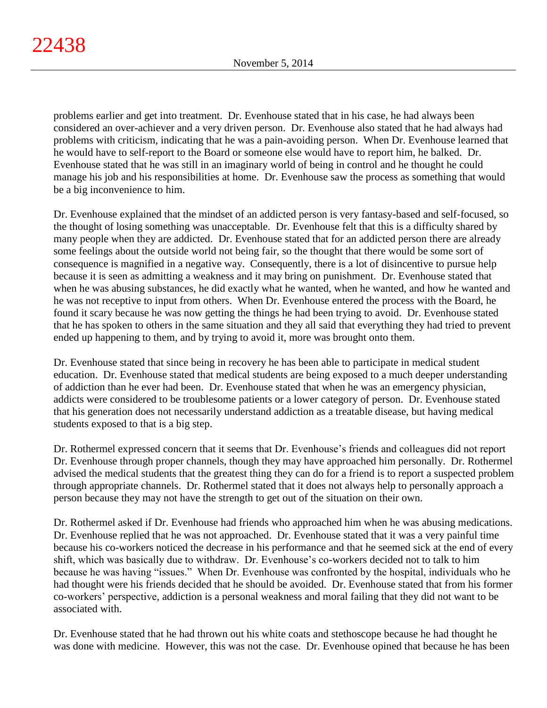problems earlier and get into treatment. Dr. Evenhouse stated that in his case, he had always been considered an over-achiever and a very driven person. Dr. Evenhouse also stated that he had always had problems with criticism, indicating that he was a pain-avoiding person. When Dr. Evenhouse learned that he would have to self-report to the Board or someone else would have to report him, he balked. Dr. Evenhouse stated that he was still in an imaginary world of being in control and he thought he could manage his job and his responsibilities at home. Dr. Evenhouse saw the process as something that would be a big inconvenience to him.

Dr. Evenhouse explained that the mindset of an addicted person is very fantasy-based and self-focused, so the thought of losing something was unacceptable. Dr. Evenhouse felt that this is a difficulty shared by many people when they are addicted. Dr. Evenhouse stated that for an addicted person there are already some feelings about the outside world not being fair, so the thought that there would be some sort of consequence is magnified in a negative way. Consequently, there is a lot of disincentive to pursue help because it is seen as admitting a weakness and it may bring on punishment. Dr. Evenhouse stated that when he was abusing substances, he did exactly what he wanted, when he wanted, and how he wanted and he was not receptive to input from others. When Dr. Evenhouse entered the process with the Board, he found it scary because he was now getting the things he had been trying to avoid. Dr. Evenhouse stated that he has spoken to others in the same situation and they all said that everything they had tried to prevent ended up happening to them, and by trying to avoid it, more was brought onto them.

Dr. Evenhouse stated that since being in recovery he has been able to participate in medical student education. Dr. Evenhouse stated that medical students are being exposed to a much deeper understanding of addiction than he ever had been. Dr. Evenhouse stated that when he was an emergency physician, addicts were considered to be troublesome patients or a lower category of person. Dr. Evenhouse stated that his generation does not necessarily understand addiction as a treatable disease, but having medical students exposed to that is a big step.

Dr. Rothermel expressed concern that it seems that Dr. Evenhouse's friends and colleagues did not report Dr. Evenhouse through proper channels, though they may have approached him personally. Dr. Rothermel advised the medical students that the greatest thing they can do for a friend is to report a suspected problem through appropriate channels. Dr. Rothermel stated that it does not always help to personally approach a person because they may not have the strength to get out of the situation on their own.

Dr. Rothermel asked if Dr. Evenhouse had friends who approached him when he was abusing medications. Dr. Evenhouse replied that he was not approached. Dr. Evenhouse stated that it was a very painful time because his co-workers noticed the decrease in his performance and that he seemed sick at the end of every shift, which was basically due to withdraw. Dr. Evenhouse's co-workers decided not to talk to him because he was having "issues." When Dr. Evenhouse was confronted by the hospital, individuals who he had thought were his friends decided that he should be avoided. Dr. Evenhouse stated that from his former co-workers' perspective, addiction is a personal weakness and moral failing that they did not want to be associated with.

Dr. Evenhouse stated that he had thrown out his white coats and stethoscope because he had thought he was done with medicine. However, this was not the case. Dr. Evenhouse opined that because he has been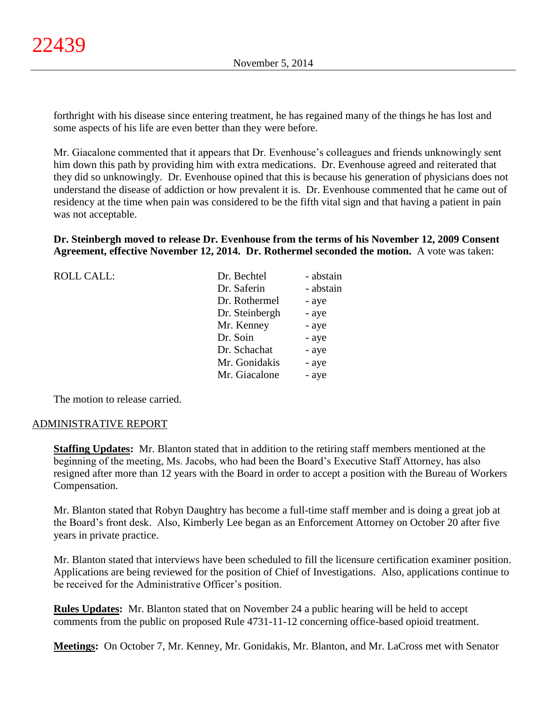forthright with his disease since entering treatment, he has regained many of the things he has lost and some aspects of his life are even better than they were before.

Mr. Giacalone commented that it appears that Dr. Evenhouse's colleagues and friends unknowingly sent him down this path by providing him with extra medications. Dr. Evenhouse agreed and reiterated that they did so unknowingly. Dr. Evenhouse opined that this is because his generation of physicians does not understand the disease of addiction or how prevalent it is. Dr. Evenhouse commented that he came out of residency at the time when pain was considered to be the fifth vital sign and that having a patient in pain was not acceptable.

**Dr. Steinbergh moved to release Dr. Evenhouse from the terms of his November 12, 2009 Consent Agreement, effective November 12, 2014. Dr. Rothermel seconded the motion.** A vote was taken:

| <b>ROLL CALL:</b> | Dr. Bechtel    | - abstain |
|-------------------|----------------|-----------|
|                   | Dr. Saferin    | - abstain |
|                   | Dr. Rothermel  | - aye     |
|                   | Dr. Steinbergh | - aye     |
|                   | Mr. Kenney     | - aye     |
|                   | Dr. Soin       | - aye     |
|                   | Dr. Schachat   | - aye     |
|                   | Mr. Gonidakis  | - aye     |
|                   | Mr. Giacalone  | - aye     |
|                   |                |           |

The motion to release carried.

#### ADMINISTRATIVE REPORT

**Staffing Updates:** Mr. Blanton stated that in addition to the retiring staff members mentioned at the beginning of the meeting, Ms. Jacobs, who had been the Board's Executive Staff Attorney, has also resigned after more than 12 years with the Board in order to accept a position with the Bureau of Workers Compensation.

Mr. Blanton stated that Robyn Daughtry has become a full-time staff member and is doing a great job at the Board's front desk. Also, Kimberly Lee began as an Enforcement Attorney on October 20 after five years in private practice.

Mr. Blanton stated that interviews have been scheduled to fill the licensure certification examiner position. Applications are being reviewed for the position of Chief of Investigations. Also, applications continue to be received for the Administrative Officer's position.

**Rules Updates:** Mr. Blanton stated that on November 24 a public hearing will be held to accept comments from the public on proposed Rule 4731-11-12 concerning office-based opioid treatment.

**Meetings:** On October 7, Mr. Kenney, Mr. Gonidakis, Mr. Blanton, and Mr. LaCross met with Senator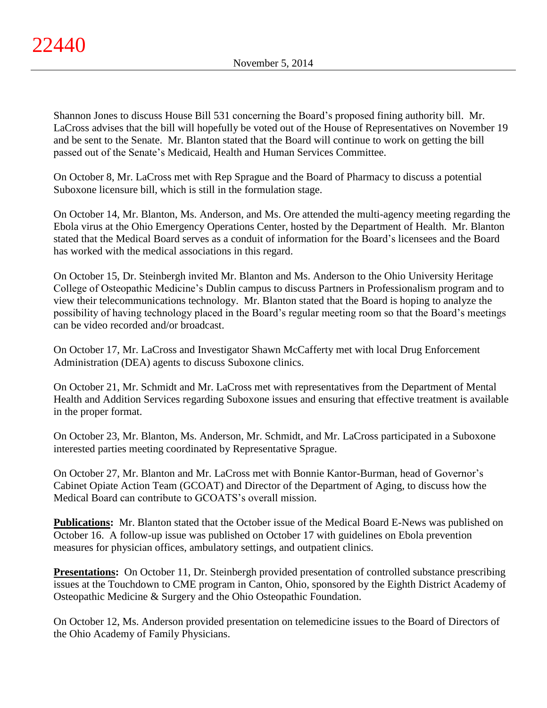Shannon Jones to discuss House Bill 531 concerning the Board's proposed fining authority bill. Mr. LaCross advises that the bill will hopefully be voted out of the House of Representatives on November 19 and be sent to the Senate. Mr. Blanton stated that the Board will continue to work on getting the bill passed out of the Senate's Medicaid, Health and Human Services Committee.

On October 8, Mr. LaCross met with Rep Sprague and the Board of Pharmacy to discuss a potential Suboxone licensure bill, which is still in the formulation stage.

On October 14, Mr. Blanton, Ms. Anderson, and Ms. Ore attended the multi-agency meeting regarding the Ebola virus at the Ohio Emergency Operations Center, hosted by the Department of Health. Mr. Blanton stated that the Medical Board serves as a conduit of information for the Board's licensees and the Board has worked with the medical associations in this regard.

On October 15, Dr. Steinbergh invited Mr. Blanton and Ms. Anderson to the Ohio University Heritage College of Osteopathic Medicine's Dublin campus to discuss Partners in Professionalism program and to view their telecommunications technology. Mr. Blanton stated that the Board is hoping to analyze the possibility of having technology placed in the Board's regular meeting room so that the Board's meetings can be video recorded and/or broadcast.

On October 17, Mr. LaCross and Investigator Shawn McCafferty met with local Drug Enforcement Administration (DEA) agents to discuss Suboxone clinics.

On October 21, Mr. Schmidt and Mr. LaCross met with representatives from the Department of Mental Health and Addition Services regarding Suboxone issues and ensuring that effective treatment is available in the proper format.

On October 23, Mr. Blanton, Ms. Anderson, Mr. Schmidt, and Mr. LaCross participated in a Suboxone interested parties meeting coordinated by Representative Sprague.

On October 27, Mr. Blanton and Mr. LaCross met with Bonnie Kantor-Burman, head of Governor's Cabinet Opiate Action Team (GCOAT) and Director of the Department of Aging, to discuss how the Medical Board can contribute to GCOATS's overall mission.

**Publications:** Mr. Blanton stated that the October issue of the Medical Board E-News was published on October 16. A follow-up issue was published on October 17 with guidelines on Ebola prevention measures for physician offices, ambulatory settings, and outpatient clinics.

**Presentations:** On October 11, Dr. Steinbergh provided presentation of controlled substance prescribing issues at the Touchdown to CME program in Canton, Ohio, sponsored by the Eighth District Academy of Osteopathic Medicine & Surgery and the Ohio Osteopathic Foundation.

On October 12, Ms. Anderson provided presentation on telemedicine issues to the Board of Directors of the Ohio Academy of Family Physicians.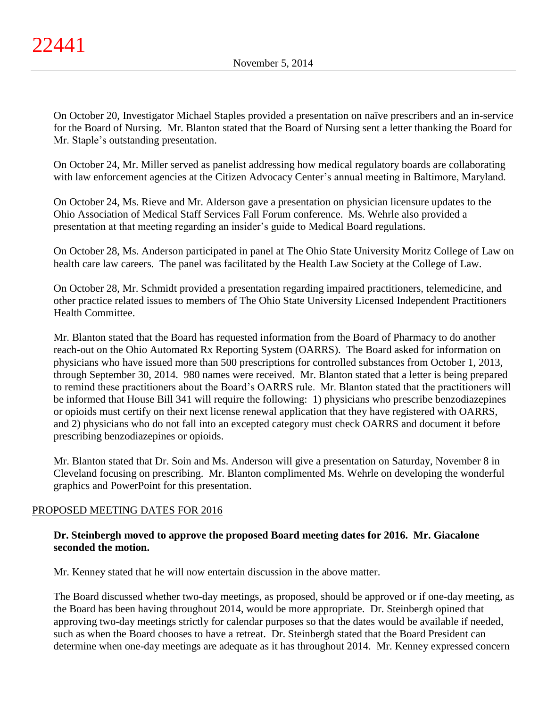On October 20, Investigator Michael Staples provided a presentation on naïve prescribers and an in-service for the Board of Nursing. Mr. Blanton stated that the Board of Nursing sent a letter thanking the Board for Mr. Staple's outstanding presentation.

On October 24, Mr. Miller served as panelist addressing how medical regulatory boards are collaborating with law enforcement agencies at the Citizen Advocacy Center's annual meeting in Baltimore, Maryland.

On October 24, Ms. Rieve and Mr. Alderson gave a presentation on physician licensure updates to the Ohio Association of Medical Staff Services Fall Forum conference. Ms. Wehrle also provided a presentation at that meeting regarding an insider's guide to Medical Board regulations.

On October 28, Ms. Anderson participated in panel at The Ohio State University Moritz College of Law on health care law careers. The panel was facilitated by the Health Law Society at the College of Law.

On October 28, Mr. Schmidt provided a presentation regarding impaired practitioners, telemedicine, and other practice related issues to members of The Ohio State University Licensed Independent Practitioners Health Committee.

Mr. Blanton stated that the Board has requested information from the Board of Pharmacy to do another reach-out on the Ohio Automated Rx Reporting System (OARRS). The Board asked for information on physicians who have issued more than 500 prescriptions for controlled substances from October 1, 2013, through September 30, 2014. 980 names were received. Mr. Blanton stated that a letter is being prepared to remind these practitioners about the Board's OARRS rule. Mr. Blanton stated that the practitioners will be informed that House Bill 341 will require the following: 1) physicians who prescribe benzodiazepines or opioids must certify on their next license renewal application that they have registered with OARRS, and 2) physicians who do not fall into an excepted category must check OARRS and document it before prescribing benzodiazepines or opioids.

Mr. Blanton stated that Dr. Soin and Ms. Anderson will give a presentation on Saturday, November 8 in Cleveland focusing on prescribing. Mr. Blanton complimented Ms. Wehrle on developing the wonderful graphics and PowerPoint for this presentation.

# PROPOSED MEETING DATES FOR 2016

# **Dr. Steinbergh moved to approve the proposed Board meeting dates for 2016. Mr. Giacalone seconded the motion.**

Mr. Kenney stated that he will now entertain discussion in the above matter.

The Board discussed whether two-day meetings, as proposed, should be approved or if one-day meeting, as the Board has been having throughout 2014, would be more appropriate. Dr. Steinbergh opined that approving two-day meetings strictly for calendar purposes so that the dates would be available if needed, such as when the Board chooses to have a retreat. Dr. Steinbergh stated that the Board President can determine when one-day meetings are adequate as it has throughout 2014. Mr. Kenney expressed concern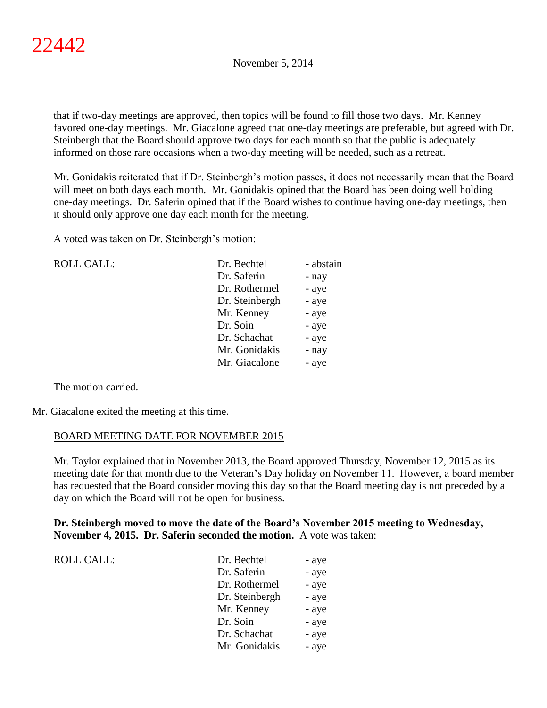that if two-day meetings are approved, then topics will be found to fill those two days. Mr. Kenney favored one-day meetings. Mr. Giacalone agreed that one-day meetings are preferable, but agreed with Dr. Steinbergh that the Board should approve two days for each month so that the public is adequately informed on those rare occasions when a two-day meeting will be needed, such as a retreat.

Mr. Gonidakis reiterated that if Dr. Steinbergh's motion passes, it does not necessarily mean that the Board will meet on both days each month. Mr. Gonidakis opined that the Board has been doing well holding one-day meetings. Dr. Saferin opined that if the Board wishes to continue having one-day meetings, then it should only approve one day each month for the meeting.

A voted was taken on Dr. Steinbergh's motion:

| <b>ROLL CALL:</b> | Dr. Bechtel    | - abstain |
|-------------------|----------------|-----------|
|                   | Dr. Saferin    | - nay     |
|                   | Dr. Rothermel  | - aye     |
|                   | Dr. Steinbergh | - aye     |
|                   | Mr. Kenney     | - aye     |
|                   | Dr. Soin       | - aye     |
|                   | Dr. Schachat   | - aye     |
|                   | Mr. Gonidakis  | - nay     |
|                   | Mr. Giacalone  | - aye     |
|                   |                |           |

The motion carried.

Mr. Giacalone exited the meeting at this time.

# BOARD MEETING DATE FOR NOVEMBER 2015

Mr. Taylor explained that in November 2013, the Board approved Thursday, November 12, 2015 as its meeting date for that month due to the Veteran's Day holiday on November 11. However, a board member has requested that the Board consider moving this day so that the Board meeting day is not preceded by a day on which the Board will not be open for business.

**Dr. Steinbergh moved to move the date of the Board's November 2015 meeting to Wednesday, November 4, 2015. Dr. Saferin seconded the motion.** A vote was taken:

ROLL CALL: T

| Dr. Bechtel    | - aye |
|----------------|-------|
| Dr. Saferin    | - aye |
| Dr. Rothermel  | - aye |
| Dr. Steinbergh | - aye |
| Mr. Kenney     | - aye |
| Dr. Soin       | - aye |
| Dr. Schachat   | - aye |
| Mr. Gonidakis  | - aye |
|                |       |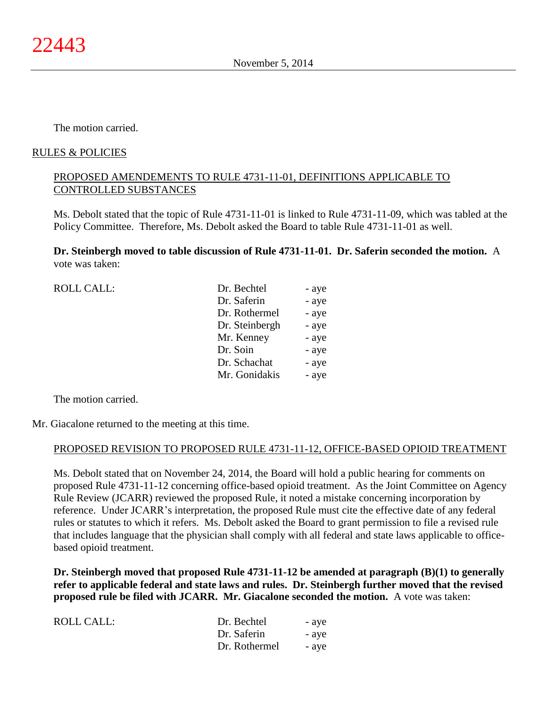The motion carried.

# RULES & POLICIES

# PROPOSED AMENDEMENTS TO RULE 4731-11-01, DEFINITIONS APPLICABLE TO CONTROLLED SUBSTANCES

Ms. Debolt stated that the topic of Rule 4731-11-01 is linked to Rule 4731-11-09, which was tabled at the Policy Committee. Therefore, Ms. Debolt asked the Board to table Rule 4731-11-01 as well.

**Dr. Steinbergh moved to table discussion of Rule 4731-11-01. Dr. Saferin seconded the motion.** A vote was taken:

| <b>ROLL CALL:</b> | Dr. Bechtel    | - aye |
|-------------------|----------------|-------|
|                   | Dr. Saferin    | - aye |
|                   | Dr. Rothermel  | - aye |
|                   | Dr. Steinbergh | - aye |
|                   | Mr. Kenney     | - aye |
|                   | Dr. Soin       | - aye |
|                   | Dr. Schachat   | - aye |
|                   | Mr. Gonidakis  | - aye |
|                   |                |       |

The motion carried.

Mr. Giacalone returned to the meeting at this time.

# PROPOSED REVISION TO PROPOSED RULE 4731-11-12, OFFICE-BASED OPIOID TREATMENT

Ms. Debolt stated that on November 24, 2014, the Board will hold a public hearing for comments on proposed Rule 4731-11-12 concerning office-based opioid treatment. As the Joint Committee on Agency Rule Review (JCARR) reviewed the proposed Rule, it noted a mistake concerning incorporation by reference. Under JCARR's interpretation, the proposed Rule must cite the effective date of any federal rules or statutes to which it refers. Ms. Debolt asked the Board to grant permission to file a revised rule that includes language that the physician shall comply with all federal and state laws applicable to officebased opioid treatment.

**Dr. Steinbergh moved that proposed Rule 4731-11-12 be amended at paragraph (B)(1) to generally refer to applicable federal and state laws and rules. Dr. Steinbergh further moved that the revised proposed rule be filed with JCARR. Mr. Giacalone seconded the motion.** A vote was taken:

| ROLL CALL: | Dr. Bechtel   | - aye |
|------------|---------------|-------|
|            | Dr. Saferin   | - aye |
|            | Dr. Rothermel | - aye |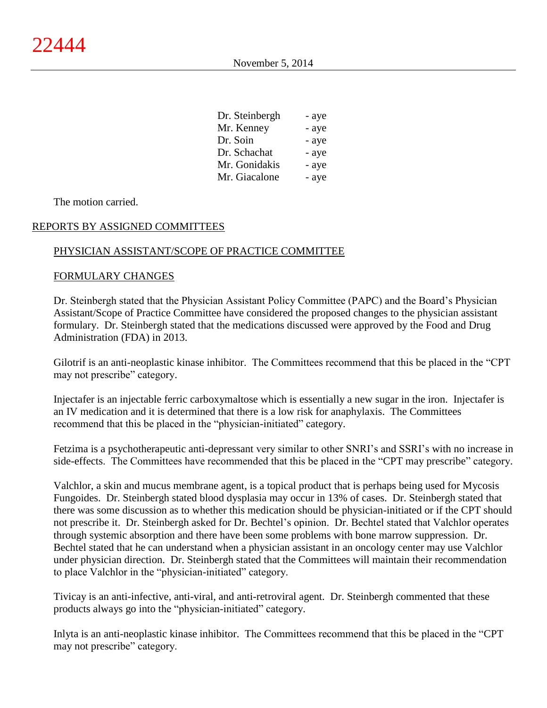| Dr. Steinbergh | - aye |
|----------------|-------|
| Mr. Kenney     | - aye |
| Dr. Soin       | - aye |
| Dr. Schachat   | - aye |
| Mr. Gonidakis  | - aye |
| Mr. Giacalone  | - aye |
|                |       |

The motion carried.

# REPORTS BY ASSIGNED COMMITTEES

# PHYSICIAN ASSISTANT/SCOPE OF PRACTICE COMMITTEE

### FORMULARY CHANGES

Dr. Steinbergh stated that the Physician Assistant Policy Committee (PAPC) and the Board's Physician Assistant/Scope of Practice Committee have considered the proposed changes to the physician assistant formulary. Dr. Steinbergh stated that the medications discussed were approved by the Food and Drug Administration (FDA) in 2013.

Gilotrif is an anti-neoplastic kinase inhibitor. The Committees recommend that this be placed in the "CPT may not prescribe" category.

Injectafer is an injectable ferric carboxymaltose which is essentially a new sugar in the iron. Injectafer is an IV medication and it is determined that there is a low risk for anaphylaxis. The Committees recommend that this be placed in the "physician-initiated" category.

Fetzima is a psychotherapeutic anti-depressant very similar to other SNRI's and SSRI's with no increase in side-effects. The Committees have recommended that this be placed in the "CPT may prescribe" category.

Valchlor, a skin and mucus membrane agent, is a topical product that is perhaps being used for Mycosis Fungoides. Dr. Steinbergh stated blood dysplasia may occur in 13% of cases. Dr. Steinbergh stated that there was some discussion as to whether this medication should be physician-initiated or if the CPT should not prescribe it. Dr. Steinbergh asked for Dr. Bechtel's opinion. Dr. Bechtel stated that Valchlor operates through systemic absorption and there have been some problems with bone marrow suppression. Dr. Bechtel stated that he can understand when a physician assistant in an oncology center may use Valchlor under physician direction. Dr. Steinbergh stated that the Committees will maintain their recommendation to place Valchlor in the "physician-initiated" category.

Tivicay is an anti-infective, anti-viral, and anti-retroviral agent. Dr. Steinbergh commented that these products always go into the "physician-initiated" category.

Inlyta is an anti-neoplastic kinase inhibitor. The Committees recommend that this be placed in the "CPT may not prescribe" category.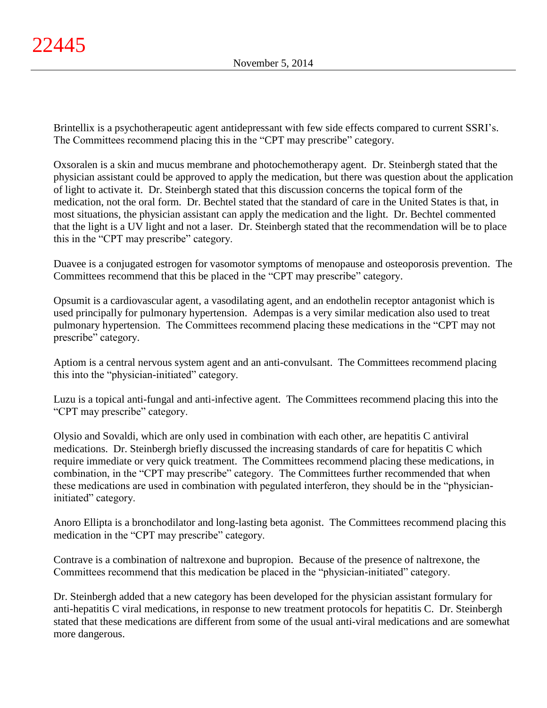Brintellix is a psychotherapeutic agent antidepressant with few side effects compared to current SSRI's. The Committees recommend placing this in the "CPT may prescribe" category.

Oxsoralen is a skin and mucus membrane and photochemotherapy agent. Dr. Steinbergh stated that the physician assistant could be approved to apply the medication, but there was question about the application of light to activate it. Dr. Steinbergh stated that this discussion concerns the topical form of the medication, not the oral form. Dr. Bechtel stated that the standard of care in the United States is that, in most situations, the physician assistant can apply the medication and the light. Dr. Bechtel commented that the light is a UV light and not a laser. Dr. Steinbergh stated that the recommendation will be to place this in the "CPT may prescribe" category.

Duavee is a conjugated estrogen for vasomotor symptoms of menopause and osteoporosis prevention. The Committees recommend that this be placed in the "CPT may prescribe" category.

Opsumit is a cardiovascular agent, a vasodilating agent, and an endothelin receptor antagonist which is used principally for pulmonary hypertension. Adempas is a very similar medication also used to treat pulmonary hypertension. The Committees recommend placing these medications in the "CPT may not prescribe" category.

Aptiom is a central nervous system agent and an anti-convulsant. The Committees recommend placing this into the "physician-initiated" category.

Luzu is a topical anti-fungal and anti-infective agent. The Committees recommend placing this into the "CPT may prescribe" category.

Olysio and Sovaldi, which are only used in combination with each other, are hepatitis C antiviral medications. Dr. Steinbergh briefly discussed the increasing standards of care for hepatitis C which require immediate or very quick treatment. The Committees recommend placing these medications, in combination, in the "CPT may prescribe" category. The Committees further recommended that when these medications are used in combination with pegulated interferon, they should be in the "physicianinitiated" category.

Anoro Ellipta is a bronchodilator and long-lasting beta agonist. The Committees recommend placing this medication in the "CPT may prescribe" category.

Contrave is a combination of naltrexone and bupropion. Because of the presence of naltrexone, the Committees recommend that this medication be placed in the "physician-initiated" category.

Dr. Steinbergh added that a new category has been developed for the physician assistant formulary for anti-hepatitis C viral medications, in response to new treatment protocols for hepatitis C. Dr. Steinbergh stated that these medications are different from some of the usual anti-viral medications and are somewhat more dangerous.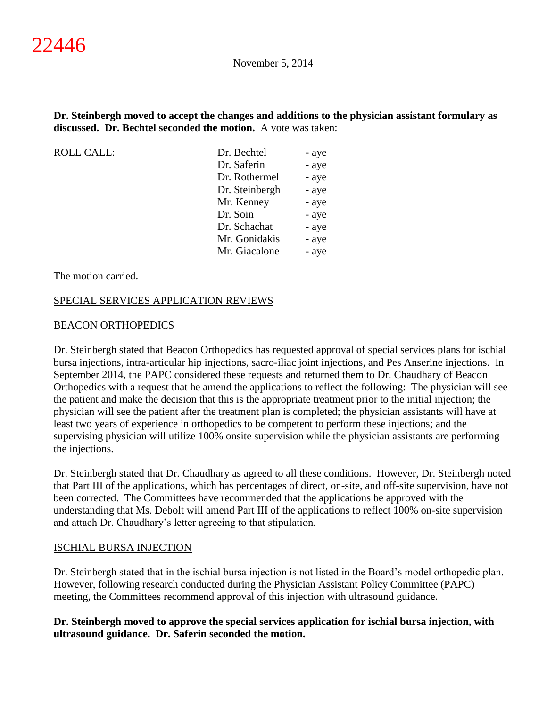**Dr. Steinbergh moved to accept the changes and additions to the physician assistant formulary as discussed. Dr. Bechtel seconded the motion.** A vote was taken:

ROLL CALL:

| Dr. Bechtel    | - aye |
|----------------|-------|
| Dr. Saferin    | - aye |
| Dr. Rothermel  | - aye |
| Dr. Steinbergh | - aye |
| Mr. Kenney     | - aye |
| Dr. Soin       | - aye |
| Dr. Schachat   | - aye |
| Mr. Gonidakis  | - aye |
| Mr. Giacalone  | - aye |

The motion carried.

# SPECIAL SERVICES APPLICATION REVIEWS

### BEACON ORTHOPEDICS

Dr. Steinbergh stated that Beacon Orthopedics has requested approval of special services plans for ischial bursa injections, intra-articular hip injections, sacro-iliac joint injections, and Pes Anserine injections. In September 2014, the PAPC considered these requests and returned them to Dr. Chaudhary of Beacon Orthopedics with a request that he amend the applications to reflect the following: The physician will see the patient and make the decision that this is the appropriate treatment prior to the initial injection; the physician will see the patient after the treatment plan is completed; the physician assistants will have at least two years of experience in orthopedics to be competent to perform these injections; and the supervising physician will utilize 100% onsite supervision while the physician assistants are performing the injections.

Dr. Steinbergh stated that Dr. Chaudhary as agreed to all these conditions. However, Dr. Steinbergh noted that Part III of the applications, which has percentages of direct, on-site, and off-site supervision, have not been corrected. The Committees have recommended that the applications be approved with the understanding that Ms. Debolt will amend Part III of the applications to reflect 100% on-site supervision and attach Dr. Chaudhary's letter agreeing to that stipulation.

# ISCHIAL BURSA INJECTION

Dr. Steinbergh stated that in the ischial bursa injection is not listed in the Board's model orthopedic plan. However, following research conducted during the Physician Assistant Policy Committee (PAPC) meeting, the Committees recommend approval of this injection with ultrasound guidance.

# **Dr. Steinbergh moved to approve the special services application for ischial bursa injection, with ultrasound guidance. Dr. Saferin seconded the motion.**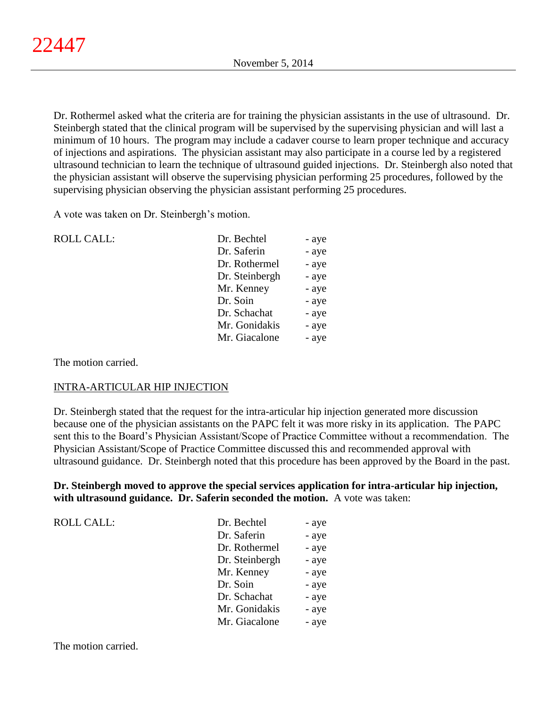Dr. Rothermel asked what the criteria are for training the physician assistants in the use of ultrasound. Dr. Steinbergh stated that the clinical program will be supervised by the supervising physician and will last a minimum of 10 hours. The program may include a cadaver course to learn proper technique and accuracy of injections and aspirations. The physician assistant may also participate in a course led by a registered ultrasound technician to learn the technique of ultrasound guided injections. Dr. Steinbergh also noted that the physician assistant will observe the supervising physician performing 25 procedures, followed by the supervising physician observing the physician assistant performing 25 procedures.

A vote was taken on Dr. Steinbergh's motion.

| <b>ROLL CALL:</b> | Dr. Bechtel    | - aye |
|-------------------|----------------|-------|
|                   | Dr. Saferin    | - aye |
|                   | Dr. Rothermel  | - aye |
|                   | Dr. Steinbergh | - aye |
|                   | Mr. Kenney     | - aye |
|                   | Dr. Soin       | - aye |
|                   | Dr. Schachat   | - aye |
|                   | Mr. Gonidakis  | - aye |
|                   | Mr. Giacalone  | - aye |
|                   |                |       |

The motion carried.

# INTRA-ARTICULAR HIP INJECTION

Dr. Steinbergh stated that the request for the intra-articular hip injection generated more discussion because one of the physician assistants on the PAPC felt it was more risky in its application. The PAPC sent this to the Board's Physician Assistant/Scope of Practice Committee without a recommendation. The Physician Assistant/Scope of Practice Committee discussed this and recommended approval with ultrasound guidance. Dr. Steinbergh noted that this procedure has been approved by the Board in the past.

**Dr. Steinbergh moved to approve the special services application for intra-articular hip injection, with ultrasound guidance. Dr. Saferin seconded the motion.** A vote was taken:

| <b>ROLL CALL:</b> | Dr. Bechtel    | - aye |
|-------------------|----------------|-------|
|                   | Dr. Saferin    | - aye |
|                   | Dr. Rothermel  | - aye |
|                   | Dr. Steinbergh | - aye |
|                   | Mr. Kenney     | - aye |
|                   | Dr. Soin       | - aye |
|                   | Dr. Schachat   | - aye |
|                   | Mr. Gonidakis  | - aye |
|                   | Mr. Giacalone  | - aye |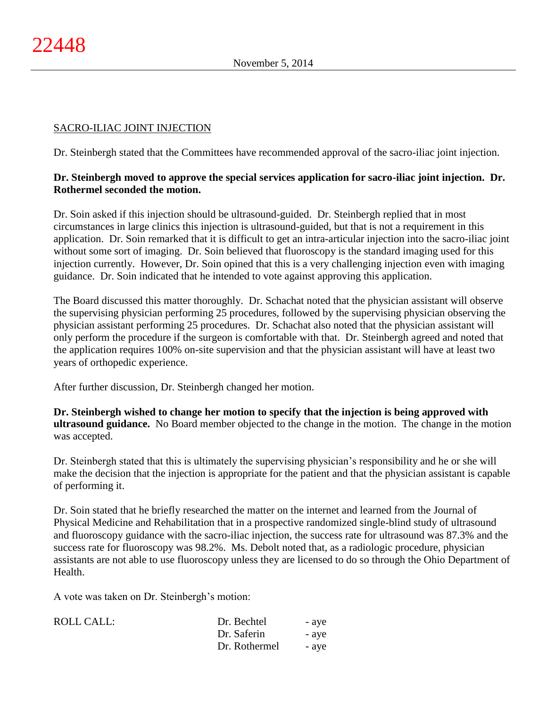# SACRO-ILIAC JOINT INJECTION

Dr. Steinbergh stated that the Committees have recommended approval of the sacro-iliac joint injection.

# **Dr. Steinbergh moved to approve the special services application for sacro-iliac joint injection. Dr. Rothermel seconded the motion.**

Dr. Soin asked if this injection should be ultrasound-guided. Dr. Steinbergh replied that in most circumstances in large clinics this injection is ultrasound-guided, but that is not a requirement in this application. Dr. Soin remarked that it is difficult to get an intra-articular injection into the sacro-iliac joint without some sort of imaging. Dr. Soin believed that fluoroscopy is the standard imaging used for this injection currently. However, Dr. Soin opined that this is a very challenging injection even with imaging guidance. Dr. Soin indicated that he intended to vote against approving this application.

The Board discussed this matter thoroughly. Dr. Schachat noted that the physician assistant will observe the supervising physician performing 25 procedures, followed by the supervising physician observing the physician assistant performing 25 procedures. Dr. Schachat also noted that the physician assistant will only perform the procedure if the surgeon is comfortable with that. Dr. Steinbergh agreed and noted that the application requires 100% on-site supervision and that the physician assistant will have at least two years of orthopedic experience.

After further discussion, Dr. Steinbergh changed her motion.

**Dr. Steinbergh wished to change her motion to specify that the injection is being approved with ultrasound guidance.** No Board member objected to the change in the motion. The change in the motion was accepted.

Dr. Steinbergh stated that this is ultimately the supervising physician's responsibility and he or she will make the decision that the injection is appropriate for the patient and that the physician assistant is capable of performing it.

Dr. Soin stated that he briefly researched the matter on the internet and learned from the Journal of Physical Medicine and Rehabilitation that in a prospective randomized single-blind study of ultrasound and fluoroscopy guidance with the sacro-iliac injection, the success rate for ultrasound was 87.3% and the success rate for fluoroscopy was 98.2%. Ms. Debolt noted that, as a radiologic procedure, physician assistants are not able to use fluoroscopy unless they are licensed to do so through the Ohio Department of Health.

A vote was taken on Dr. Steinbergh's motion:

| ROLL CALL: | Dr. Bechtel   | - aye |
|------------|---------------|-------|
|            | Dr. Saferin   | - aye |
|            | Dr. Rothermel | - aye |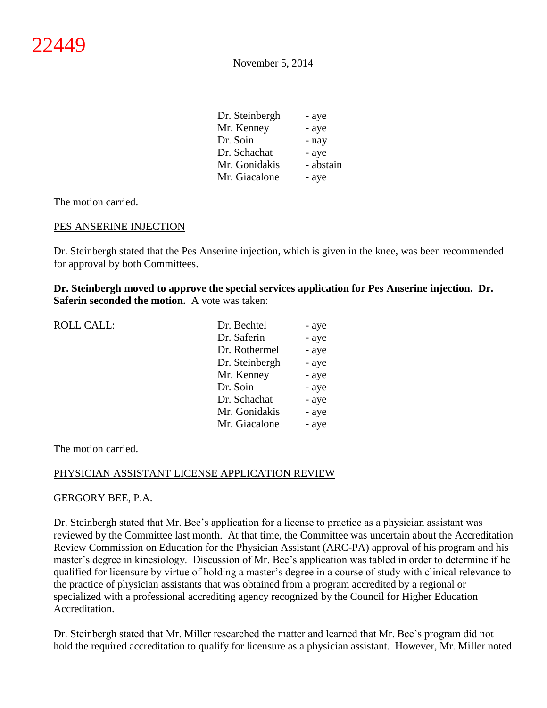| Dr. Steinbergh | - aye     |
|----------------|-----------|
| Mr. Kenney     | - aye     |
| Dr. Soin       | - nay     |
| Dr. Schachat   | - aye     |
| Mr. Gonidakis  | - abstain |
| Mr. Giacalone  | - aye     |

The motion carried.

# PES ANSERINE INJECTION

Dr. Steinbergh stated that the Pes Anserine injection, which is given in the knee, was been recommended for approval by both Committees.

**Dr. Steinbergh moved to approve the special services application for Pes Anserine injection. Dr. Saferin seconded the motion.** A vote was taken:

| <b>ROLL CALL:</b> | Dr. Bechtel    | - aye |
|-------------------|----------------|-------|
|                   | Dr. Saferin    | - aye |
|                   | Dr. Rothermel  | - aye |
|                   | Dr. Steinbergh | - aye |
|                   | Mr. Kenney     | - aye |
|                   | Dr. Soin       | - aye |
|                   | Dr. Schachat   | - aye |
|                   | Mr. Gonidakis  | - aye |
|                   | Mr. Giacalone  | - aye |
|                   |                |       |

The motion carried.

#### PHYSICIAN ASSISTANT LICENSE APPLICATION REVIEW

#### GERGORY BEE, P.A.

Dr. Steinbergh stated that Mr. Bee's application for a license to practice as a physician assistant was reviewed by the Committee last month. At that time, the Committee was uncertain about the Accreditation Review Commission on Education for the Physician Assistant (ARC-PA) approval of his program and his master's degree in kinesiology. Discussion of Mr. Bee's application was tabled in order to determine if he qualified for licensure by virtue of holding a master's degree in a course of study with clinical relevance to the practice of physician assistants that was obtained from a program accredited by a regional or specialized with a professional accrediting agency recognized by the Council for Higher Education Accreditation.

Dr. Steinbergh stated that Mr. Miller researched the matter and learned that Mr. Bee's program did not hold the required accreditation to qualify for licensure as a physician assistant. However, Mr. Miller noted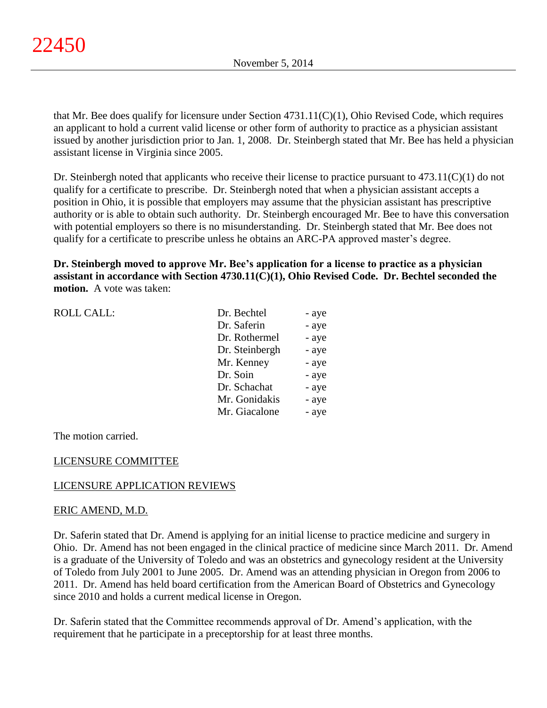that Mr. Bee does qualify for licensure under Section 4731.11(C)(1), Ohio Revised Code, which requires an applicant to hold a current valid license or other form of authority to practice as a physician assistant issued by another jurisdiction prior to Jan. 1, 2008. Dr. Steinbergh stated that Mr. Bee has held a physician assistant license in Virginia since 2005.

Dr. Steinbergh noted that applicants who receive their license to practice pursuant to  $473.11(C)(1)$  do not qualify for a certificate to prescribe. Dr. Steinbergh noted that when a physician assistant accepts a position in Ohio, it is possible that employers may assume that the physician assistant has prescriptive authority or is able to obtain such authority. Dr. Steinbergh encouraged Mr. Bee to have this conversation with potential employers so there is no misunderstanding. Dr. Steinbergh stated that Mr. Bee does not qualify for a certificate to prescribe unless he obtains an ARC-PA approved master's degree.

**Dr. Steinbergh moved to approve Mr. Bee's application for a license to practice as a physician assistant in accordance with Section 4730.11(C)(1), Ohio Revised Code. Dr. Bechtel seconded the motion.** A vote was taken:

| <b>ROLL CALL:</b> | Dr. Bechtel    | - aye |
|-------------------|----------------|-------|
|                   | Dr. Saferin    | - aye |
|                   | Dr. Rothermel  | - aye |
|                   | Dr. Steinbergh | - aye |
|                   | Mr. Kenney     | - aye |
|                   | Dr. Soin       | - aye |
|                   | Dr. Schachat   | - aye |
|                   | Mr. Gonidakis  | - aye |
|                   | Mr. Giacalone  | - aye |
|                   |                |       |

The motion carried.

# LICENSURE COMMITTEE

# LICENSURE APPLICATION REVIEWS

#### ERIC AMEND, M.D.

Dr. Saferin stated that Dr. Amend is applying for an initial license to practice medicine and surgery in Ohio. Dr. Amend has not been engaged in the clinical practice of medicine since March 2011. Dr. Amend is a graduate of the University of Toledo and was an obstetrics and gynecology resident at the University of Toledo from July 2001 to June 2005. Dr. Amend was an attending physician in Oregon from 2006 to 2011. Dr. Amend has held board certification from the American Board of Obstetrics and Gynecology since 2010 and holds a current medical license in Oregon.

Dr. Saferin stated that the Committee recommends approval of Dr. Amend's application, with the requirement that he participate in a preceptorship for at least three months.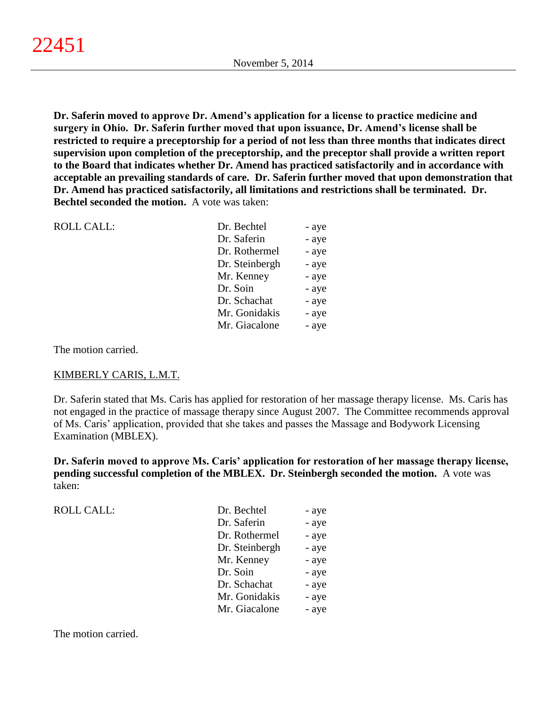**Dr. Saferin moved to approve Dr. Amend's application for a license to practice medicine and surgery in Ohio. Dr. Saferin further moved that upon issuance, Dr. Amend's license shall be restricted to require a preceptorship for a period of not less than three months that indicates direct supervision upon completion of the preceptorship, and the preceptor shall provide a written report to the Board that indicates whether Dr. Amend has practiced satisfactorily and in accordance with acceptable an prevailing standards of care. Dr. Saferin further moved that upon demonstration that Dr. Amend has practiced satisfactorily, all limitations and restrictions shall be terminated. Dr. Bechtel seconded the motion.** A vote was taken:

| <b>ROLL CALL:</b> | Dr. Bechtel    | - aye |
|-------------------|----------------|-------|
|                   | Dr. Saferin    | - aye |
|                   | Dr. Rothermel  | - aye |
|                   | Dr. Steinbergh | - aye |
|                   | Mr. Kenney     | - aye |
|                   | Dr. Soin       | - aye |
|                   | Dr. Schachat   | - aye |
|                   | Mr. Gonidakis  | - aye |
|                   | Mr. Giacalone  | - aye |
|                   |                |       |

The motion carried.

# KIMBERLY CARIS, L.M.T.

Dr. Saferin stated that Ms. Caris has applied for restoration of her massage therapy license. Ms. Caris has not engaged in the practice of massage therapy since August 2007. The Committee recommends approval of Ms. Caris' application, provided that she takes and passes the Massage and Bodywork Licensing Examination (MBLEX).

**Dr. Saferin moved to approve Ms. Caris' application for restoration of her massage therapy license, pending successful completion of the MBLEX. Dr. Steinbergh seconded the motion.** A vote was taken:

| <b>ROLL CALL:</b> | Dr. Bechtel    | - aye |
|-------------------|----------------|-------|
|                   | Dr. Saferin    | - aye |
|                   | Dr. Rothermel  | - aye |
|                   | Dr. Steinbergh | - aye |
|                   | Mr. Kenney     | - aye |
|                   | Dr. Soin       | - aye |
|                   | Dr. Schachat   | - aye |
|                   | Mr. Gonidakis  | - aye |
|                   | Mr. Giacalone  | - aye |
|                   |                |       |

The motion carried.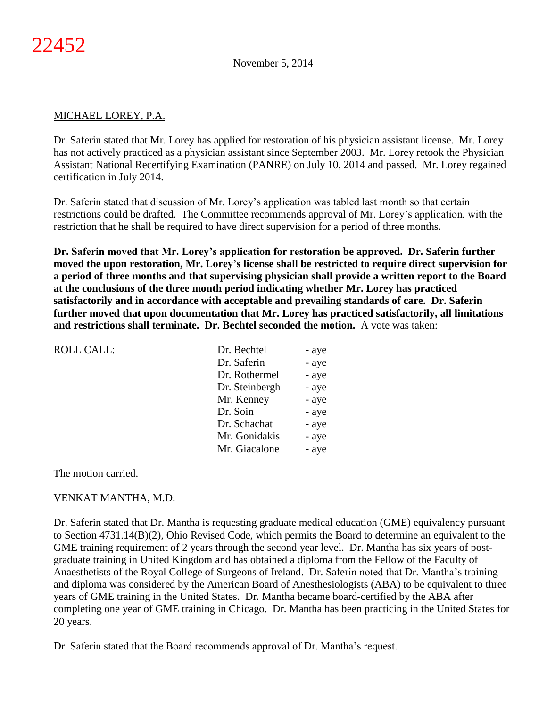# MICHAEL LOREY, P.A.

Dr. Saferin stated that Mr. Lorey has applied for restoration of his physician assistant license. Mr. Lorey has not actively practiced as a physician assistant since September 2003. Mr. Lorey retook the Physician Assistant National Recertifying Examination (PANRE) on July 10, 2014 and passed. Mr. Lorey regained certification in July 2014.

Dr. Saferin stated that discussion of Mr. Lorey's application was tabled last month so that certain restrictions could be drafted. The Committee recommends approval of Mr. Lorey's application, with the restriction that he shall be required to have direct supervision for a period of three months.

**Dr. Saferin moved that Mr. Lorey's application for restoration be approved. Dr. Saferin further moved the upon restoration, Mr. Lorey's license shall be restricted to require direct supervision for a period of three months and that supervising physician shall provide a written report to the Board at the conclusions of the three month period indicating whether Mr. Lorey has practiced satisfactorily and in accordance with acceptable and prevailing standards of care. Dr. Saferin further moved that upon documentation that Mr. Lorey has practiced satisfactorily, all limitations and restrictions shall terminate. Dr. Bechtel seconded the motion.** A vote was taken:

| Dr. Bechtel    | - aye |
|----------------|-------|
| Dr. Saferin    | - aye |
| Dr. Rothermel  | - aye |
| Dr. Steinbergh | - aye |
| Mr. Kenney     | - aye |
| Dr. Soin       | - aye |
| Dr. Schachat   | - aye |
| Mr. Gonidakis  | - aye |
| Mr. Giacalone  | - aye |
|                |       |

The motion carried.

# VENKAT MANTHA, M.D.

Dr. Saferin stated that Dr. Mantha is requesting graduate medical education (GME) equivalency pursuant to Section 4731.14(B)(2), Ohio Revised Code, which permits the Board to determine an equivalent to the GME training requirement of 2 years through the second year level. Dr. Mantha has six years of postgraduate training in United Kingdom and has obtained a diploma from the Fellow of the Faculty of Anaesthetists of the Royal College of Surgeons of Ireland. Dr. Saferin noted that Dr. Mantha's training and diploma was considered by the American Board of Anesthesiologists (ABA) to be equivalent to three years of GME training in the United States. Dr. Mantha became board-certified by the ABA after completing one year of GME training in Chicago. Dr. Mantha has been practicing in the United States for 20 years.

Dr. Saferin stated that the Board recommends approval of Dr. Mantha's request.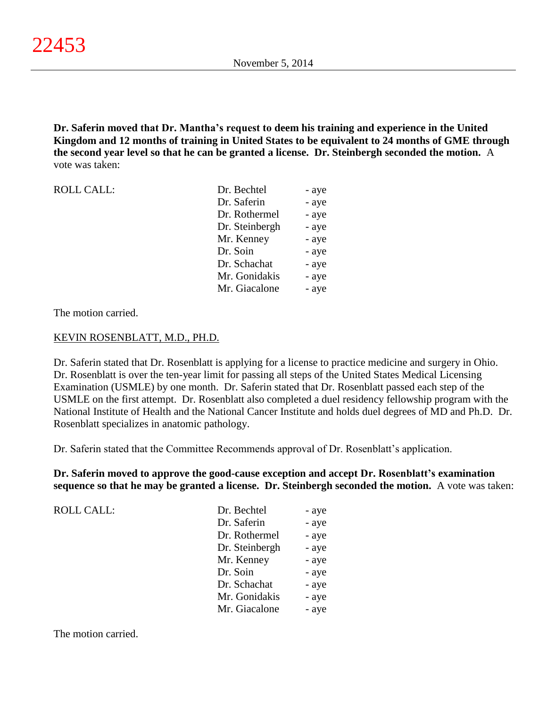**Dr. Saferin moved that Dr. Mantha's request to deem his training and experience in the United Kingdom and 12 months of training in United States to be equivalent to 24 months of GME through the second year level so that he can be granted a license. Dr. Steinbergh seconded the motion.** A vote was taken:

| <b>ROLL CALL:</b> | Dr. Bechtel    | - aye |
|-------------------|----------------|-------|
|                   | Dr. Saferin    | - aye |
|                   | Dr. Rothermel  | - aye |
|                   | Dr. Steinbergh | - aye |
|                   | Mr. Kenney     | - aye |
|                   | Dr. Soin       | - aye |
|                   | Dr. Schachat   | - aye |
|                   | Mr. Gonidakis  | - aye |
|                   | Mr. Giacalone  | - aye |

The motion carried.

## KEVIN ROSENBLATT, M.D., PH.D.

Dr. Saferin stated that Dr. Rosenblatt is applying for a license to practice medicine and surgery in Ohio. Dr. Rosenblatt is over the ten-year limit for passing all steps of the United States Medical Licensing Examination (USMLE) by one month. Dr. Saferin stated that Dr. Rosenblatt passed each step of the USMLE on the first attempt. Dr. Rosenblatt also completed a duel residency fellowship program with the National Institute of Health and the National Cancer Institute and holds duel degrees of MD and Ph.D. Dr. Rosenblatt specializes in anatomic pathology.

Dr. Saferin stated that the Committee Recommends approval of Dr. Rosenblatt's application.

**Dr. Saferin moved to approve the good-cause exception and accept Dr. Rosenblatt's examination sequence so that he may be granted a license. Dr. Steinbergh seconded the motion.** A vote was taken:

| <b>ROLL CALL:</b> | Dr. Bechtel    | - aye |
|-------------------|----------------|-------|
|                   | Dr. Saferin    | - aye |
|                   | Dr. Rothermel  | - aye |
|                   | Dr. Steinbergh | - aye |
|                   | Mr. Kenney     | - aye |
|                   | Dr. Soin       | - aye |
|                   | Dr. Schachat   | - aye |
|                   | Mr. Gonidakis  | - aye |
|                   | Mr. Giacalone  | - aye |
|                   |                |       |

The motion carried.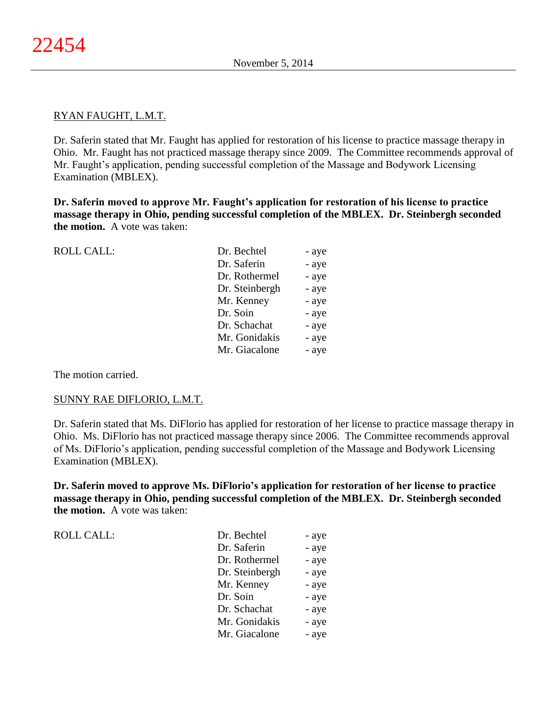### RYAN FAUGHT, L.M.T.

Dr. Saferin stated that Mr. Faught has applied for restoration of his license to practice massage therapy in Ohio. Mr. Faught has not practiced massage therapy since 2009. The Committee recommends approval of Mr. Faught's application, pending successful completion of the Massage and Bodywork Licensing Examination (MBLEX).

**Dr. Saferin moved to approve Mr. Faught's application for restoration of his license to practice massage therapy in Ohio, pending successful completion of the MBLEX. Dr. Steinbergh seconded the motion.** A vote was taken:

| <b>ROLL CALL:</b> | Dr. Bechtel    | - aye |
|-------------------|----------------|-------|
|                   | Dr. Saferin    | - aye |
|                   | Dr. Rothermel  | - aye |
|                   | Dr. Steinbergh | - aye |
|                   | Mr. Kenney     | - aye |
|                   | Dr. Soin       | - aye |
|                   | Dr. Schachat   | - aye |
|                   | Mr. Gonidakis  | - aye |
|                   | Mr. Giacalone  | - aye |
|                   |                |       |

The motion carried.

### SUNNY RAE DIFLORIO, L.M.T.

Dr. Saferin stated that Ms. DiFlorio has applied for restoration of her license to practice massage therapy in Ohio. Ms. DiFlorio has not practiced massage therapy since 2006. The Committee recommends approval of Ms. DiFlorio's application, pending successful completion of the Massage and Bodywork Licensing Examination (MBLEX).

**Dr. Saferin moved to approve Ms. DiFlorio's application for restoration of her license to practice massage therapy in Ohio, pending successful completion of the MBLEX. Dr. Steinbergh seconded the motion.** A vote was taken:

| <b>ROLL CALL:</b> | Dr. Bechtel    | - aye |
|-------------------|----------------|-------|
|                   | Dr. Saferin    | - aye |
|                   | Dr. Rothermel  | - aye |
|                   | Dr. Steinbergh | - aye |
|                   | Mr. Kenney     | - aye |
|                   | Dr. Soin       | - aye |
|                   | Dr. Schachat   | - aye |
|                   | Mr. Gonidakis  | - aye |
|                   | Mr. Giacalone  | - aye |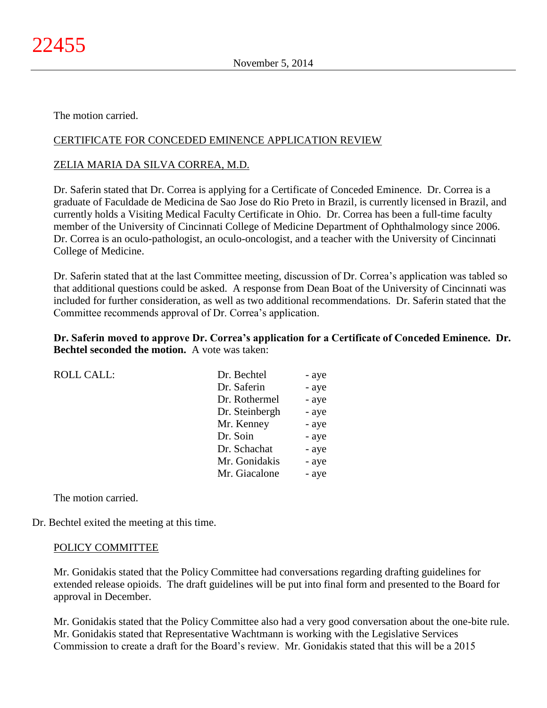The motion carried.

# CERTIFICATE FOR CONCEDED EMINENCE APPLICATION REVIEW

## ZELIA MARIA DA SILVA CORREA, M.D.

Dr. Saferin stated that Dr. Correa is applying for a Certificate of Conceded Eminence. Dr. Correa is a graduate of Faculdade de Medicina de Sao Jose do Rio Preto in Brazil, is currently licensed in Brazil, and currently holds a Visiting Medical Faculty Certificate in Ohio. Dr. Correa has been a full-time faculty member of the University of Cincinnati College of Medicine Department of Ophthalmology since 2006. Dr. Correa is an oculo-pathologist, an oculo-oncologist, and a teacher with the University of Cincinnati College of Medicine.

Dr. Saferin stated that at the last Committee meeting, discussion of Dr. Correa's application was tabled so that additional questions could be asked. A response from Dean Boat of the University of Cincinnati was included for further consideration, as well as two additional recommendations. Dr. Saferin stated that the Committee recommends approval of Dr. Correa's application.

## **Dr. Saferin moved to approve Dr. Correa's application for a Certificate of Conceded Eminence. Dr. Bechtel seconded the motion.** A vote was taken:

| <b>ROLL CALL:</b> | Dr. Bechtel    | - aye |
|-------------------|----------------|-------|
|                   | Dr. Saferin    | - aye |
|                   | Dr. Rothermel  | - aye |
|                   | Dr. Steinbergh | - aye |
|                   | Mr. Kenney     | - aye |
|                   | Dr. Soin       | - aye |
|                   | Dr. Schachat   | - aye |
|                   | Mr. Gonidakis  | - aye |
|                   | Mr. Giacalone  | - aye |
|                   |                |       |

The motion carried.

Dr. Bechtel exited the meeting at this time.

### POLICY COMMITTEE

Mr. Gonidakis stated that the Policy Committee had conversations regarding drafting guidelines for extended release opioids. The draft guidelines will be put into final form and presented to the Board for approval in December.

Mr. Gonidakis stated that the Policy Committee also had a very good conversation about the one-bite rule. Mr. Gonidakis stated that Representative Wachtmann is working with the Legislative Services Commission to create a draft for the Board's review. Mr. Gonidakis stated that this will be a 2015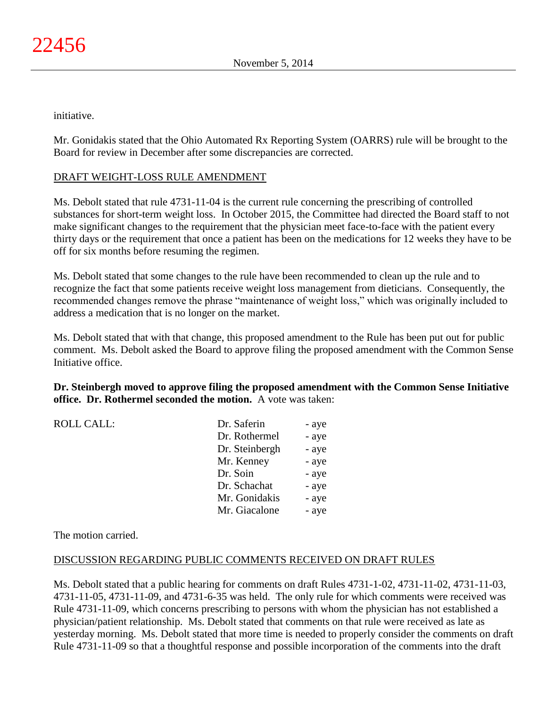initiative.

Mr. Gonidakis stated that the Ohio Automated Rx Reporting System (OARRS) rule will be brought to the Board for review in December after some discrepancies are corrected.

# DRAFT WEIGHT-LOSS RULE AMENDMENT

Ms. Debolt stated that rule 4731-11-04 is the current rule concerning the prescribing of controlled substances for short-term weight loss. In October 2015, the Committee had directed the Board staff to not make significant changes to the requirement that the physician meet face-to-face with the patient every thirty days or the requirement that once a patient has been on the medications for 12 weeks they have to be off for six months before resuming the regimen.

Ms. Debolt stated that some changes to the rule have been recommended to clean up the rule and to recognize the fact that some patients receive weight loss management from dieticians. Consequently, the recommended changes remove the phrase "maintenance of weight loss," which was originally included to address a medication that is no longer on the market.

Ms. Debolt stated that with that change, this proposed amendment to the Rule has been put out for public comment. Ms. Debolt asked the Board to approve filing the proposed amendment with the Common Sense Initiative office.

**Dr. Steinbergh moved to approve filing the proposed amendment with the Common Sense Initiative office. Dr. Rothermel seconded the motion.** A vote was taken:

| Dr. Saferin    | - aye |
|----------------|-------|
| Dr. Rothermel  | - aye |
| Dr. Steinbergh | - aye |
| Mr. Kenney     | - aye |
| Dr. Soin       | - aye |
| Dr. Schachat   | - aye |
| Mr. Gonidakis  | - aye |
| Mr. Giacalone  | - aye |

The motion carried.

ROLL CALL:

## DISCUSSION REGARDING PUBLIC COMMENTS RECEIVED ON DRAFT RULES

Ms. Debolt stated that a public hearing for comments on draft Rules 4731-1-02, 4731-11-02, 4731-11-03, 4731-11-05, 4731-11-09, and 4731-6-35 was held. The only rule for which comments were received was Rule 4731-11-09, which concerns prescribing to persons with whom the physician has not established a physician/patient relationship. Ms. Debolt stated that comments on that rule were received as late as yesterday morning. Ms. Debolt stated that more time is needed to properly consider the comments on draft Rule 4731-11-09 so that a thoughtful response and possible incorporation of the comments into the draft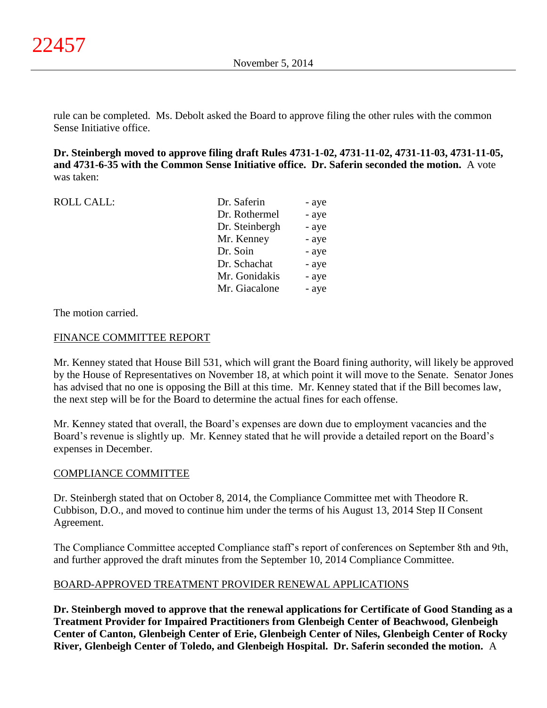rule can be completed. Ms. Debolt asked the Board to approve filing the other rules with the common Sense Initiative office.

**Dr. Steinbergh moved to approve filing draft Rules 4731-1-02, 4731-11-02, 4731-11-03, 4731-11-05, and 4731-6-35 with the Common Sense Initiative office. Dr. Saferin seconded the motion.** A vote was taken:

| <b>ROLL CALL:</b> | Dr. Saferin    | - aye |
|-------------------|----------------|-------|
|                   | Dr. Rothermel  | - aye |
|                   | Dr. Steinbergh | - aye |
|                   | Mr. Kenney     | - aye |
|                   | Dr. Soin       | - aye |
|                   | Dr. Schachat   | - aye |
|                   | Mr. Gonidakis  | - aye |
|                   | Mr. Giacalone  | - aye |

The motion carried.

## FINANCE COMMITTEE REPORT

Mr. Kenney stated that House Bill 531, which will grant the Board fining authority, will likely be approved by the House of Representatives on November 18, at which point it will move to the Senate. Senator Jones has advised that no one is opposing the Bill at this time. Mr. Kenney stated that if the Bill becomes law, the next step will be for the Board to determine the actual fines for each offense.

Mr. Kenney stated that overall, the Board's expenses are down due to employment vacancies and the Board's revenue is slightly up. Mr. Kenney stated that he will provide a detailed report on the Board's expenses in December.

### COMPLIANCE COMMITTEE

Dr. Steinbergh stated that on October 8, 2014, the Compliance Committee met with Theodore R. Cubbison, D.O., and moved to continue him under the terms of his August 13, 2014 Step II Consent Agreement.

The Compliance Committee accepted Compliance staff's report of conferences on September 8th and 9th, and further approved the draft minutes from the September 10, 2014 Compliance Committee.

## BOARD-APPROVED TREATMENT PROVIDER RENEWAL APPLICATIONS

**Dr. Steinbergh moved to approve that the renewal applications for Certificate of Good Standing as a Treatment Provider for Impaired Practitioners from Glenbeigh Center of Beachwood, Glenbeigh Center of Canton, Glenbeigh Center of Erie, Glenbeigh Center of Niles, Glenbeigh Center of Rocky River, Glenbeigh Center of Toledo, and Glenbeigh Hospital. Dr. Saferin seconded the motion.** A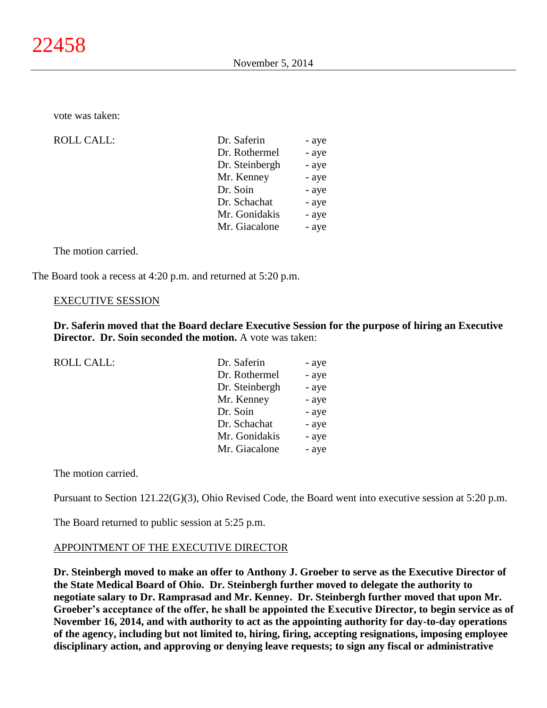vote was taken:

 $ROLL CALL$ :

| Dr. Saferin    | - aye |
|----------------|-------|
| Dr. Rothermel  | - aye |
| Dr. Steinbergh | - aye |
| Mr. Kenney     | - aye |
| Dr. Soin       | - aye |
| Dr. Schachat   | - aye |
| Mr. Gonidakis  | - aye |
| Mr. Giacalone  | - aye |

The motion carried.

The Board took a recess at 4:20 p.m. and returned at 5:20 p.m.

#### EXECUTIVE SESSION

**Dr. Saferin moved that the Board declare Executive Session for the purpose of hiring an Executive Director. Dr. Soin seconded the motion.** A vote was taken:

| ROLL CALL: | Dr. Saferin    | - aye |
|------------|----------------|-------|
|            | Dr. Rothermel  | - aye |
|            | Dr. Steinbergh | - aye |
|            | Mr. Kenney     | - aye |
|            | Dr. Soin       | - aye |
|            | Dr. Schachat   | - aye |
|            | Mr. Gonidakis  | - aye |
|            | Mr. Giacalone  | - aye |
|            |                |       |

The motion carried.

Pursuant to Section 121.22(G)(3), Ohio Revised Code, the Board went into executive session at 5:20 p.m.

The Board returned to public session at 5:25 p.m.

### APPOINTMENT OF THE EXECUTIVE DIRECTOR

**Dr. Steinbergh moved to make an offer to Anthony J. Groeber to serve as the Executive Director of the State Medical Board of Ohio. Dr. Steinbergh further moved to delegate the authority to negotiate salary to Dr. Ramprasad and Mr. Kenney. Dr. Steinbergh further moved that upon Mr. Groeber's acceptance of the offer, he shall be appointed the Executive Director, to begin service as of November 16, 2014, and with authority to act as the appointing authority for day-to-day operations of the agency, including but not limited to, hiring, firing, accepting resignations, imposing employee disciplinary action, and approving or denying leave requests; to sign any fiscal or administrative**